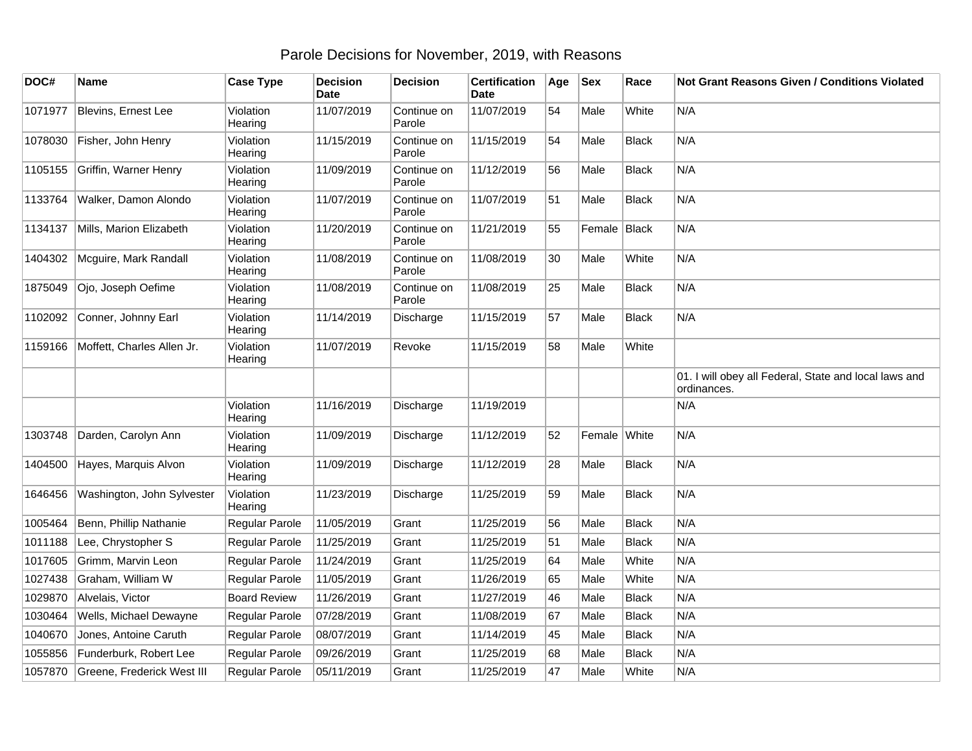## Parole Decisions for November, 2019, with Reasons

| DOC#    | Name                       | <b>Case Type</b>     | <b>Decision</b><br><b>Date</b> | <b>Decision</b>       | <b>Certification</b><br>Date | Age | <b>Sex</b>   | Race         | <b>Not Grant Reasons Given / Conditions Violated</b>                 |
|---------|----------------------------|----------------------|--------------------------------|-----------------------|------------------------------|-----|--------------|--------------|----------------------------------------------------------------------|
| 1071977 | Blevins, Ernest Lee        | Violation<br>Hearing | 11/07/2019                     | Continue on<br>Parole | 11/07/2019                   | 54  | Male         | White        | N/A                                                                  |
| 1078030 | Fisher, John Henry         | Violation<br>Hearing | 11/15/2019                     | Continue on<br>Parole | 11/15/2019                   | 54  | Male         | Black        | N/A                                                                  |
| 1105155 | Griffin, Warner Henry      | Violation<br>Hearing | 11/09/2019                     | Continue on<br>Parole | 11/12/2019                   | 56  | Male         | <b>Black</b> | N/A                                                                  |
| 1133764 | Walker, Damon Alondo       | Violation<br>Hearing | 11/07/2019                     | Continue on<br>Parole | 11/07/2019                   | 51  | Male         | Black        | N/A                                                                  |
| 1134137 | Mills, Marion Elizabeth    | Violation<br>Hearing | 11/20/2019                     | Continue on<br>Parole | 11/21/2019                   | 55  | Female Black |              | N/A                                                                  |
| 1404302 | Mcguire, Mark Randall      | Violation<br>Hearing | 11/08/2019                     | Continue on<br>Parole | 11/08/2019                   | 30  | Male         | White        | N/A                                                                  |
| 1875049 | Ojo, Joseph Oefime         | Violation<br>Hearing | 11/08/2019                     | Continue on<br>Parole | 11/08/2019                   | 25  | Male         | <b>Black</b> | N/A                                                                  |
| 1102092 | Conner, Johnny Earl        | Violation<br>Hearing | 11/14/2019                     | Discharge             | 11/15/2019                   | 57  | Male         | <b>Black</b> | N/A                                                                  |
| 1159166 | Moffett, Charles Allen Jr. | Violation<br>Hearing | 11/07/2019                     | Revoke                | 11/15/2019                   | 58  | Male         | White        |                                                                      |
|         |                            |                      |                                |                       |                              |     |              |              | 01. I will obey all Federal, State and local laws and<br>ordinances. |
|         |                            | Violation<br>Hearing | 11/16/2019                     | Discharge             | 11/19/2019                   |     |              |              | N/A                                                                  |
| 1303748 | Darden, Carolyn Ann        | Violation<br>Hearing | 11/09/2019                     | Discharge             | 11/12/2019                   | 52  | Female White |              | N/A                                                                  |
| 1404500 | Hayes, Marquis Alvon       | Violation<br>Hearing | 11/09/2019                     | Discharge             | 11/12/2019                   | 28  | Male         | <b>Black</b> | N/A                                                                  |
| 1646456 | Washington, John Sylvester | Violation<br>Hearing | 11/23/2019                     | Discharge             | 11/25/2019                   | 59  | Male         | <b>Black</b> | N/A                                                                  |
| 1005464 | Benn, Phillip Nathanie     | Regular Parole       | 11/05/2019                     | Grant                 | 11/25/2019                   | 56  | Male         | <b>Black</b> | N/A                                                                  |
| 1011188 | Lee, Chrystopher S         | Regular Parole       | 11/25/2019                     | Grant                 | 11/25/2019                   | 51  | Male         | <b>Black</b> | N/A                                                                  |
| 1017605 | Grimm, Marvin Leon         | Regular Parole       | 11/24/2019                     | Grant                 | 11/25/2019                   | 64  | Male         | White        | N/A                                                                  |
| 1027438 | Graham, William W          | Regular Parole       | 11/05/2019                     | Grant                 | 11/26/2019                   | 65  | Male         | White        | N/A                                                                  |
| 1029870 | Alvelais, Victor           | <b>Board Review</b>  | 11/26/2019                     | Grant                 | 11/27/2019                   | 46  | Male         | <b>Black</b> | N/A                                                                  |
| 1030464 | Wells, Michael Dewayne     | Regular Parole       | 07/28/2019                     | Grant                 | 11/08/2019                   | 67  | Male         | <b>Black</b> | N/A                                                                  |
| 1040670 | Jones, Antoine Caruth      | Regular Parole       | 08/07/2019                     | Grant                 | 11/14/2019                   | 45  | Male         | <b>Black</b> | N/A                                                                  |
| 1055856 | Funderburk, Robert Lee     | Regular Parole       | 09/26/2019                     | Grant                 | 11/25/2019                   | 68  | Male         | <b>Black</b> | N/A                                                                  |
| 1057870 | Greene, Frederick West III | Regular Parole       | 05/11/2019                     | Grant                 | 11/25/2019                   | 47  | Male         | White        | N/A                                                                  |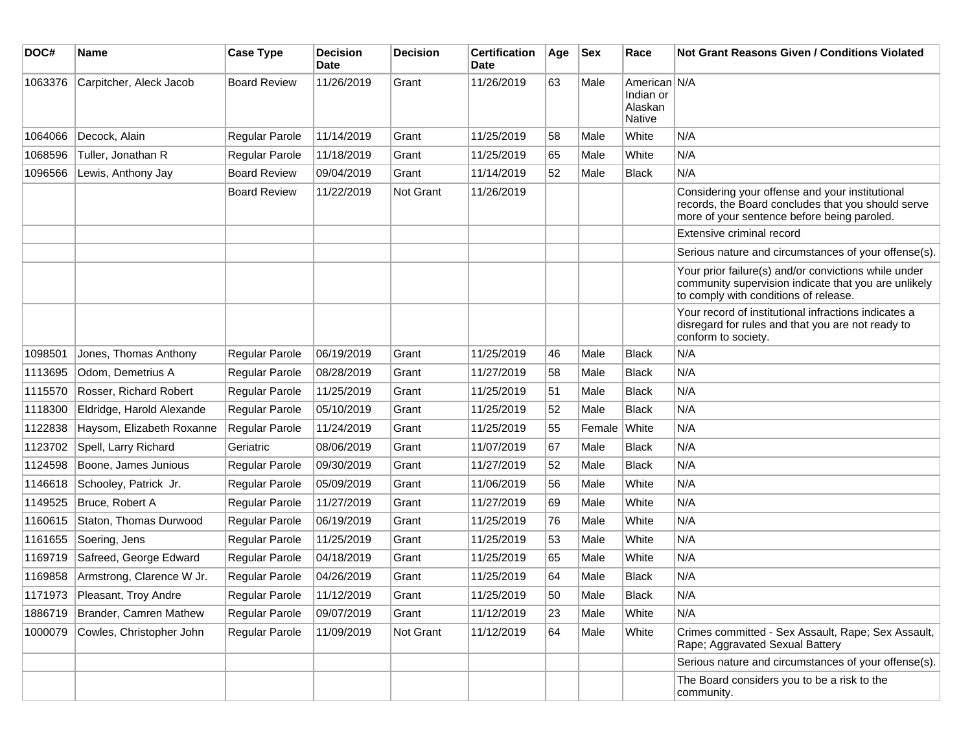| DOC#    | Name                         | <b>Case Type</b>      | <b>Decision</b><br>Date | <b>Decision</b>  | <b>Certification</b><br>Date | Age | <b>Sex</b> | Race                                           | <b>Not Grant Reasons Given / Conditions Violated</b>                                                                                                  |
|---------|------------------------------|-----------------------|-------------------------|------------------|------------------------------|-----|------------|------------------------------------------------|-------------------------------------------------------------------------------------------------------------------------------------------------------|
| 1063376 | Carpitcher, Aleck Jacob      | <b>Board Review</b>   | 11/26/2019              | Grant            | 11/26/2019                   | 63  | Male       | American N/A<br>Indian or<br>Alaskan<br>Native |                                                                                                                                                       |
| 1064066 | Decock, Alain                | Regular Parole        | 11/14/2019              | Grant            | 11/25/2019                   | 58  | Male       | White                                          | N/A                                                                                                                                                   |
| 1068596 | Tuller, Jonathan R           | Regular Parole        | 11/18/2019              | Grant            | 11/25/2019                   | 65  | Male       | White                                          | N/A                                                                                                                                                   |
| 1096566 | Lewis, Anthony Jay           | <b>Board Review</b>   | 09/04/2019              | Grant            | 11/14/2019                   | 52  | Male       | <b>Black</b>                                   | N/A                                                                                                                                                   |
|         |                              | <b>Board Review</b>   | 11/22/2019              | <b>Not Grant</b> | 11/26/2019                   |     |            |                                                | Considering your offense and your institutional<br>records, the Board concludes that you should serve<br>more of your sentence before being paroled.  |
|         |                              |                       |                         |                  |                              |     |            |                                                | Extensive criminal record                                                                                                                             |
|         |                              |                       |                         |                  |                              |     |            |                                                | Serious nature and circumstances of your offense(s).                                                                                                  |
|         |                              |                       |                         |                  |                              |     |            |                                                | Your prior failure(s) and/or convictions while under<br>community supervision indicate that you are unlikely<br>to comply with conditions of release. |
|         |                              |                       |                         |                  |                              |     |            |                                                | Your record of institutional infractions indicates a<br>disregard for rules and that you are not ready to<br>conform to society.                      |
| 1098501 | Jones, Thomas Anthony        | <b>Regular Parole</b> | 06/19/2019              | Grant            | 11/25/2019                   | 46  | Male       | <b>Black</b>                                   | N/A                                                                                                                                                   |
| 1113695 | Odom, Demetrius A            | Regular Parole        | 08/28/2019              | Grant            | 11/27/2019                   | 58  | Male       | <b>Black</b>                                   | N/A                                                                                                                                                   |
| 1115570 | Rosser, Richard Robert       | <b>Regular Parole</b> | 11/25/2019              | Grant            | 11/25/2019                   | 51  | Male       | <b>Black</b>                                   | N/A                                                                                                                                                   |
| 1118300 | Eldridge, Harold Alexande    | Regular Parole        | 05/10/2019              | Grant            | 11/25/2019                   | 52  | Male       | <b>Black</b>                                   | N/A                                                                                                                                                   |
| 1122838 | Haysom, Elizabeth Roxanne    | Regular Parole        | 11/24/2019              | Grant            | 11/25/2019                   | 55  | Female     | White                                          | N/A                                                                                                                                                   |
| 1123702 | Spell, Larry Richard         | Geriatric             | 08/06/2019              | Grant            | 11/07/2019                   | 67  | Male       | <b>Black</b>                                   | N/A                                                                                                                                                   |
| 1124598 | Boone, James Junious         | Regular Parole        | 09/30/2019              | Grant            | 11/27/2019                   | 52  | Male       | <b>Black</b>                                   | N/A                                                                                                                                                   |
| 1146618 | Schooley, Patrick Jr.        | Regular Parole        | 05/09/2019              | Grant            | 11/06/2019                   | 56  | Male       | White                                          | N/A                                                                                                                                                   |
| 1149525 | Bruce, Robert A              | Regular Parole        | 11/27/2019              | Grant            | 11/27/2019                   | 69  | Male       | White                                          | N/A                                                                                                                                                   |
| 1160615 | Staton, Thomas Durwood       | Regular Parole        | 06/19/2019              | Grant            | 11/25/2019                   | 76  | Male       | White                                          | N/A                                                                                                                                                   |
| 1161655 | Soering, Jens                | Regular Parole        | 11/25/2019              | Grant            | 11/25/2019                   | 53  | Male       | White                                          | N/A                                                                                                                                                   |
| 1169719 | Safreed, George Edward       | Regular Parole        | 04/18/2019              | Grant            | 11/25/2019                   | 65  | Male       | White                                          | N/A                                                                                                                                                   |
| 1169858 | Armstrong, Clarence W Jr.    | Regular Parole        | 04/26/2019              | Grant            | 11/25/2019                   | 64  | Male       | <b>Black</b>                                   | N/A                                                                                                                                                   |
|         | 1171973 Pleasant, Troy Andre | Regular Parole        | 11/12/2019              | Grant            | 11/25/2019                   | 50  | Male       | Black                                          | N/A                                                                                                                                                   |
| 1886719 | Brander, Camren Mathew       | Regular Parole        | 09/07/2019              | Grant            | 11/12/2019                   | 23  | Male       | White                                          | N/A                                                                                                                                                   |
| 1000079 | Cowles, Christopher John     | Regular Parole        | 11/09/2019              | Not Grant        | 11/12/2019                   | 64  | Male       | White                                          | Crimes committed - Sex Assault, Rape; Sex Assault,<br>Rape; Aggravated Sexual Battery                                                                 |
|         |                              |                       |                         |                  |                              |     |            |                                                | Serious nature and circumstances of your offense(s).                                                                                                  |
|         |                              |                       |                         |                  |                              |     |            |                                                | The Board considers you to be a risk to the<br>community.                                                                                             |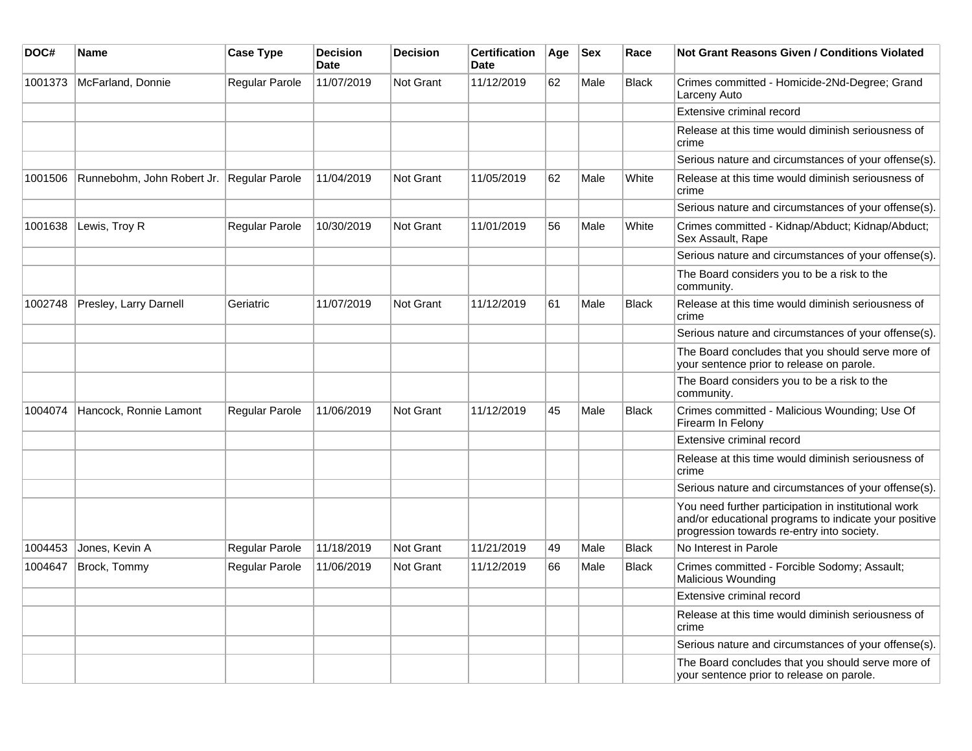| DOC#    | Name                                      | <b>Case Type</b>      | <b>Decision</b><br><b>Date</b> | <b>Decision</b>  | <b>Certification</b><br><b>Date</b> | Age | <b>Sex</b> | Race         | <b>Not Grant Reasons Given / Conditions Violated</b>                                                                                                        |
|---------|-------------------------------------------|-----------------------|--------------------------------|------------------|-------------------------------------|-----|------------|--------------|-------------------------------------------------------------------------------------------------------------------------------------------------------------|
| 1001373 | McFarland, Donnie                         | Regular Parole        | 11/07/2019                     | Not Grant        | 11/12/2019                          | 62  | Male       | <b>Black</b> | Crimes committed - Homicide-2Nd-Degree; Grand<br>Larceny Auto                                                                                               |
|         |                                           |                       |                                |                  |                                     |     |            |              | Extensive criminal record                                                                                                                                   |
|         |                                           |                       |                                |                  |                                     |     |            |              | Release at this time would diminish seriousness of<br>crime                                                                                                 |
|         |                                           |                       |                                |                  |                                     |     |            |              | Serious nature and circumstances of your offense(s).                                                                                                        |
| 1001506 | Runnebohm, John Robert Jr. Regular Parole |                       | 11/04/2019                     | <b>Not Grant</b> | 11/05/2019                          | 62  | Male       | White        | Release at this time would diminish seriousness of<br>crime                                                                                                 |
|         |                                           |                       |                                |                  |                                     |     |            |              | Serious nature and circumstances of your offense(s).                                                                                                        |
| 1001638 | Lewis, Troy R                             | Regular Parole        | 10/30/2019                     | Not Grant        | 11/01/2019                          | 56  | Male       | White        | Crimes committed - Kidnap/Abduct; Kidnap/Abduct;<br>Sex Assault, Rape                                                                                       |
|         |                                           |                       |                                |                  |                                     |     |            |              | Serious nature and circumstances of your offense(s).                                                                                                        |
|         |                                           |                       |                                |                  |                                     |     |            |              | The Board considers you to be a risk to the<br>community.                                                                                                   |
| 1002748 | Presley, Larry Darnell                    | Geriatric             | 11/07/2019                     | <b>Not Grant</b> | 11/12/2019                          | 61  | Male       | <b>Black</b> | Release at this time would diminish seriousness of<br>crime                                                                                                 |
|         |                                           |                       |                                |                  |                                     |     |            |              | Serious nature and circumstances of your offense(s).                                                                                                        |
|         |                                           |                       |                                |                  |                                     |     |            |              | The Board concludes that you should serve more of<br>your sentence prior to release on parole.                                                              |
|         |                                           |                       |                                |                  |                                     |     |            |              | The Board considers you to be a risk to the<br>community.                                                                                                   |
| 1004074 | Hancock, Ronnie Lamont                    | <b>Regular Parole</b> | 11/06/2019                     | <b>Not Grant</b> | 11/12/2019                          | 45  | Male       | <b>Black</b> | Crimes committed - Malicious Wounding; Use Of<br>Firearm In Felony                                                                                          |
|         |                                           |                       |                                |                  |                                     |     |            |              | Extensive criminal record                                                                                                                                   |
|         |                                           |                       |                                |                  |                                     |     |            |              | Release at this time would diminish seriousness of<br>crime                                                                                                 |
|         |                                           |                       |                                |                  |                                     |     |            |              | Serious nature and circumstances of your offense(s).                                                                                                        |
|         |                                           |                       |                                |                  |                                     |     |            |              | You need further participation in institutional work<br>and/or educational programs to indicate your positive<br>progression towards re-entry into society. |
| 1004453 | Jones, Kevin A                            | Regular Parole        | 11/18/2019                     | Not Grant        | 11/21/2019                          | 49  | Male       | <b>Black</b> | No Interest in Parole                                                                                                                                       |
| 1004647 | Brock, Tommy                              | Regular Parole        | 11/06/2019                     | Not Grant        | 11/12/2019                          | 66  | Male       | <b>Black</b> | Crimes committed - Forcible Sodomy; Assault;<br>Malicious Wounding                                                                                          |
|         |                                           |                       |                                |                  |                                     |     |            |              | Extensive criminal record                                                                                                                                   |
|         |                                           |                       |                                |                  |                                     |     |            |              | Release at this time would diminish seriousness of<br>crime                                                                                                 |
|         |                                           |                       |                                |                  |                                     |     |            |              | Serious nature and circumstances of your offense(s).                                                                                                        |
|         |                                           |                       |                                |                  |                                     |     |            |              | The Board concludes that you should serve more of<br>your sentence prior to release on parole.                                                              |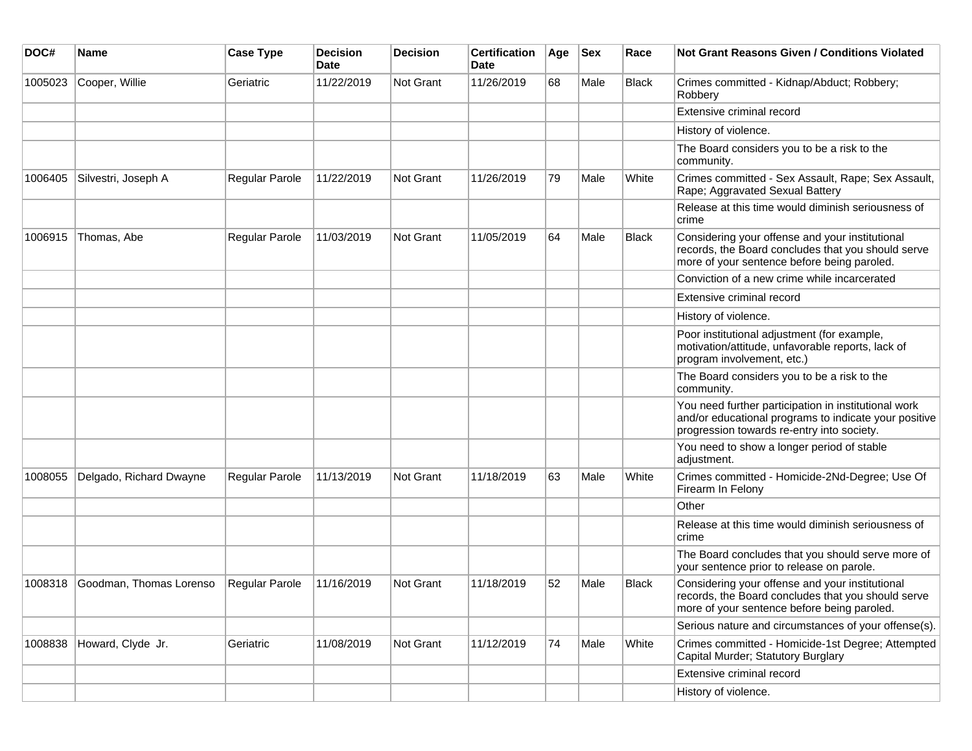| DOC#    | Name                    | <b>Case Type</b>      | Decision<br><b>Date</b> | <b>Decision</b>  | <b>Certification</b><br>Date | Age | <b>Sex</b> | Race         | Not Grant Reasons Given / Conditions Violated                                                                                                               |
|---------|-------------------------|-----------------------|-------------------------|------------------|------------------------------|-----|------------|--------------|-------------------------------------------------------------------------------------------------------------------------------------------------------------|
| 1005023 | Cooper, Willie          | Geriatric             | 11/22/2019              | Not Grant        | 11/26/2019                   | 68  | Male       | Black        | Crimes committed - Kidnap/Abduct; Robbery;<br>Robbery                                                                                                       |
|         |                         |                       |                         |                  |                              |     |            |              | Extensive criminal record                                                                                                                                   |
|         |                         |                       |                         |                  |                              |     |            |              | History of violence.                                                                                                                                        |
|         |                         |                       |                         |                  |                              |     |            |              | The Board considers you to be a risk to the<br>community.                                                                                                   |
| 1006405 | Silvestri, Joseph A     | Regular Parole        | 11/22/2019              | <b>Not Grant</b> | 11/26/2019                   | 79  | Male       | White        | Crimes committed - Sex Assault, Rape; Sex Assault,<br>Rape; Aggravated Sexual Battery                                                                       |
|         |                         |                       |                         |                  |                              |     |            |              | Release at this time would diminish seriousness of<br>crime                                                                                                 |
| 1006915 | Thomas, Abe             | Regular Parole        | 11/03/2019              | <b>Not Grant</b> | 11/05/2019                   | 64  | Male       | <b>Black</b> | Considering your offense and your institutional<br>records, the Board concludes that you should serve<br>more of your sentence before being paroled.        |
|         |                         |                       |                         |                  |                              |     |            |              | Conviction of a new crime while incarcerated                                                                                                                |
|         |                         |                       |                         |                  |                              |     |            |              | Extensive criminal record                                                                                                                                   |
|         |                         |                       |                         |                  |                              |     |            |              | History of violence.                                                                                                                                        |
|         |                         |                       |                         |                  |                              |     |            |              | Poor institutional adjustment (for example,<br>motivation/attitude, unfavorable reports, lack of<br>program involvement, etc.)                              |
|         |                         |                       |                         |                  |                              |     |            |              | The Board considers you to be a risk to the<br>community.                                                                                                   |
|         |                         |                       |                         |                  |                              |     |            |              | You need further participation in institutional work<br>and/or educational programs to indicate your positive<br>progression towards re-entry into society. |
|         |                         |                       |                         |                  |                              |     |            |              | You need to show a longer period of stable<br>adjustment.                                                                                                   |
| 1008055 | Delgado, Richard Dwayne | Regular Parole        | 11/13/2019              | Not Grant        | 11/18/2019                   | 63  | Male       | White        | Crimes committed - Homicide-2Nd-Degree; Use Of<br>Firearm In Felony                                                                                         |
|         |                         |                       |                         |                  |                              |     |            |              | Other                                                                                                                                                       |
|         |                         |                       |                         |                  |                              |     |            |              | Release at this time would diminish seriousness of<br>crime                                                                                                 |
|         |                         |                       |                         |                  |                              |     |            |              | The Board concludes that you should serve more of<br>your sentence prior to release on parole.                                                              |
| 1008318 | Goodman, Thomas Lorenso | <b>Regular Parole</b> | 11/16/2019              | Not Grant        | 11/18/2019                   | 52  | Male       | <b>Black</b> | Considering your offense and your institutional<br>records, the Board concludes that you should serve<br>more of your sentence before being paroled.        |
|         |                         |                       |                         |                  |                              |     |            |              | Serious nature and circumstances of your offense(s).                                                                                                        |
| 1008838 | Howard, Clyde Jr.       | Geriatric             | 11/08/2019              | Not Grant        | 11/12/2019                   | 74  | Male       | White        | Crimes committed - Homicide-1st Degree; Attempted<br>Capital Murder; Statutory Burglary                                                                     |
|         |                         |                       |                         |                  |                              |     |            |              | Extensive criminal record                                                                                                                                   |
|         |                         |                       |                         |                  |                              |     |            |              | History of violence.                                                                                                                                        |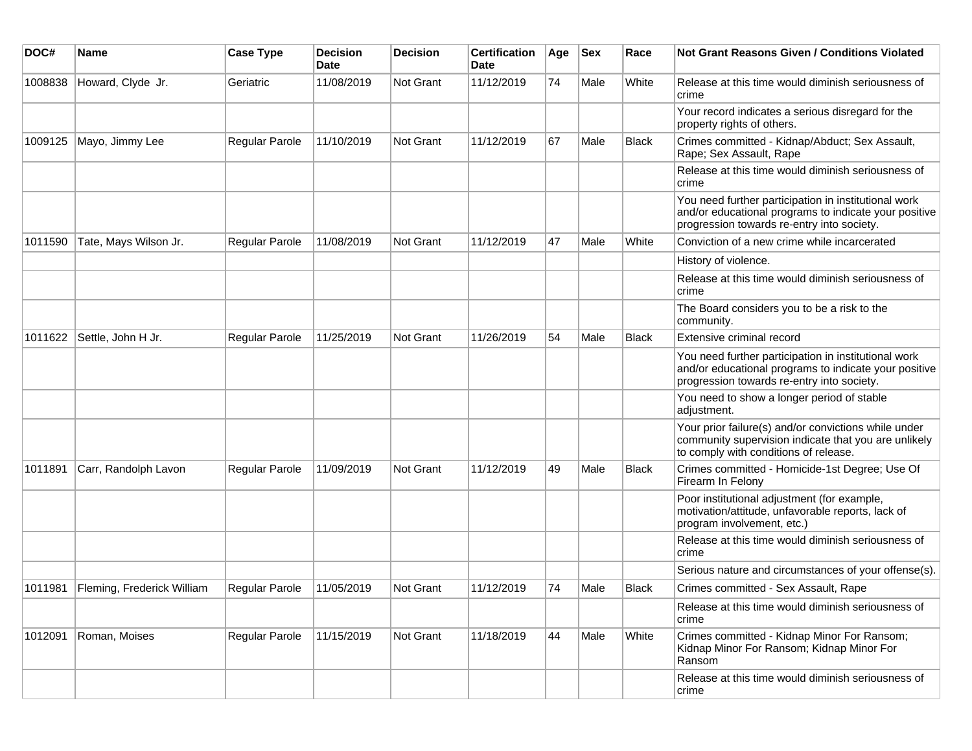| DOC#    | <b>Name</b>                | <b>Case Type</b> | <b>Decision</b><br>Date | Decision         | <b>Certification</b><br><b>Date</b> | Age | <b>Sex</b> | Race         | <b>Not Grant Reasons Given / Conditions Violated</b>                                                                                                        |
|---------|----------------------------|------------------|-------------------------|------------------|-------------------------------------|-----|------------|--------------|-------------------------------------------------------------------------------------------------------------------------------------------------------------|
| 1008838 | Howard, Clyde Jr.          | Geriatric        | 11/08/2019              | Not Grant        | 11/12/2019                          | 74  | Male       | White        | Release at this time would diminish seriousness of<br>crime                                                                                                 |
|         |                            |                  |                         |                  |                                     |     |            |              | Your record indicates a serious disregard for the<br>property rights of others.                                                                             |
| 1009125 | Mayo, Jimmy Lee            | Regular Parole   | 11/10/2019              | Not Grant        | 11/12/2019                          | 67  | Male       | <b>Black</b> | Crimes committed - Kidnap/Abduct; Sex Assault,<br>Rape; Sex Assault, Rape                                                                                   |
|         |                            |                  |                         |                  |                                     |     |            |              | Release at this time would diminish seriousness of<br>crime                                                                                                 |
|         |                            |                  |                         |                  |                                     |     |            |              | You need further participation in institutional work<br>and/or educational programs to indicate your positive<br>progression towards re-entry into society. |
| 1011590 | Tate, Mays Wilson Jr.      | Regular Parole   | 11/08/2019              | Not Grant        | 11/12/2019                          | 47  | Male       | White        | Conviction of a new crime while incarcerated                                                                                                                |
|         |                            |                  |                         |                  |                                     |     |            |              | History of violence.                                                                                                                                        |
|         |                            |                  |                         |                  |                                     |     |            |              | Release at this time would diminish seriousness of<br>crime                                                                                                 |
|         |                            |                  |                         |                  |                                     |     |            |              | The Board considers you to be a risk to the<br>community.                                                                                                   |
| 1011622 | Settle, John H Jr.         | Regular Parole   | 11/25/2019              | Not Grant        | 11/26/2019                          | 54  | Male       | Black        | Extensive criminal record                                                                                                                                   |
|         |                            |                  |                         |                  |                                     |     |            |              | You need further participation in institutional work<br>and/or educational programs to indicate your positive<br>progression towards re-entry into society. |
|         |                            |                  |                         |                  |                                     |     |            |              | You need to show a longer period of stable<br>adjustment.                                                                                                   |
|         |                            |                  |                         |                  |                                     |     |            |              | Your prior failure(s) and/or convictions while under<br>community supervision indicate that you are unlikely<br>to comply with conditions of release.       |
| 1011891 | Carr, Randolph Lavon       | Regular Parole   | 11/09/2019              | Not Grant        | 11/12/2019                          | 49  | Male       | <b>Black</b> | Crimes committed - Homicide-1st Degree; Use Of<br>Firearm In Felony                                                                                         |
|         |                            |                  |                         |                  |                                     |     |            |              | Poor institutional adjustment (for example,<br>motivation/attitude, unfavorable reports, lack of<br>program involvement, etc.)                              |
|         |                            |                  |                         |                  |                                     |     |            |              | Release at this time would diminish seriousness of<br>crime                                                                                                 |
|         |                            |                  |                         |                  |                                     |     |            |              | Serious nature and circumstances of your offense(s).                                                                                                        |
| 1011981 | Fleming, Frederick William | Regular Parole   | 11/05/2019              | <b>Not Grant</b> | 11/12/2019                          | 74  | Male       | <b>Black</b> | Crimes committed - Sex Assault, Rape                                                                                                                        |
|         |                            |                  |                         |                  |                                     |     |            |              | Release at this time would diminish seriousness of<br>crime                                                                                                 |
| 1012091 | Roman, Moises              | Regular Parole   | 11/15/2019              | Not Grant        | 11/18/2019                          | 44  | Male       | White        | Crimes committed - Kidnap Minor For Ransom;<br>Kidnap Minor For Ransom; Kidnap Minor For<br>Ransom                                                          |
|         |                            |                  |                         |                  |                                     |     |            |              | Release at this time would diminish seriousness of<br>crime                                                                                                 |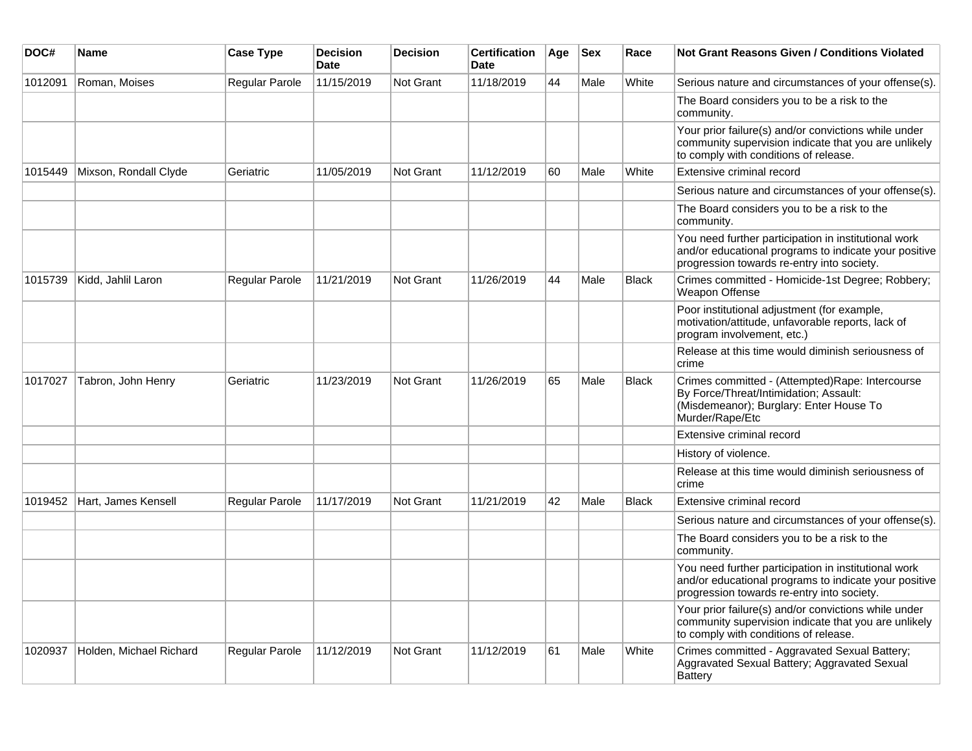| DOC#    | <b>Name</b>             | <b>Case Type</b> | <b>Decision</b><br><b>Date</b> | <b>Decision</b>  | <b>Certification</b><br><b>Date</b> | Age | <b>Sex</b> | Race         | <b>Not Grant Reasons Given / Conditions Violated</b>                                                                                                        |
|---------|-------------------------|------------------|--------------------------------|------------------|-------------------------------------|-----|------------|--------------|-------------------------------------------------------------------------------------------------------------------------------------------------------------|
| 1012091 | Roman, Moises           | Regular Parole   | 11/15/2019                     | Not Grant        | 11/18/2019                          | 44  | Male       | White        | Serious nature and circumstances of your offense(s).                                                                                                        |
|         |                         |                  |                                |                  |                                     |     |            |              | The Board considers you to be a risk to the<br>community.                                                                                                   |
|         |                         |                  |                                |                  |                                     |     |            |              | Your prior failure(s) and/or convictions while under<br>community supervision indicate that you are unlikely<br>to comply with conditions of release.       |
| 1015449 | Mixson, Rondall Clyde   | Geriatric        | 11/05/2019                     | Not Grant        | 11/12/2019                          | 60  | Male       | White        | Extensive criminal record                                                                                                                                   |
|         |                         |                  |                                |                  |                                     |     |            |              | Serious nature and circumstances of your offense(s).                                                                                                        |
|         |                         |                  |                                |                  |                                     |     |            |              | The Board considers you to be a risk to the<br>community.                                                                                                   |
|         |                         |                  |                                |                  |                                     |     |            |              | You need further participation in institutional work<br>and/or educational programs to indicate your positive<br>progression towards re-entry into society. |
| 1015739 | Kidd, Jahlil Laron      | Regular Parole   | 11/21/2019                     | Not Grant        | 11/26/2019                          | 44  | Male       | <b>Black</b> | Crimes committed - Homicide-1st Degree; Robbery;<br>Weapon Offense                                                                                          |
|         |                         |                  |                                |                  |                                     |     |            |              | Poor institutional adjustment (for example,<br>motivation/attitude, unfavorable reports, lack of<br>program involvement, etc.)                              |
|         |                         |                  |                                |                  |                                     |     |            |              | Release at this time would diminish seriousness of<br>crime                                                                                                 |
| 1017027 | Tabron, John Henry      | Geriatric        | 11/23/2019                     | <b>Not Grant</b> | 11/26/2019                          | 65  | Male       | <b>Black</b> | Crimes committed - (Attempted)Rape: Intercourse<br>By Force/Threat/Intimidation; Assault:<br>(Misdemeanor); Burglary: Enter House To<br>Murder/Rape/Etc     |
|         |                         |                  |                                |                  |                                     |     |            |              | Extensive criminal record                                                                                                                                   |
|         |                         |                  |                                |                  |                                     |     |            |              | History of violence.                                                                                                                                        |
|         |                         |                  |                                |                  |                                     |     |            |              | Release at this time would diminish seriousness of<br>crime                                                                                                 |
| 1019452 | Hart, James Kensell     | Regular Parole   | 11/17/2019                     | <b>Not Grant</b> | 11/21/2019                          | 42  | Male       | <b>Black</b> | Extensive criminal record                                                                                                                                   |
|         |                         |                  |                                |                  |                                     |     |            |              | Serious nature and circumstances of your offense(s).                                                                                                        |
|         |                         |                  |                                |                  |                                     |     |            |              | The Board considers you to be a risk to the<br>community.                                                                                                   |
|         |                         |                  |                                |                  |                                     |     |            |              | You need further participation in institutional work<br>and/or educational programs to indicate your positive<br>progression towards re-entry into society. |
|         |                         |                  |                                |                  |                                     |     |            |              | Your prior failure(s) and/or convictions while under<br>community supervision indicate that you are unlikely<br>to comply with conditions of release.       |
| 1020937 | Holden, Michael Richard | Regular Parole   | 11/12/2019                     | <b>Not Grant</b> | 11/12/2019                          | 61  | Male       | White        | Crimes committed - Aggravated Sexual Battery;<br>Aggravated Sexual Battery; Aggravated Sexual<br><b>Battery</b>                                             |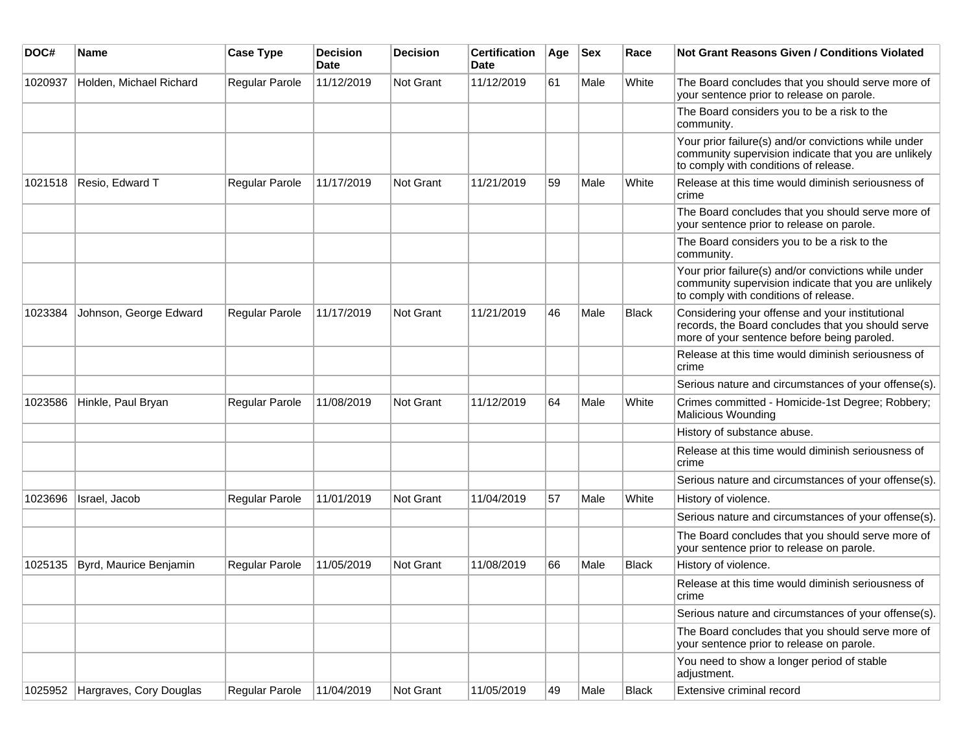| DOC#    | <b>Name</b>                     | <b>Case Type</b> | <b>Decision</b><br><b>Date</b> | <b>Decision</b> | <b>Certification</b><br><b>Date</b> | Age | <b>Sex</b> | Race         | <b>Not Grant Reasons Given / Conditions Violated</b>                                                                                                  |
|---------|---------------------------------|------------------|--------------------------------|-----------------|-------------------------------------|-----|------------|--------------|-------------------------------------------------------------------------------------------------------------------------------------------------------|
| 1020937 | Holden, Michael Richard         | Regular Parole   | 11/12/2019                     | Not Grant       | 11/12/2019                          | 61  | Male       | White        | The Board concludes that you should serve more of<br>your sentence prior to release on parole.                                                        |
|         |                                 |                  |                                |                 |                                     |     |            |              | The Board considers you to be a risk to the<br>community.                                                                                             |
|         |                                 |                  |                                |                 |                                     |     |            |              | Your prior failure(s) and/or convictions while under<br>community supervision indicate that you are unlikely<br>to comply with conditions of release. |
| 1021518 | Resio, Edward T                 | Regular Parole   | 11/17/2019                     | Not Grant       | 11/21/2019                          | 59  | Male       | White        | Release at this time would diminish seriousness of<br>crime                                                                                           |
|         |                                 |                  |                                |                 |                                     |     |            |              | The Board concludes that you should serve more of<br>your sentence prior to release on parole.                                                        |
|         |                                 |                  |                                |                 |                                     |     |            |              | The Board considers you to be a risk to the<br>community.                                                                                             |
|         |                                 |                  |                                |                 |                                     |     |            |              | Your prior failure(s) and/or convictions while under<br>community supervision indicate that you are unlikely<br>to comply with conditions of release. |
| 1023384 | Johnson, George Edward          | Regular Parole   | 11/17/2019                     | Not Grant       | 11/21/2019                          | 46  | Male       | <b>Black</b> | Considering your offense and your institutional<br>records, the Board concludes that you should serve<br>more of your sentence before being paroled.  |
|         |                                 |                  |                                |                 |                                     |     |            |              | Release at this time would diminish seriousness of<br>crime                                                                                           |
|         |                                 |                  |                                |                 |                                     |     |            |              | Serious nature and circumstances of your offense(s).                                                                                                  |
| 1023586 | Hinkle, Paul Bryan              | Regular Parole   | 11/08/2019                     | Not Grant       | 11/12/2019                          | 64  | Male       | White        | Crimes committed - Homicide-1st Degree; Robbery;<br><b>Malicious Wounding</b>                                                                         |
|         |                                 |                  |                                |                 |                                     |     |            |              | History of substance abuse.                                                                                                                           |
|         |                                 |                  |                                |                 |                                     |     |            |              | Release at this time would diminish seriousness of<br>crime                                                                                           |
|         |                                 |                  |                                |                 |                                     |     |            |              | Serious nature and circumstances of your offense(s).                                                                                                  |
| 1023696 | Israel, Jacob                   | Regular Parole   | 11/01/2019                     | Not Grant       | 11/04/2019                          | 57  | Male       | White        | History of violence.                                                                                                                                  |
|         |                                 |                  |                                |                 |                                     |     |            |              | Serious nature and circumstances of your offense(s).                                                                                                  |
|         |                                 |                  |                                |                 |                                     |     |            |              | The Board concludes that you should serve more of<br>your sentence prior to release on parole.                                                        |
| 1025135 | Byrd, Maurice Benjamin          | Regular Parole   | 11/05/2019                     | Not Grant       | 11/08/2019                          | 66  | Male       | <b>Black</b> | History of violence.                                                                                                                                  |
|         |                                 |                  |                                |                 |                                     |     |            |              | Release at this time would diminish seriousness of<br>crime                                                                                           |
|         |                                 |                  |                                |                 |                                     |     |            |              | Serious nature and circumstances of your offense(s).                                                                                                  |
|         |                                 |                  |                                |                 |                                     |     |            |              | The Board concludes that you should serve more of<br>your sentence prior to release on parole.                                                        |
|         |                                 |                  |                                |                 |                                     |     |            |              | You need to show a longer period of stable<br>adjustment.                                                                                             |
|         | 1025952 Hargraves, Cory Douglas | Regular Parole   | 11/04/2019                     | Not Grant       | 11/05/2019                          | 49  | Male       | Black        | Extensive criminal record                                                                                                                             |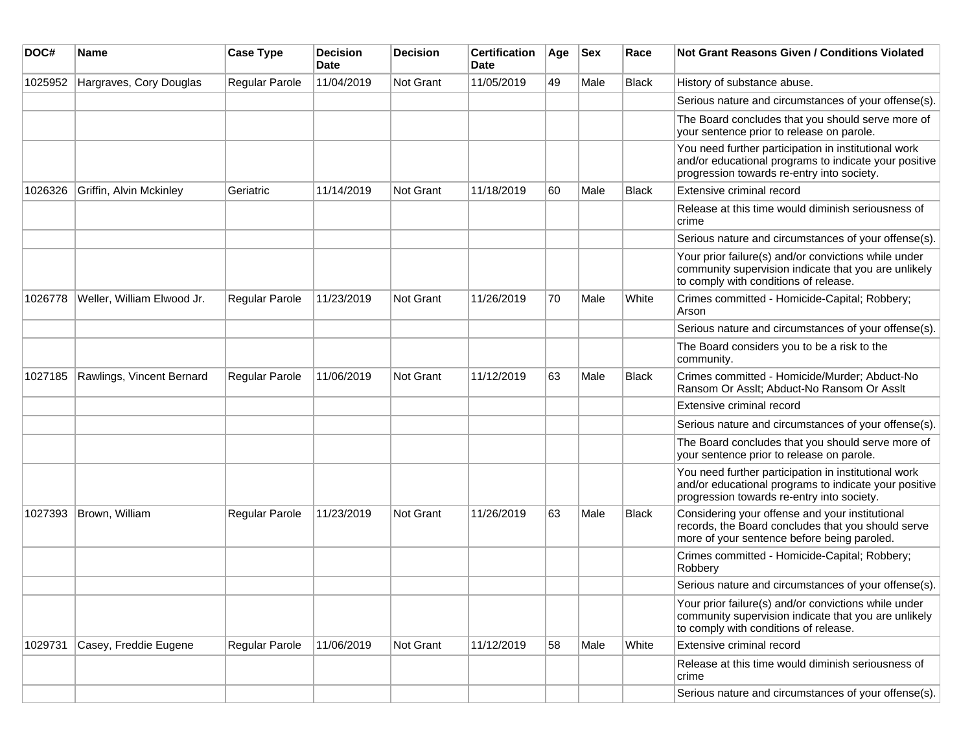| DOC#    | Name                       | <b>Case Type</b> | <b>Decision</b><br>Date | <b>Decision</b> | <b>Certification</b><br>Date | Age | <b>Sex</b> | Race         | Not Grant Reasons Given / Conditions Violated                                                                                                               |
|---------|----------------------------|------------------|-------------------------|-----------------|------------------------------|-----|------------|--------------|-------------------------------------------------------------------------------------------------------------------------------------------------------------|
| 1025952 | Hargraves, Cory Douglas    | Regular Parole   | 11/04/2019              | Not Grant       | 11/05/2019                   | 49  | Male       | <b>Black</b> | History of substance abuse.                                                                                                                                 |
|         |                            |                  |                         |                 |                              |     |            |              | Serious nature and circumstances of your offense(s).                                                                                                        |
|         |                            |                  |                         |                 |                              |     |            |              | The Board concludes that you should serve more of<br>your sentence prior to release on parole.                                                              |
|         |                            |                  |                         |                 |                              |     |            |              | You need further participation in institutional work<br>and/or educational programs to indicate your positive<br>progression towards re-entry into society. |
| 1026326 | Griffin, Alvin Mckinley    | Geriatric        | 11/14/2019              | Not Grant       | 11/18/2019                   | 60  | Male       | Black        | Extensive criminal record                                                                                                                                   |
|         |                            |                  |                         |                 |                              |     |            |              | Release at this time would diminish seriousness of<br>crime                                                                                                 |
|         |                            |                  |                         |                 |                              |     |            |              | Serious nature and circumstances of your offense(s).                                                                                                        |
|         |                            |                  |                         |                 |                              |     |            |              | Your prior failure(s) and/or convictions while under<br>community supervision indicate that you are unlikely<br>to comply with conditions of release.       |
| 1026778 | Weller, William Elwood Jr. | Regular Parole   | 11/23/2019              | Not Grant       | 11/26/2019                   | 70  | Male       | White        | Crimes committed - Homicide-Capital; Robbery;<br>Arson                                                                                                      |
|         |                            |                  |                         |                 |                              |     |            |              | Serious nature and circumstances of your offense(s).                                                                                                        |
|         |                            |                  |                         |                 |                              |     |            |              | The Board considers you to be a risk to the<br>community.                                                                                                   |
| 1027185 | Rawlings, Vincent Bernard  | Regular Parole   | 11/06/2019              | Not Grant       | 11/12/2019                   | 63  | Male       | <b>Black</b> | Crimes committed - Homicide/Murder; Abduct-No<br>Ransom Or Asslt; Abduct-No Ransom Or Asslt                                                                 |
|         |                            |                  |                         |                 |                              |     |            |              | Extensive criminal record                                                                                                                                   |
|         |                            |                  |                         |                 |                              |     |            |              | Serious nature and circumstances of your offense(s).                                                                                                        |
|         |                            |                  |                         |                 |                              |     |            |              | The Board concludes that you should serve more of<br>your sentence prior to release on parole.                                                              |
|         |                            |                  |                         |                 |                              |     |            |              | You need further participation in institutional work<br>and/or educational programs to indicate your positive<br>progression towards re-entry into society. |
| 1027393 | Brown, William             | Regular Parole   | 11/23/2019              | Not Grant       | 11/26/2019                   | 63  | Male       | Black        | Considering your offense and your institutional<br>records, the Board concludes that you should serve<br>more of your sentence before being paroled.        |
|         |                            |                  |                         |                 |                              |     |            |              | Crimes committed - Homicide-Capital; Robbery;<br>Robbery                                                                                                    |
|         |                            |                  |                         |                 |                              |     |            |              | Serious nature and circumstances of your offense(s).                                                                                                        |
|         |                            |                  |                         |                 |                              |     |            |              | Your prior failure(s) and/or convictions while under<br>community supervision indicate that you are unlikely<br>to comply with conditions of release.       |
| 1029731 | Casey, Freddie Eugene      | Regular Parole   | 11/06/2019              | Not Grant       | 11/12/2019                   | 58  | Male       | White        | Extensive criminal record                                                                                                                                   |
|         |                            |                  |                         |                 |                              |     |            |              | Release at this time would diminish seriousness of<br>crime                                                                                                 |
|         |                            |                  |                         |                 |                              |     |            |              | Serious nature and circumstances of your offense(s).                                                                                                        |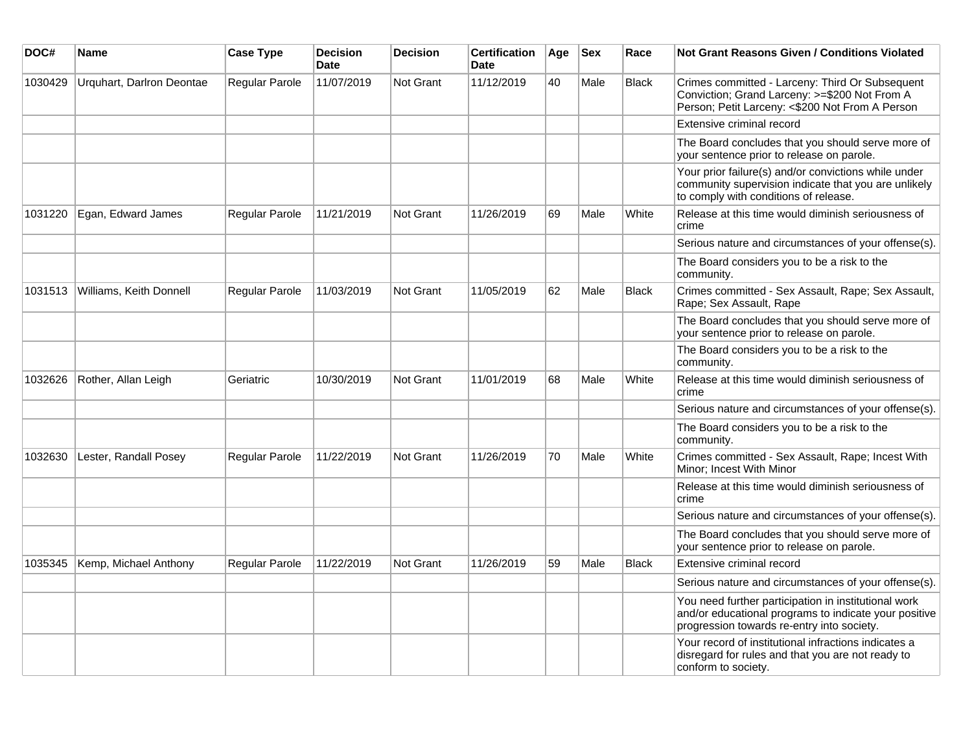| DOC#    | Name                      | <b>Case Type</b>      | <b>Decision</b><br><b>Date</b> | <b>Decision</b>  | <b>Certification</b><br>Date | Age | <b>Sex</b> | Race         | Not Grant Reasons Given / Conditions Violated                                                                                                               |
|---------|---------------------------|-----------------------|--------------------------------|------------------|------------------------------|-----|------------|--------------|-------------------------------------------------------------------------------------------------------------------------------------------------------------|
| 1030429 | Urquhart, Darlron Deontae | Regular Parole        | 11/07/2019                     | Not Grant        | 11/12/2019                   | 40  | Male       | <b>Black</b> | Crimes committed - Larceny: Third Or Subsequent<br>Conviction; Grand Larceny: >=\$200 Not From A<br>Person; Petit Larceny: <\$200 Not From A Person         |
|         |                           |                       |                                |                  |                              |     |            |              | Extensive criminal record                                                                                                                                   |
|         |                           |                       |                                |                  |                              |     |            |              | The Board concludes that you should serve more of<br>your sentence prior to release on parole.                                                              |
|         |                           |                       |                                |                  |                              |     |            |              | Your prior failure(s) and/or convictions while under<br>community supervision indicate that you are unlikely<br>to comply with conditions of release.       |
| 1031220 | Egan, Edward James        | Regular Parole        | 11/21/2019                     | <b>Not Grant</b> | 11/26/2019                   | 69  | Male       | White        | Release at this time would diminish seriousness of<br>crime                                                                                                 |
|         |                           |                       |                                |                  |                              |     |            |              | Serious nature and circumstances of your offense(s).                                                                                                        |
|         |                           |                       |                                |                  |                              |     |            |              | The Board considers you to be a risk to the<br>community.                                                                                                   |
| 1031513 | Williams, Keith Donnell   | <b>Regular Parole</b> | 11/03/2019                     | Not Grant        | 11/05/2019                   | 62  | Male       | <b>Black</b> | Crimes committed - Sex Assault, Rape; Sex Assault,<br>Rape; Sex Assault, Rape                                                                               |
|         |                           |                       |                                |                  |                              |     |            |              | The Board concludes that you should serve more of<br>your sentence prior to release on parole.                                                              |
|         |                           |                       |                                |                  |                              |     |            |              | The Board considers you to be a risk to the<br>community.                                                                                                   |
| 1032626 | Rother, Allan Leigh       | Geriatric             | 10/30/2019                     | Not Grant        | 11/01/2019                   | 68  | Male       | White        | Release at this time would diminish seriousness of<br>crime                                                                                                 |
|         |                           |                       |                                |                  |                              |     |            |              | Serious nature and circumstances of your offense(s).                                                                                                        |
|         |                           |                       |                                |                  |                              |     |            |              | The Board considers you to be a risk to the<br>community.                                                                                                   |
| 1032630 | Lester, Randall Posey     | Regular Parole        | 11/22/2019                     | Not Grant        | 11/26/2019                   | 70  | Male       | White        | Crimes committed - Sex Assault, Rape; Incest With<br>Minor: Incest With Minor                                                                               |
|         |                           |                       |                                |                  |                              |     |            |              | Release at this time would diminish seriousness of<br>crime                                                                                                 |
|         |                           |                       |                                |                  |                              |     |            |              | Serious nature and circumstances of your offense(s).                                                                                                        |
|         |                           |                       |                                |                  |                              |     |            |              | The Board concludes that you should serve more of<br>your sentence prior to release on parole.                                                              |
| 1035345 | Kemp, Michael Anthony     | Regular Parole        | 11/22/2019                     | <b>Not Grant</b> | 11/26/2019                   | 59  | Male       | <b>Black</b> | Extensive criminal record                                                                                                                                   |
|         |                           |                       |                                |                  |                              |     |            |              | Serious nature and circumstances of your offense(s).                                                                                                        |
|         |                           |                       |                                |                  |                              |     |            |              | You need further participation in institutional work<br>and/or educational programs to indicate your positive<br>progression towards re-entry into society. |
|         |                           |                       |                                |                  |                              |     |            |              | Your record of institutional infractions indicates a<br>disregard for rules and that you are not ready to<br>conform to society.                            |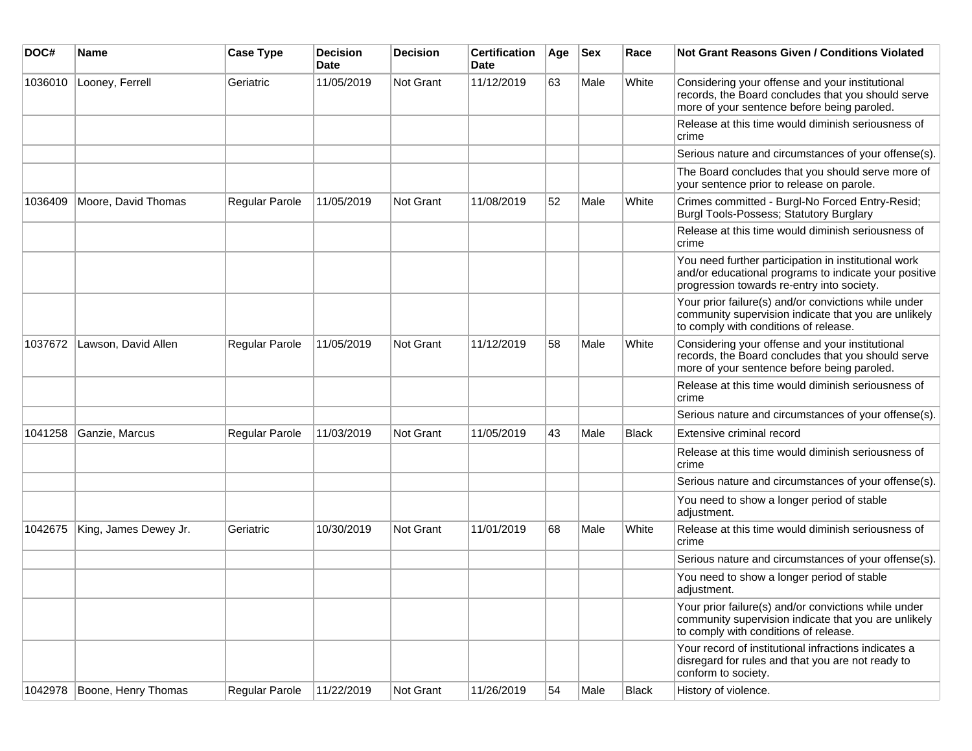| DOC#    | Name                  | <b>Case Type</b> | <b>Decision</b><br><b>Date</b> | <b>Decision</b> | <b>Certification</b><br>Date | Age | <b>Sex</b> | Race         | <b>Not Grant Reasons Given / Conditions Violated</b>                                                                                                        |
|---------|-----------------------|------------------|--------------------------------|-----------------|------------------------------|-----|------------|--------------|-------------------------------------------------------------------------------------------------------------------------------------------------------------|
| 1036010 | Looney, Ferrell       | Geriatric        | 11/05/2019                     | Not Grant       | 11/12/2019                   | 63  | Male       | White        | Considering your offense and your institutional<br>records, the Board concludes that you should serve<br>more of your sentence before being paroled.        |
|         |                       |                  |                                |                 |                              |     |            |              | Release at this time would diminish seriousness of<br>crime                                                                                                 |
|         |                       |                  |                                |                 |                              |     |            |              | Serious nature and circumstances of your offense(s).                                                                                                        |
|         |                       |                  |                                |                 |                              |     |            |              | The Board concludes that you should serve more of<br>your sentence prior to release on parole.                                                              |
| 1036409 | Moore, David Thomas   | Regular Parole   | 11/05/2019                     | Not Grant       | 11/08/2019                   | 52  | Male       | White        | Crimes committed - Burgl-No Forced Entry-Resid;<br>Burgl Tools-Possess; Statutory Burglary                                                                  |
|         |                       |                  |                                |                 |                              |     |            |              | Release at this time would diminish seriousness of<br>crime                                                                                                 |
|         |                       |                  |                                |                 |                              |     |            |              | You need further participation in institutional work<br>and/or educational programs to indicate your positive<br>progression towards re-entry into society. |
|         |                       |                  |                                |                 |                              |     |            |              | Your prior failure(s) and/or convictions while under<br>community supervision indicate that you are unlikely<br>to comply with conditions of release.       |
| 1037672 | Lawson, David Allen   | Regular Parole   | 11/05/2019                     | Not Grant       | 11/12/2019                   | 58  | Male       | White        | Considering your offense and your institutional<br>records, the Board concludes that you should serve<br>more of your sentence before being paroled.        |
|         |                       |                  |                                |                 |                              |     |            |              | Release at this time would diminish seriousness of<br>crime                                                                                                 |
|         |                       |                  |                                |                 |                              |     |            |              | Serious nature and circumstances of your offense(s).                                                                                                        |
| 1041258 | Ganzie, Marcus        | Regular Parole   | 11/03/2019                     | Not Grant       | 11/05/2019                   | 43  | Male       | <b>Black</b> | Extensive criminal record                                                                                                                                   |
|         |                       |                  |                                |                 |                              |     |            |              | Release at this time would diminish seriousness of<br>crime                                                                                                 |
|         |                       |                  |                                |                 |                              |     |            |              | Serious nature and circumstances of your offense(s).                                                                                                        |
|         |                       |                  |                                |                 |                              |     |            |              | You need to show a longer period of stable<br>adjustment.                                                                                                   |
| 1042675 | King, James Dewey Jr. | Geriatric        | 10/30/2019                     | Not Grant       | 11/01/2019                   | 68  | Male       | White        | Release at this time would diminish seriousness of<br>crime                                                                                                 |
|         |                       |                  |                                |                 |                              |     |            |              | Serious nature and circumstances of your offense(s).                                                                                                        |
|         |                       |                  |                                |                 |                              |     |            |              | You need to show a longer period of stable<br>adjustment.                                                                                                   |
|         |                       |                  |                                |                 |                              |     |            |              | Your prior failure(s) and/or convictions while under<br>community supervision indicate that you are unlikely<br>to comply with conditions of release.       |
|         |                       |                  |                                |                 |                              |     |            |              | Your record of institutional infractions indicates a<br>disregard for rules and that you are not ready to<br>conform to society.                            |
| 1042978 | Boone, Henry Thomas   | Regular Parole   | 11/22/2019                     | Not Grant       | 11/26/2019                   | 54  | Male       | <b>Black</b> | History of violence.                                                                                                                                        |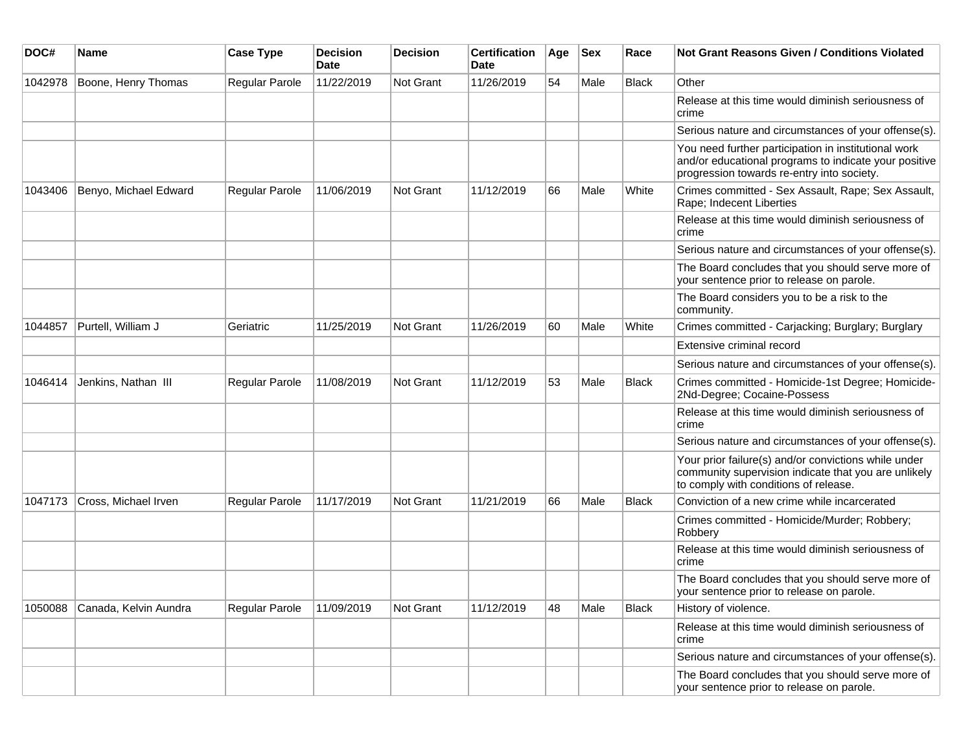| DOC#    | Name                  | <b>Case Type</b>      | <b>Decision</b><br>Date | <b>Decision</b> | <b>Certification</b><br>Date | Age | <b>Sex</b> | Race         | <b>Not Grant Reasons Given / Conditions Violated</b>                                                                                                        |
|---------|-----------------------|-----------------------|-------------------------|-----------------|------------------------------|-----|------------|--------------|-------------------------------------------------------------------------------------------------------------------------------------------------------------|
| 1042978 | Boone, Henry Thomas   | Regular Parole        | 11/22/2019              | Not Grant       | 11/26/2019                   | 54  | Male       | <b>Black</b> | Other                                                                                                                                                       |
|         |                       |                       |                         |                 |                              |     |            |              | Release at this time would diminish seriousness of<br>crime                                                                                                 |
|         |                       |                       |                         |                 |                              |     |            |              | Serious nature and circumstances of your offense(s).                                                                                                        |
|         |                       |                       |                         |                 |                              |     |            |              | You need further participation in institutional work<br>and/or educational programs to indicate your positive<br>progression towards re-entry into society. |
| 1043406 | Benyo, Michael Edward | Regular Parole        | 11/06/2019              | Not Grant       | 11/12/2019                   | 66  | Male       | White        | Crimes committed - Sex Assault, Rape; Sex Assault,<br>Rape; Indecent Liberties                                                                              |
|         |                       |                       |                         |                 |                              |     |            |              | Release at this time would diminish seriousness of<br>crime                                                                                                 |
|         |                       |                       |                         |                 |                              |     |            |              | Serious nature and circumstances of your offense(s).                                                                                                        |
|         |                       |                       |                         |                 |                              |     |            |              | The Board concludes that you should serve more of<br>your sentence prior to release on parole.                                                              |
|         |                       |                       |                         |                 |                              |     |            |              | The Board considers you to be a risk to the<br>community.                                                                                                   |
| 1044857 | Purtell, William J    | Geriatric             | 11/25/2019              | Not Grant       | 11/26/2019                   | 60  | Male       | White        | Crimes committed - Carjacking; Burglary; Burglary                                                                                                           |
|         |                       |                       |                         |                 |                              |     |            |              | Extensive criminal record                                                                                                                                   |
|         |                       |                       |                         |                 |                              |     |            |              | Serious nature and circumstances of your offense(s).                                                                                                        |
| 1046414 | Jenkins, Nathan III   | <b>Regular Parole</b> | 11/08/2019              | Not Grant       | 11/12/2019                   | 53  | Male       | Black        | Crimes committed - Homicide-1st Degree; Homicide-<br>2Nd-Degree; Cocaine-Possess                                                                            |
|         |                       |                       |                         |                 |                              |     |            |              | Release at this time would diminish seriousness of<br>crime                                                                                                 |
|         |                       |                       |                         |                 |                              |     |            |              | Serious nature and circumstances of your offense(s).                                                                                                        |
|         |                       |                       |                         |                 |                              |     |            |              | Your prior failure(s) and/or convictions while under<br>community supervision indicate that you are unlikely<br>to comply with conditions of release.       |
| 1047173 | Cross, Michael Irven  | <b>Regular Parole</b> | 11/17/2019              | Not Grant       | 11/21/2019                   | 66  | Male       | Black        | Conviction of a new crime while incarcerated                                                                                                                |
|         |                       |                       |                         |                 |                              |     |            |              | Crimes committed - Homicide/Murder; Robbery;<br>Robbery                                                                                                     |
|         |                       |                       |                         |                 |                              |     |            |              | Release at this time would diminish seriousness of<br>crime                                                                                                 |
|         |                       |                       |                         |                 |                              |     |            |              | The Board concludes that you should serve more of<br>your sentence prior to release on parole.                                                              |
| 1050088 | Canada, Kelvin Aundra | <b>Regular Parole</b> | 11/09/2019              | Not Grant       | 11/12/2019                   | 48  | Male       | <b>Black</b> | History of violence.                                                                                                                                        |
|         |                       |                       |                         |                 |                              |     |            |              | Release at this time would diminish seriousness of<br>crime                                                                                                 |
|         |                       |                       |                         |                 |                              |     |            |              | Serious nature and circumstances of your offense(s).                                                                                                        |
|         |                       |                       |                         |                 |                              |     |            |              | The Board concludes that you should serve more of<br>your sentence prior to release on parole.                                                              |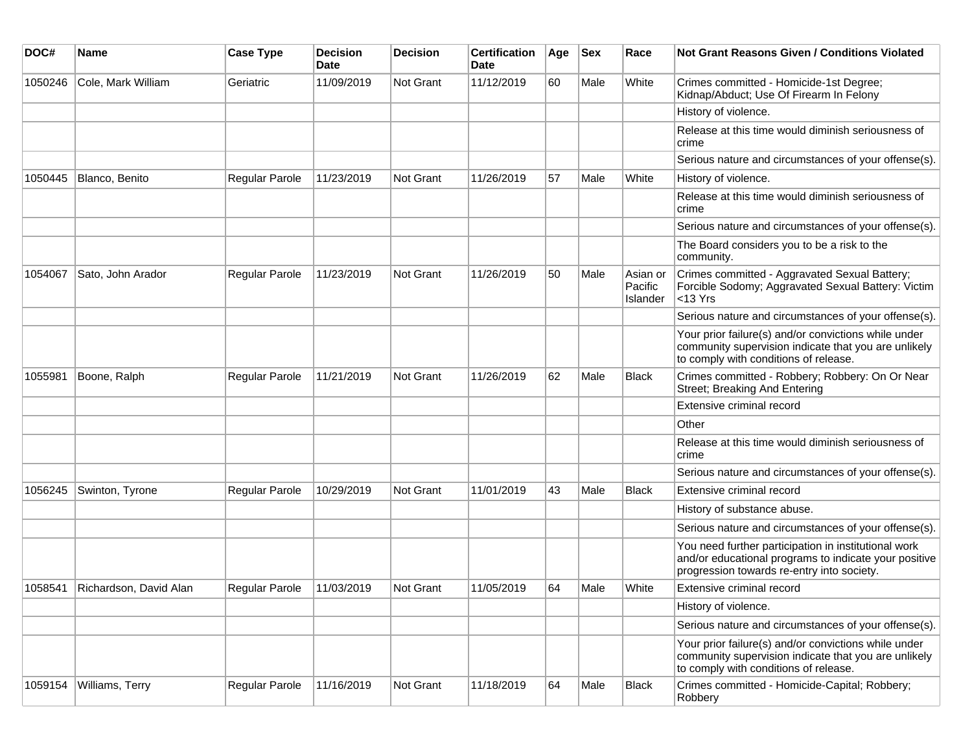| DOC#    | <b>Name</b>            | <b>Case Type</b>      | <b>Decision</b><br>Date | <b>Decision</b> | <b>Certification</b><br>Date | Age | <b>Sex</b> | Race                            | <b>Not Grant Reasons Given / Conditions Violated</b>                                                                                                        |
|---------|------------------------|-----------------------|-------------------------|-----------------|------------------------------|-----|------------|---------------------------------|-------------------------------------------------------------------------------------------------------------------------------------------------------------|
| 1050246 | Cole, Mark William     | Geriatric             | 11/09/2019              | Not Grant       | 11/12/2019                   | 60  | Male       | White                           | Crimes committed - Homicide-1st Degree;<br>Kidnap/Abduct; Use Of Firearm In Felony                                                                          |
|         |                        |                       |                         |                 |                              |     |            |                                 | History of violence.                                                                                                                                        |
|         |                        |                       |                         |                 |                              |     |            |                                 | Release at this time would diminish seriousness of<br>crime                                                                                                 |
|         |                        |                       |                         |                 |                              |     |            |                                 | Serious nature and circumstances of your offense(s).                                                                                                        |
| 1050445 | Blanco, Benito         | Regular Parole        | 11/23/2019              | Not Grant       | 11/26/2019                   | 57  | Male       | White                           | History of violence.                                                                                                                                        |
|         |                        |                       |                         |                 |                              |     |            |                                 | Release at this time would diminish seriousness of<br>crime                                                                                                 |
|         |                        |                       |                         |                 |                              |     |            |                                 | Serious nature and circumstances of your offense(s).                                                                                                        |
|         |                        |                       |                         |                 |                              |     |            |                                 | The Board considers you to be a risk to the<br>community.                                                                                                   |
| 1054067 | Sato, John Arador      | Regular Parole        | 11/23/2019              | Not Grant       | 11/26/2019                   | 50  | Male       | Asian or<br>Pacific<br>Islander | Crimes committed - Aggravated Sexual Battery;<br>Forcible Sodomy; Aggravated Sexual Battery: Victim<br>$<$ 13 Yrs                                           |
|         |                        |                       |                         |                 |                              |     |            |                                 | Serious nature and circumstances of your offense(s).                                                                                                        |
|         |                        |                       |                         |                 |                              |     |            |                                 | Your prior failure(s) and/or convictions while under<br>community supervision indicate that you are unlikely<br>to comply with conditions of release.       |
| 1055981 | Boone, Ralph           | Regular Parole        | 11/21/2019              | Not Grant       | 11/26/2019                   | 62  | Male       | <b>Black</b>                    | Crimes committed - Robbery; Robbery: On Or Near<br>Street; Breaking And Entering                                                                            |
|         |                        |                       |                         |                 |                              |     |            |                                 | Extensive criminal record                                                                                                                                   |
|         |                        |                       |                         |                 |                              |     |            |                                 | Other                                                                                                                                                       |
|         |                        |                       |                         |                 |                              |     |            |                                 | Release at this time would diminish seriousness of<br>crime                                                                                                 |
|         |                        |                       |                         |                 |                              |     |            |                                 | Serious nature and circumstances of your offense(s).                                                                                                        |
| 1056245 | Swinton, Tyrone        | Regular Parole        | 10/29/2019              | Not Grant       | 11/01/2019                   | 43  | Male       | <b>Black</b>                    | Extensive criminal record                                                                                                                                   |
|         |                        |                       |                         |                 |                              |     |            |                                 | History of substance abuse.                                                                                                                                 |
|         |                        |                       |                         |                 |                              |     |            |                                 | Serious nature and circumstances of your offense(s).                                                                                                        |
|         |                        |                       |                         |                 |                              |     |            |                                 | You need further participation in institutional work<br>and/or educational programs to indicate your positive<br>progression towards re-entry into society. |
| 1058541 | Richardson, David Alan | <b>Regular Parole</b> | 11/03/2019              | Not Grant       | 11/05/2019                   | 64  | Male       | White                           | Extensive criminal record                                                                                                                                   |
|         |                        |                       |                         |                 |                              |     |            |                                 | History of violence.                                                                                                                                        |
|         |                        |                       |                         |                 |                              |     |            |                                 | Serious nature and circumstances of your offense(s).                                                                                                        |
|         |                        |                       |                         |                 |                              |     |            |                                 | Your prior failure(s) and/or convictions while under<br>community supervision indicate that you are unlikely<br>to comply with conditions of release.       |
| 1059154 | Williams, Terry        | Regular Parole        | 11/16/2019              | Not Grant       | 11/18/2019                   | 64  | Male       | Black                           | Crimes committed - Homicide-Capital; Robbery;<br>Robbery                                                                                                    |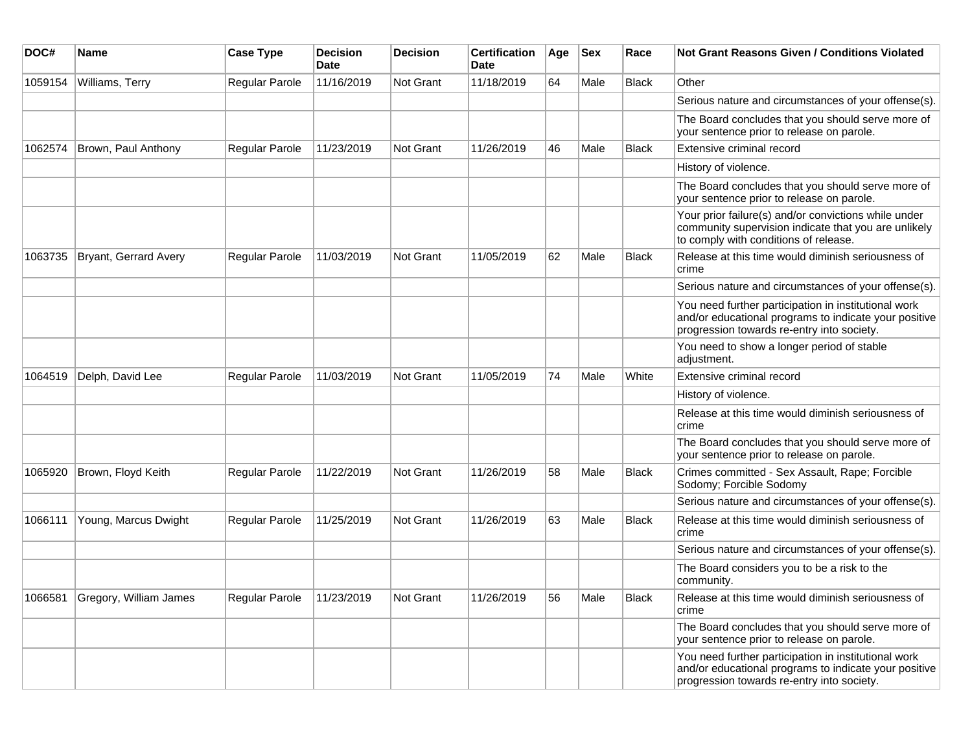| DOC#    | Name                   | <b>Case Type</b>      | <b>Decision</b><br><b>Date</b> | <b>Decision</b> | <b>Certification</b><br>Date | Age | <b>Sex</b> | Race         | <b>Not Grant Reasons Given / Conditions Violated</b>                                                                                                        |
|---------|------------------------|-----------------------|--------------------------------|-----------------|------------------------------|-----|------------|--------------|-------------------------------------------------------------------------------------------------------------------------------------------------------------|
| 1059154 | Williams, Terry        | Regular Parole        | 11/16/2019                     | Not Grant       | 11/18/2019                   | 64  | Male       | <b>Black</b> | Other                                                                                                                                                       |
|         |                        |                       |                                |                 |                              |     |            |              | Serious nature and circumstances of your offense(s).                                                                                                        |
|         |                        |                       |                                |                 |                              |     |            |              | The Board concludes that you should serve more of<br>your sentence prior to release on parole.                                                              |
| 1062574 | Brown, Paul Anthony    | <b>Regular Parole</b> | 11/23/2019                     | Not Grant       | 11/26/2019                   | 46  | Male       | <b>Black</b> | Extensive criminal record                                                                                                                                   |
|         |                        |                       |                                |                 |                              |     |            |              | History of violence.                                                                                                                                        |
|         |                        |                       |                                |                 |                              |     |            |              | The Board concludes that you should serve more of<br>your sentence prior to release on parole.                                                              |
|         |                        |                       |                                |                 |                              |     |            |              | Your prior failure(s) and/or convictions while under<br>community supervision indicate that you are unlikely<br>to comply with conditions of release.       |
| 1063735 | Bryant, Gerrard Avery  | Regular Parole        | 11/03/2019                     | Not Grant       | 11/05/2019                   | 62  | Male       | <b>Black</b> | Release at this time would diminish seriousness of<br>crime                                                                                                 |
|         |                        |                       |                                |                 |                              |     |            |              | Serious nature and circumstances of your offense(s).                                                                                                        |
|         |                        |                       |                                |                 |                              |     |            |              | You need further participation in institutional work<br>and/or educational programs to indicate your positive<br>progression towards re-entry into society. |
|         |                        |                       |                                |                 |                              |     |            |              | You need to show a longer period of stable<br>adjustment.                                                                                                   |
| 1064519 | Delph, David Lee       | Regular Parole        | 11/03/2019                     | Not Grant       | 11/05/2019                   | 74  | Male       | White        | Extensive criminal record                                                                                                                                   |
|         |                        |                       |                                |                 |                              |     |            |              | History of violence.                                                                                                                                        |
|         |                        |                       |                                |                 |                              |     |            |              | Release at this time would diminish seriousness of<br>crime                                                                                                 |
|         |                        |                       |                                |                 |                              |     |            |              | The Board concludes that you should serve more of<br>your sentence prior to release on parole.                                                              |
| 1065920 | Brown, Floyd Keith     | Regular Parole        | 11/22/2019                     | Not Grant       | 11/26/2019                   | 58  | Male       | <b>Black</b> | Crimes committed - Sex Assault, Rape; Forcible<br>Sodomy; Forcible Sodomy                                                                                   |
|         |                        |                       |                                |                 |                              |     |            |              | Serious nature and circumstances of your offense(s).                                                                                                        |
| 1066111 | Young, Marcus Dwight   | Regular Parole        | 11/25/2019                     | Not Grant       | 11/26/2019                   | 63  | Male       | <b>Black</b> | Release at this time would diminish seriousness of<br>crime                                                                                                 |
|         |                        |                       |                                |                 |                              |     |            |              | Serious nature and circumstances of your offense(s).                                                                                                        |
|         |                        |                       |                                |                 |                              |     |            |              | The Board considers you to be a risk to the<br>community.                                                                                                   |
| 1066581 | Gregory, William James | Regular Parole        | 11/23/2019                     | Not Grant       | 11/26/2019                   | 56  | Male       | <b>Black</b> | Release at this time would diminish seriousness of<br>crime                                                                                                 |
|         |                        |                       |                                |                 |                              |     |            |              | The Board concludes that you should serve more of<br>your sentence prior to release on parole.                                                              |
|         |                        |                       |                                |                 |                              |     |            |              | You need further participation in institutional work<br>and/or educational programs to indicate your positive<br>progression towards re-entry into society. |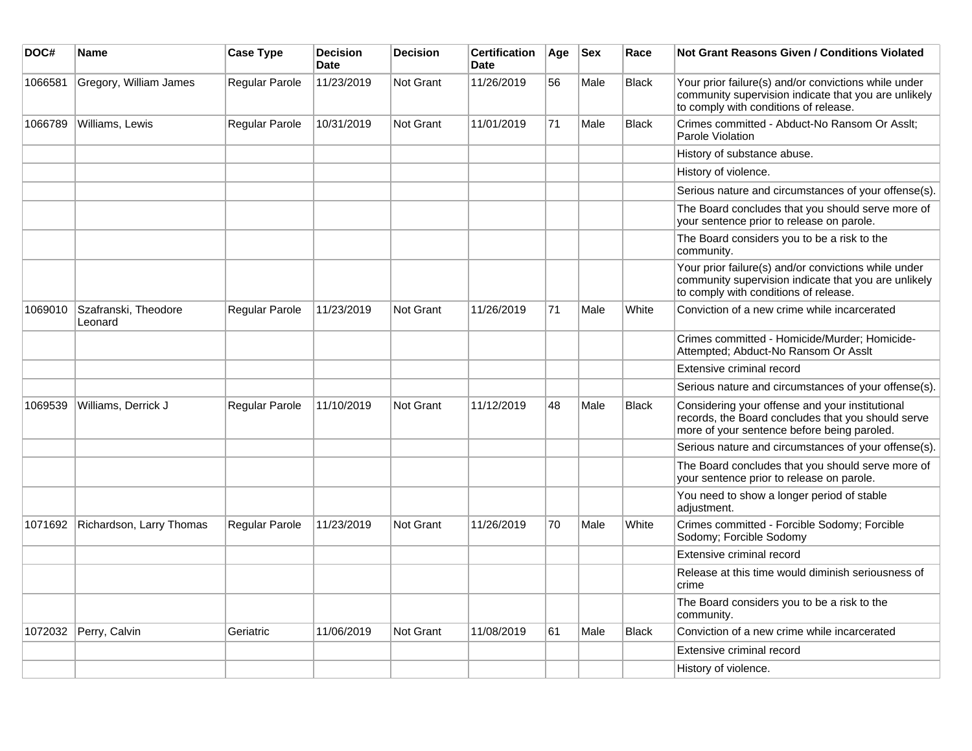| DOC#    | Name                            | <b>Case Type</b> | <b>Decision</b><br><b>Date</b> | <b>Decision</b> | <b>Certification</b><br><b>Date</b> | Age | $ $ Sex | Race         | <b>Not Grant Reasons Given / Conditions Violated</b>                                                                                                  |
|---------|---------------------------------|------------------|--------------------------------|-----------------|-------------------------------------|-----|---------|--------------|-------------------------------------------------------------------------------------------------------------------------------------------------------|
| 1066581 | Gregory, William James          | Regular Parole   | 11/23/2019                     | Not Grant       | 11/26/2019                          | 56  | Male    | <b>Black</b> | Your prior failure(s) and/or convictions while under<br>community supervision indicate that you are unlikely<br>to comply with conditions of release. |
| 1066789 | Williams, Lewis                 | Regular Parole   | 10/31/2019                     | Not Grant       | 11/01/2019                          | 71  | Male    | <b>Black</b> | Crimes committed - Abduct-No Ransom Or Asslt;<br>Parole Violation                                                                                     |
|         |                                 |                  |                                |                 |                                     |     |         |              | History of substance abuse.                                                                                                                           |
|         |                                 |                  |                                |                 |                                     |     |         |              | History of violence.                                                                                                                                  |
|         |                                 |                  |                                |                 |                                     |     |         |              | Serious nature and circumstances of your offense(s).                                                                                                  |
|         |                                 |                  |                                |                 |                                     |     |         |              | The Board concludes that you should serve more of<br>your sentence prior to release on parole.                                                        |
|         |                                 |                  |                                |                 |                                     |     |         |              | The Board considers you to be a risk to the<br>community.                                                                                             |
|         |                                 |                  |                                |                 |                                     |     |         |              | Your prior failure(s) and/or convictions while under<br>community supervision indicate that you are unlikely<br>to comply with conditions of release. |
| 1069010 | Szafranski, Theodore<br>Leonard | Regular Parole   | 11/23/2019                     | Not Grant       | 11/26/2019                          | 71  | Male    | White        | Conviction of a new crime while incarcerated                                                                                                          |
|         |                                 |                  |                                |                 |                                     |     |         |              | Crimes committed - Homicide/Murder; Homicide-<br>Attempted; Abduct-No Ransom Or Asslt                                                                 |
|         |                                 |                  |                                |                 |                                     |     |         |              | Extensive criminal record                                                                                                                             |
|         |                                 |                  |                                |                 |                                     |     |         |              | Serious nature and circumstances of your offense(s).                                                                                                  |
| 1069539 | Williams, Derrick J             | Regular Parole   | 11/10/2019                     | Not Grant       | 11/12/2019                          | 48  | Male    | <b>Black</b> | Considering your offense and your institutional<br>records, the Board concludes that you should serve<br>more of your sentence before being paroled.  |
|         |                                 |                  |                                |                 |                                     |     |         |              | Serious nature and circumstances of your offense(s).                                                                                                  |
|         |                                 |                  |                                |                 |                                     |     |         |              | The Board concludes that you should serve more of<br>your sentence prior to release on parole.                                                        |
|         |                                 |                  |                                |                 |                                     |     |         |              | You need to show a longer period of stable<br>adjustment.                                                                                             |
| 1071692 | Richardson, Larry Thomas        | Regular Parole   | 11/23/2019                     | Not Grant       | 11/26/2019                          | 70  | Male    | White        | Crimes committed - Forcible Sodomy; Forcible<br>Sodomy; Forcible Sodomy                                                                               |
|         |                                 |                  |                                |                 |                                     |     |         |              | Extensive criminal record                                                                                                                             |
|         |                                 |                  |                                |                 |                                     |     |         |              | Release at this time would diminish seriousness of<br>crime                                                                                           |
|         |                                 |                  |                                |                 |                                     |     |         |              | The Board considers you to be a risk to the<br>community.                                                                                             |
|         | 1072032 Perry, Calvin           | Geriatric        | 11/06/2019                     | Not Grant       | 11/08/2019                          | 61  | Male    | <b>Black</b> | Conviction of a new crime while incarcerated                                                                                                          |
|         |                                 |                  |                                |                 |                                     |     |         |              | Extensive criminal record                                                                                                                             |
|         |                                 |                  |                                |                 |                                     |     |         |              | History of violence.                                                                                                                                  |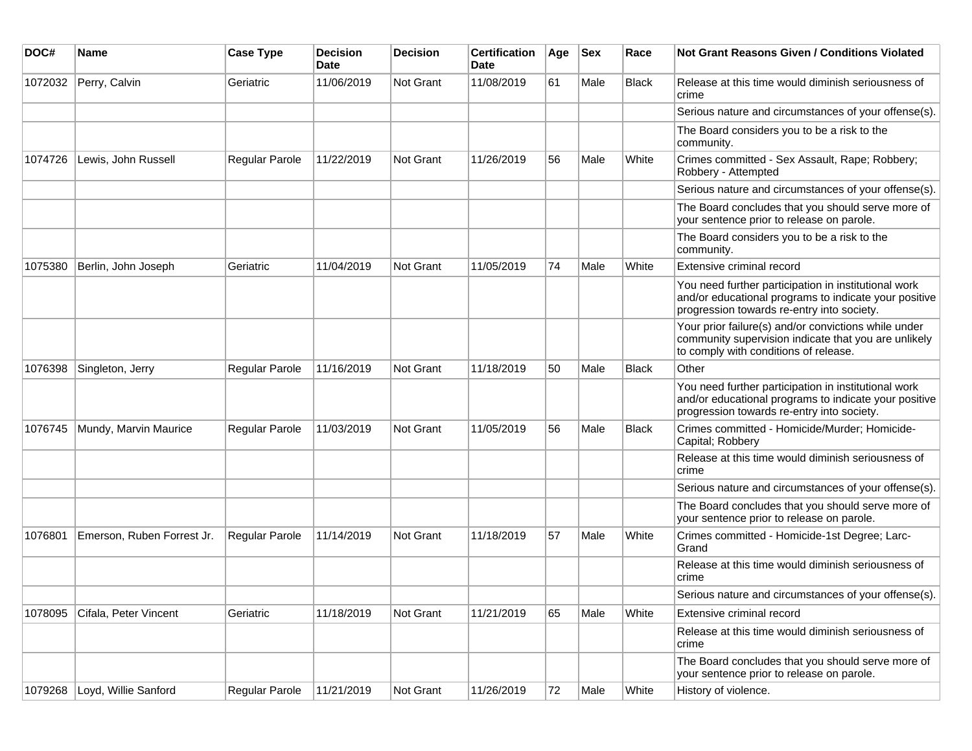| DOC#    | <b>Name</b>                | <b>Case Type</b>      | <b>Decision</b><br><b>Date</b> | <b>Decision</b>  | <b>Certification</b><br>Date | Age | <b>Sex</b> | Race         | <b>Not Grant Reasons Given / Conditions Violated</b>                                                                                                        |
|---------|----------------------------|-----------------------|--------------------------------|------------------|------------------------------|-----|------------|--------------|-------------------------------------------------------------------------------------------------------------------------------------------------------------|
| 1072032 | Perry, Calvin              | Geriatric             | 11/06/2019                     | Not Grant        | 11/08/2019                   | 61  | Male       | Black        | Release at this time would diminish seriousness of<br>crime                                                                                                 |
|         |                            |                       |                                |                  |                              |     |            |              | Serious nature and circumstances of your offense(s).                                                                                                        |
|         |                            |                       |                                |                  |                              |     |            |              | The Board considers you to be a risk to the<br>community.                                                                                                   |
| 1074726 | Lewis, John Russell        | Regular Parole        | 11/22/2019                     | <b>Not Grant</b> | 11/26/2019                   | 56  | Male       | White        | Crimes committed - Sex Assault, Rape; Robbery;<br>Robbery - Attempted                                                                                       |
|         |                            |                       |                                |                  |                              |     |            |              | Serious nature and circumstances of your offense(s).                                                                                                        |
|         |                            |                       |                                |                  |                              |     |            |              | The Board concludes that you should serve more of<br>your sentence prior to release on parole.                                                              |
|         |                            |                       |                                |                  |                              |     |            |              | The Board considers you to be a risk to the<br>community.                                                                                                   |
| 1075380 | Berlin, John Joseph        | Geriatric             | 11/04/2019                     | <b>Not Grant</b> | 11/05/2019                   | 74  | Male       | White        | Extensive criminal record                                                                                                                                   |
|         |                            |                       |                                |                  |                              |     |            |              | You need further participation in institutional work<br>and/or educational programs to indicate your positive<br>progression towards re-entry into society. |
|         |                            |                       |                                |                  |                              |     |            |              | Your prior failure(s) and/or convictions while under<br>community supervision indicate that you are unlikely<br>to comply with conditions of release.       |
| 1076398 | Singleton, Jerry           | <b>Regular Parole</b> | 11/16/2019                     | Not Grant        | 11/18/2019                   | 50  | Male       | <b>Black</b> | Other                                                                                                                                                       |
|         |                            |                       |                                |                  |                              |     |            |              | You need further participation in institutional work<br>and/or educational programs to indicate your positive<br>progression towards re-entry into society. |
| 1076745 | Mundy, Marvin Maurice      | <b>Regular Parole</b> | 11/03/2019                     | Not Grant        | 11/05/2019                   | 56  | Male       | Black        | Crimes committed - Homicide/Murder; Homicide-<br>Capital; Robbery                                                                                           |
|         |                            |                       |                                |                  |                              |     |            |              | Release at this time would diminish seriousness of<br>crime                                                                                                 |
|         |                            |                       |                                |                  |                              |     |            |              | Serious nature and circumstances of your offense(s).                                                                                                        |
|         |                            |                       |                                |                  |                              |     |            |              | The Board concludes that you should serve more of<br>your sentence prior to release on parole.                                                              |
| 1076801 | Emerson, Ruben Forrest Jr. | Regular Parole        | 11/14/2019                     | Not Grant        | 11/18/2019                   | 57  | Male       | White        | Crimes committed - Homicide-1st Degree; Larc-<br>Grand                                                                                                      |
|         |                            |                       |                                |                  |                              |     |            |              | Release at this time would diminish seriousness of<br>crime                                                                                                 |
|         |                            |                       |                                |                  |                              |     |            |              | Serious nature and circumstances of your offense(s).                                                                                                        |
| 1078095 | Cifala. Peter Vincent      | Geriatric             | 11/18/2019                     | Not Grant        | 11/21/2019                   | 65  | Male       | White        | Extensive criminal record                                                                                                                                   |
|         |                            |                       |                                |                  |                              |     |            |              | Release at this time would diminish seriousness of<br>crime                                                                                                 |
|         |                            |                       |                                |                  |                              |     |            |              | The Board concludes that you should serve more of<br>your sentence prior to release on parole.                                                              |
| 1079268 | Loyd, Willie Sanford       | Regular Parole        | 11/21/2019                     | Not Grant        | 11/26/2019                   | 72  | Male       | White        | History of violence.                                                                                                                                        |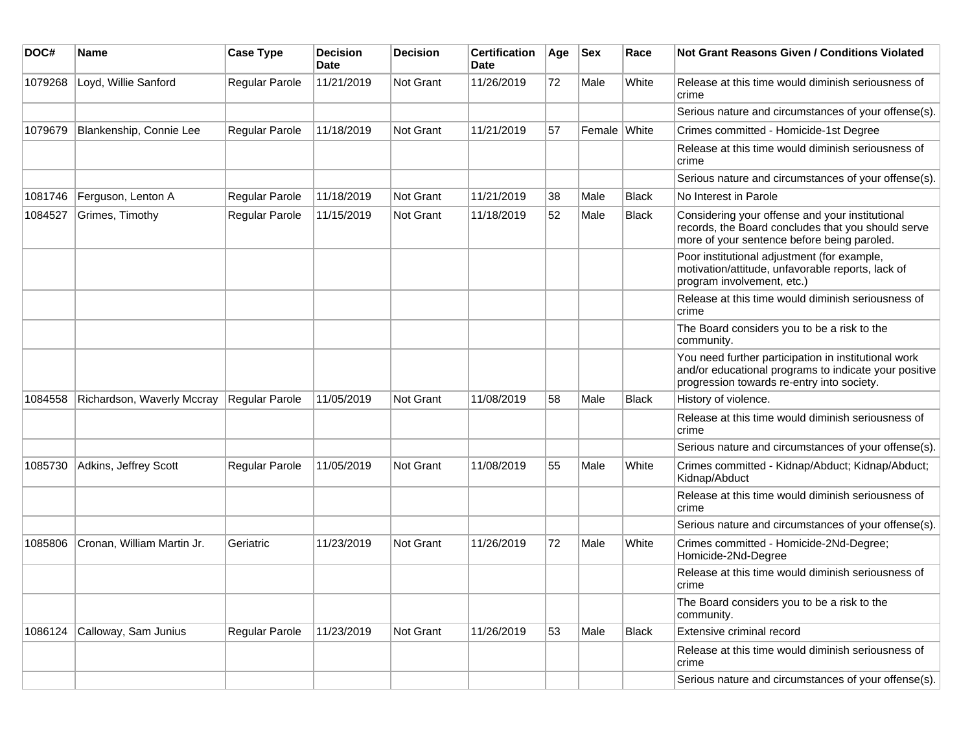| DOC#    | <b>Name</b>                | <b>Case Type</b>      | <b>Decision</b><br>Date | <b>Decision</b> | <b>Certification</b><br>Date | Age | <b>Sex</b>   | Race         | Not Grant Reasons Given / Conditions Violated                                                                                                               |
|---------|----------------------------|-----------------------|-------------------------|-----------------|------------------------------|-----|--------------|--------------|-------------------------------------------------------------------------------------------------------------------------------------------------------------|
| 1079268 | Loyd, Willie Sanford       | Regular Parole        | 11/21/2019              | Not Grant       | 11/26/2019                   | 72  | Male         | White        | Release at this time would diminish seriousness of<br>crime                                                                                                 |
|         |                            |                       |                         |                 |                              |     |              |              | Serious nature and circumstances of your offense(s).                                                                                                        |
| 1079679 | Blankenship, Connie Lee    | <b>Regular Parole</b> | 11/18/2019              | Not Grant       | 11/21/2019                   | 57  | Female White |              | Crimes committed - Homicide-1st Degree                                                                                                                      |
|         |                            |                       |                         |                 |                              |     |              |              | Release at this time would diminish seriousness of<br>crime                                                                                                 |
|         |                            |                       |                         |                 |                              |     |              |              | Serious nature and circumstances of your offense(s).                                                                                                        |
| 1081746 | Ferguson, Lenton A         | <b>Regular Parole</b> | 11/18/2019              | Not Grant       | 11/21/2019                   | 38  | Male         | <b>Black</b> | No Interest in Parole                                                                                                                                       |
| 1084527 | Grimes, Timothy            | Regular Parole        | 11/15/2019              | Not Grant       | 11/18/2019                   | 52  | Male         | <b>Black</b> | Considering your offense and your institutional<br>records, the Board concludes that you should serve<br>more of your sentence before being paroled.        |
|         |                            |                       |                         |                 |                              |     |              |              | Poor institutional adjustment (for example,<br>motivation/attitude, unfavorable reports, lack of<br>program involvement, etc.)                              |
|         |                            |                       |                         |                 |                              |     |              |              | Release at this time would diminish seriousness of<br>crime                                                                                                 |
|         |                            |                       |                         |                 |                              |     |              |              | The Board considers you to be a risk to the<br>community.                                                                                                   |
|         |                            |                       |                         |                 |                              |     |              |              | You need further participation in institutional work<br>and/or educational programs to indicate your positive<br>progression towards re-entry into society. |
| 1084558 | Richardson, Waverly Mccray | <b>Regular Parole</b> | 11/05/2019              | Not Grant       | 11/08/2019                   | 58  | Male         | <b>Black</b> | History of violence.                                                                                                                                        |
|         |                            |                       |                         |                 |                              |     |              |              | Release at this time would diminish seriousness of<br>crime                                                                                                 |
|         |                            |                       |                         |                 |                              |     |              |              | Serious nature and circumstances of your offense(s).                                                                                                        |
| 1085730 | Adkins, Jeffrey Scott      | <b>Regular Parole</b> | 11/05/2019              | Not Grant       | 11/08/2019                   | 55  | Male         | White        | Crimes committed - Kidnap/Abduct; Kidnap/Abduct;<br>Kidnap/Abduct                                                                                           |
|         |                            |                       |                         |                 |                              |     |              |              | Release at this time would diminish seriousness of<br>crime                                                                                                 |
|         |                            |                       |                         |                 |                              |     |              |              | Serious nature and circumstances of your offense(s).                                                                                                        |
| 1085806 | Cronan, William Martin Jr. | Geriatric             | 11/23/2019              | Not Grant       | 11/26/2019                   | 72  | Male         | White        | Crimes committed - Homicide-2Nd-Degree;<br>Homicide-2Nd-Degree                                                                                              |
|         |                            |                       |                         |                 |                              |     |              |              | Release at this time would diminish seriousness of<br>crime                                                                                                 |
|         |                            |                       |                         |                 |                              |     |              |              | The Board considers you to be a risk to the<br>community.                                                                                                   |
| 1086124 | Calloway, Sam Junius       | Regular Parole        | 11/23/2019              | Not Grant       | 11/26/2019                   | 53  | Male         | Black        | Extensive criminal record                                                                                                                                   |
|         |                            |                       |                         |                 |                              |     |              |              | Release at this time would diminish seriousness of<br>crime                                                                                                 |
|         |                            |                       |                         |                 |                              |     |              |              | Serious nature and circumstances of your offense(s).                                                                                                        |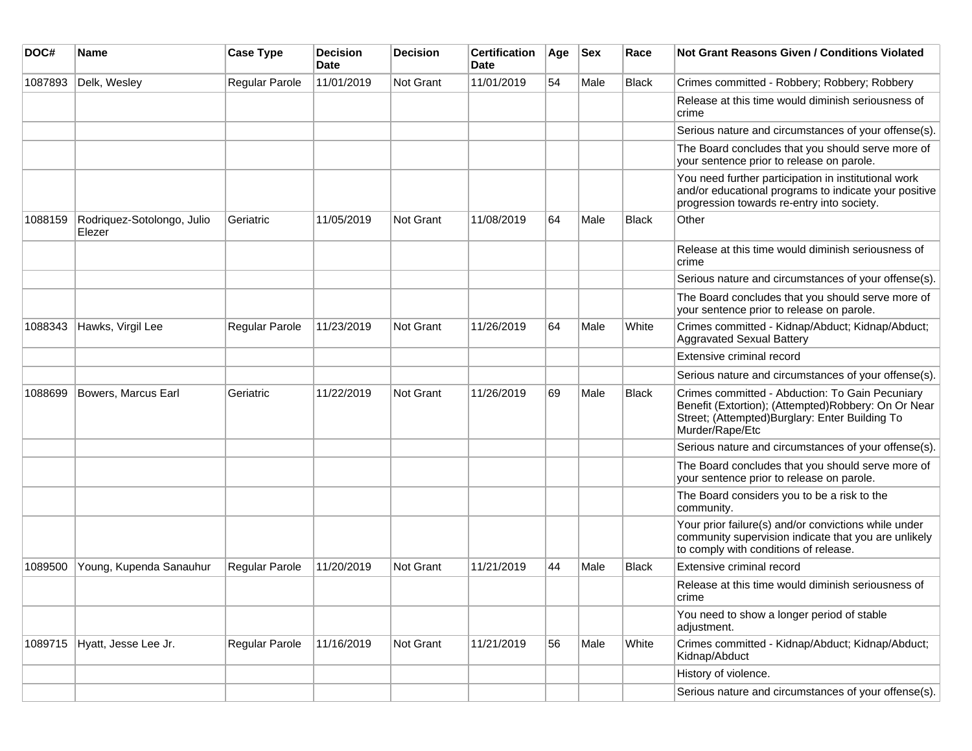| DOC#    | <b>Name</b>                          | <b>Case Type</b> | <b>Decision</b><br>Date | <b>Decision</b> | <b>Certification</b><br>Date | Age | <b>Sex</b> | Race         | <b>Not Grant Reasons Given / Conditions Violated</b>                                                                                                                         |
|---------|--------------------------------------|------------------|-------------------------|-----------------|------------------------------|-----|------------|--------------|------------------------------------------------------------------------------------------------------------------------------------------------------------------------------|
| 1087893 | Delk, Wesley                         | Regular Parole   | 11/01/2019              | Not Grant       | 11/01/2019                   | 54  | Male       | <b>Black</b> | Crimes committed - Robbery; Robbery; Robbery                                                                                                                                 |
|         |                                      |                  |                         |                 |                              |     |            |              | Release at this time would diminish seriousness of<br>crime                                                                                                                  |
|         |                                      |                  |                         |                 |                              |     |            |              | Serious nature and circumstances of your offense(s).                                                                                                                         |
|         |                                      |                  |                         |                 |                              |     |            |              | The Board concludes that you should serve more of<br>your sentence prior to release on parole.                                                                               |
|         |                                      |                  |                         |                 |                              |     |            |              | You need further participation in institutional work<br>and/or educational programs to indicate your positive<br>progression towards re-entry into society.                  |
| 1088159 | Rodriquez-Sotolongo, Julio<br>Elezer | Geriatric        | 11/05/2019              | Not Grant       | 11/08/2019                   | 64  | Male       | <b>Black</b> | Other                                                                                                                                                                        |
|         |                                      |                  |                         |                 |                              |     |            |              | Release at this time would diminish seriousness of<br>crime                                                                                                                  |
|         |                                      |                  |                         |                 |                              |     |            |              | Serious nature and circumstances of your offense(s).                                                                                                                         |
|         |                                      |                  |                         |                 |                              |     |            |              | The Board concludes that you should serve more of<br>your sentence prior to release on parole.                                                                               |
| 1088343 | Hawks, Virgil Lee                    | Regular Parole   | 11/23/2019              | Not Grant       | 11/26/2019                   | 64  | Male       | White        | Crimes committed - Kidnap/Abduct; Kidnap/Abduct;<br>Aggravated Sexual Battery                                                                                                |
|         |                                      |                  |                         |                 |                              |     |            |              | Extensive criminal record                                                                                                                                                    |
|         |                                      |                  |                         |                 |                              |     |            |              | Serious nature and circumstances of your offense(s).                                                                                                                         |
| 1088699 | Bowers, Marcus Earl                  | Geriatric        | 11/22/2019              | Not Grant       | 11/26/2019                   | 69  | Male       | Black        | Crimes committed - Abduction: To Gain Pecuniary<br>Benefit (Extortion); (Attempted)Robbery: On Or Near<br>Street; (Attempted) Burglary: Enter Building To<br>Murder/Rape/Etc |
|         |                                      |                  |                         |                 |                              |     |            |              | Serious nature and circumstances of your offense(s).                                                                                                                         |
|         |                                      |                  |                         |                 |                              |     |            |              | The Board concludes that you should serve more of<br>your sentence prior to release on parole.                                                                               |
|         |                                      |                  |                         |                 |                              |     |            |              | The Board considers you to be a risk to the<br>community.                                                                                                                    |
|         |                                      |                  |                         |                 |                              |     |            |              | Your prior failure(s) and/or convictions while under<br>community supervision indicate that you are unlikely<br>to comply with conditions of release.                        |
| 1089500 | Young, Kupenda Sanauhur              | Regular Parole   | 11/20/2019              | Not Grant       | 11/21/2019                   | 44  | Male       | <b>Black</b> | Extensive criminal record                                                                                                                                                    |
|         |                                      |                  |                         |                 |                              |     |            |              | Release at this time would diminish seriousness of<br>crime                                                                                                                  |
|         |                                      |                  |                         |                 |                              |     |            |              | You need to show a longer period of stable<br>adjustment.                                                                                                                    |
| 1089715 | Hyatt, Jesse Lee Jr.                 | Regular Parole   | 11/16/2019              | Not Grant       | 11/21/2019                   | 56  | Male       | White        | Crimes committed - Kidnap/Abduct; Kidnap/Abduct;<br>Kidnap/Abduct                                                                                                            |
|         |                                      |                  |                         |                 |                              |     |            |              | History of violence.                                                                                                                                                         |
|         |                                      |                  |                         |                 |                              |     |            |              | Serious nature and circumstances of your offense(s).                                                                                                                         |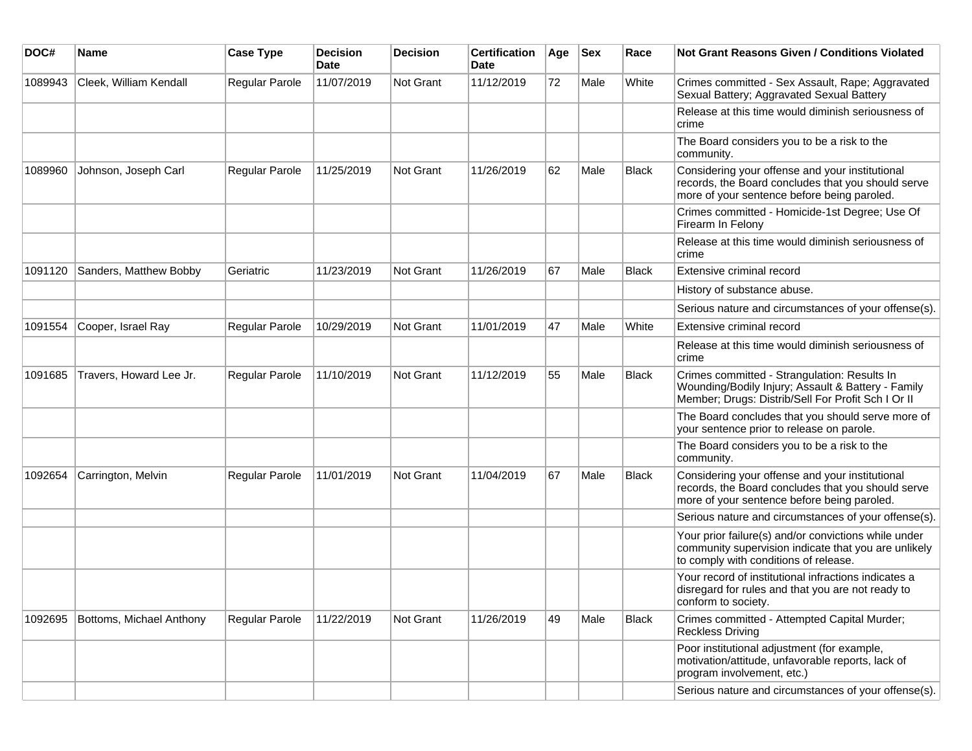| DOC#    | Name                     | <b>Case Type</b> | <b>Decision</b><br>Date | <b>Decision</b>  | <b>Certification</b><br>Date | Age | <b>Sex</b> | Race         | <b>Not Grant Reasons Given / Conditions Violated</b>                                                                                                     |
|---------|--------------------------|------------------|-------------------------|------------------|------------------------------|-----|------------|--------------|----------------------------------------------------------------------------------------------------------------------------------------------------------|
| 1089943 | Cleek, William Kendall   | Regular Parole   | 11/07/2019              | <b>Not Grant</b> | 11/12/2019                   | 72  | Male       | White        | Crimes committed - Sex Assault, Rape; Aggravated<br>Sexual Battery; Aggravated Sexual Battery                                                            |
|         |                          |                  |                         |                  |                              |     |            |              | Release at this time would diminish seriousness of<br>crime                                                                                              |
|         |                          |                  |                         |                  |                              |     |            |              | The Board considers you to be a risk to the<br>community.                                                                                                |
| 1089960 | Johnson, Joseph Carl     | Regular Parole   | 11/25/2019              | Not Grant        | 11/26/2019                   | 62  | Male       | <b>Black</b> | Considering your offense and your institutional<br>records, the Board concludes that you should serve<br>more of your sentence before being paroled.     |
|         |                          |                  |                         |                  |                              |     |            |              | Crimes committed - Homicide-1st Degree; Use Of<br>Firearm In Felony                                                                                      |
|         |                          |                  |                         |                  |                              |     |            |              | Release at this time would diminish seriousness of<br>crime                                                                                              |
| 1091120 | Sanders, Matthew Bobby   | Geriatric        | 11/23/2019              | <b>Not Grant</b> | 11/26/2019                   | 67  | Male       | <b>Black</b> | Extensive criminal record                                                                                                                                |
|         |                          |                  |                         |                  |                              |     |            |              | History of substance abuse.                                                                                                                              |
|         |                          |                  |                         |                  |                              |     |            |              | Serious nature and circumstances of your offense(s).                                                                                                     |
| 1091554 | Cooper, Israel Ray       | Regular Parole   | 10/29/2019              | <b>Not Grant</b> | 11/01/2019                   | 47  | Male       | White        | Extensive criminal record                                                                                                                                |
|         |                          |                  |                         |                  |                              |     |            |              | Release at this time would diminish seriousness of<br>crime                                                                                              |
| 1091685 | Travers, Howard Lee Jr.  | Regular Parole   | 11/10/2019              | <b>Not Grant</b> | 11/12/2019                   | 55  | Male       | <b>Black</b> | Crimes committed - Strangulation: Results In<br>Wounding/Bodily Injury; Assault & Battery - Family<br>Member; Drugs: Distrib/Sell For Profit Sch I Or II |
|         |                          |                  |                         |                  |                              |     |            |              | The Board concludes that you should serve more of<br>your sentence prior to release on parole.                                                           |
|         |                          |                  |                         |                  |                              |     |            |              | The Board considers you to be a risk to the<br>community.                                                                                                |
| 1092654 | Carrington, Melvin       | Regular Parole   | 11/01/2019              | <b>Not Grant</b> | 11/04/2019                   | 67  | Male       | <b>Black</b> | Considering your offense and your institutional<br>records, the Board concludes that you should serve<br>more of your sentence before being paroled.     |
|         |                          |                  |                         |                  |                              |     |            |              | Serious nature and circumstances of your offense(s).                                                                                                     |
|         |                          |                  |                         |                  |                              |     |            |              | Your prior failure(s) and/or convictions while under<br>community supervision indicate that you are unlikely<br>to comply with conditions of release.    |
|         |                          |                  |                         |                  |                              |     |            |              | Your record of institutional infractions indicates a<br>disregard for rules and that you are not ready to<br>conform to society.                         |
| 1092695 | Bottoms, Michael Anthony | Regular Parole   | 11/22/2019              | <b>Not Grant</b> | 11/26/2019                   | 49  | Male       | <b>Black</b> | Crimes committed - Attempted Capital Murder;<br><b>Reckless Driving</b>                                                                                  |
|         |                          |                  |                         |                  |                              |     |            |              | Poor institutional adjustment (for example,<br>motivation/attitude, unfavorable reports, lack of<br>program involvement, etc.)                           |
|         |                          |                  |                         |                  |                              |     |            |              | Serious nature and circumstances of your offense(s).                                                                                                     |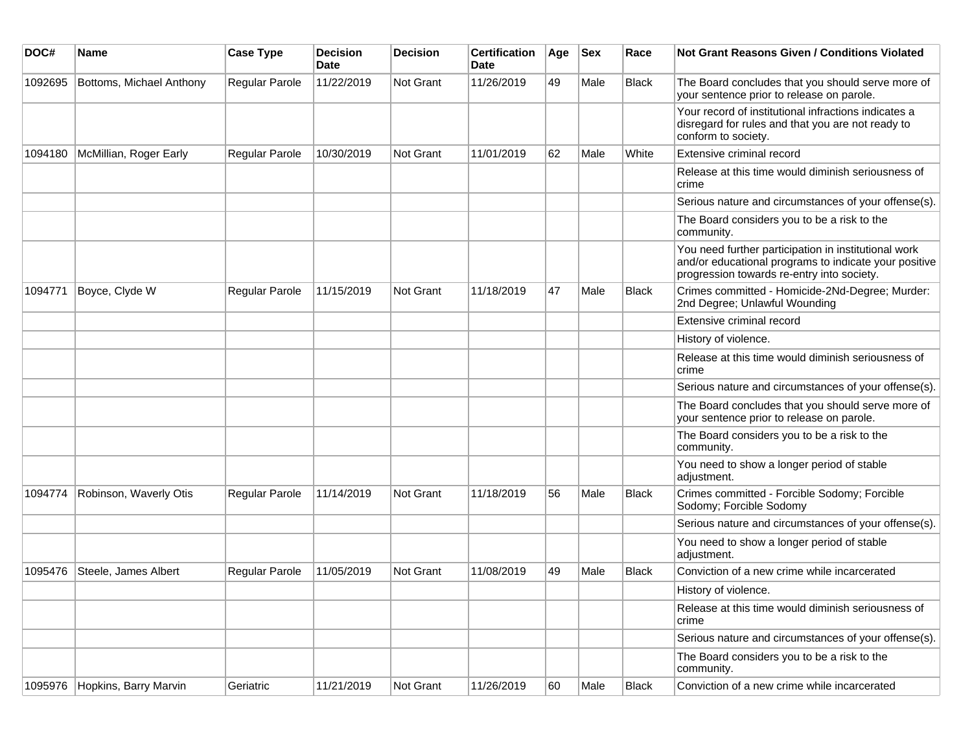| DOC#    | Name                     | <b>Case Type</b> | <b>Decision</b><br>Date | <b>Decision</b>  | <b>Certification</b><br>Date | Age | <b>Sex</b> | Race         | Not Grant Reasons Given / Conditions Violated                                                                                                               |
|---------|--------------------------|------------------|-------------------------|------------------|------------------------------|-----|------------|--------------|-------------------------------------------------------------------------------------------------------------------------------------------------------------|
| 1092695 | Bottoms, Michael Anthony | Regular Parole   | 11/22/2019              | Not Grant        | 11/26/2019                   | 49  | Male       | <b>Black</b> | The Board concludes that you should serve more of<br>your sentence prior to release on parole.                                                              |
|         |                          |                  |                         |                  |                              |     |            |              | Your record of institutional infractions indicates a<br>disregard for rules and that you are not ready to<br>conform to society.                            |
| 1094180 | McMillian, Roger Early   | Regular Parole   | 10/30/2019              | Not Grant        | 11/01/2019                   | 62  | Male       | White        | Extensive criminal record                                                                                                                                   |
|         |                          |                  |                         |                  |                              |     |            |              | Release at this time would diminish seriousness of<br>crime                                                                                                 |
|         |                          |                  |                         |                  |                              |     |            |              | Serious nature and circumstances of your offense(s).                                                                                                        |
|         |                          |                  |                         |                  |                              |     |            |              | The Board considers you to be a risk to the<br>community.                                                                                                   |
|         |                          |                  |                         |                  |                              |     |            |              | You need further participation in institutional work<br>and/or educational programs to indicate your positive<br>progression towards re-entry into society. |
| 1094771 | Boyce, Clyde W           | Regular Parole   | 11/15/2019              | Not Grant        | 11/18/2019                   | 47  | Male       | <b>Black</b> | Crimes committed - Homicide-2Nd-Degree; Murder:<br>2nd Degree; Unlawful Wounding                                                                            |
|         |                          |                  |                         |                  |                              |     |            |              | Extensive criminal record                                                                                                                                   |
|         |                          |                  |                         |                  |                              |     |            |              | History of violence.                                                                                                                                        |
|         |                          |                  |                         |                  |                              |     |            |              | Release at this time would diminish seriousness of<br>crime                                                                                                 |
|         |                          |                  |                         |                  |                              |     |            |              | Serious nature and circumstances of your offense(s).                                                                                                        |
|         |                          |                  |                         |                  |                              |     |            |              | The Board concludes that you should serve more of<br>your sentence prior to release on parole.                                                              |
|         |                          |                  |                         |                  |                              |     |            |              | The Board considers you to be a risk to the<br>community.                                                                                                   |
|         |                          |                  |                         |                  |                              |     |            |              | You need to show a longer period of stable<br>adjustment.                                                                                                   |
| 1094774 | Robinson, Waverly Otis   | Regular Parole   | 11/14/2019              | Not Grant        | 11/18/2019                   | 56  | Male       | <b>Black</b> | Crimes committed - Forcible Sodomy; Forcible<br>Sodomy; Forcible Sodomy                                                                                     |
|         |                          |                  |                         |                  |                              |     |            |              | Serious nature and circumstances of your offense(s).                                                                                                        |
|         |                          |                  |                         |                  |                              |     |            |              | You need to show a longer period of stable<br>adjustment.                                                                                                   |
| 1095476 | Steele, James Albert     | Regular Parole   | 11/05/2019              | <b>Not Grant</b> | 11/08/2019                   | 49  | Male       | <b>Black</b> | Conviction of a new crime while incarcerated                                                                                                                |
|         |                          |                  |                         |                  |                              |     |            |              | History of violence                                                                                                                                         |
|         |                          |                  |                         |                  |                              |     |            |              | Release at this time would diminish seriousness of<br>crime                                                                                                 |
|         |                          |                  |                         |                  |                              |     |            |              | Serious nature and circumstances of your offense(s).                                                                                                        |
|         |                          |                  |                         |                  |                              |     |            |              | The Board considers you to be a risk to the<br>community.                                                                                                   |
| 1095976 | Hopkins, Barry Marvin    | Geriatric        | 11/21/2019              | Not Grant        | 11/26/2019                   | 60  | Male       | Black        | Conviction of a new crime while incarcerated                                                                                                                |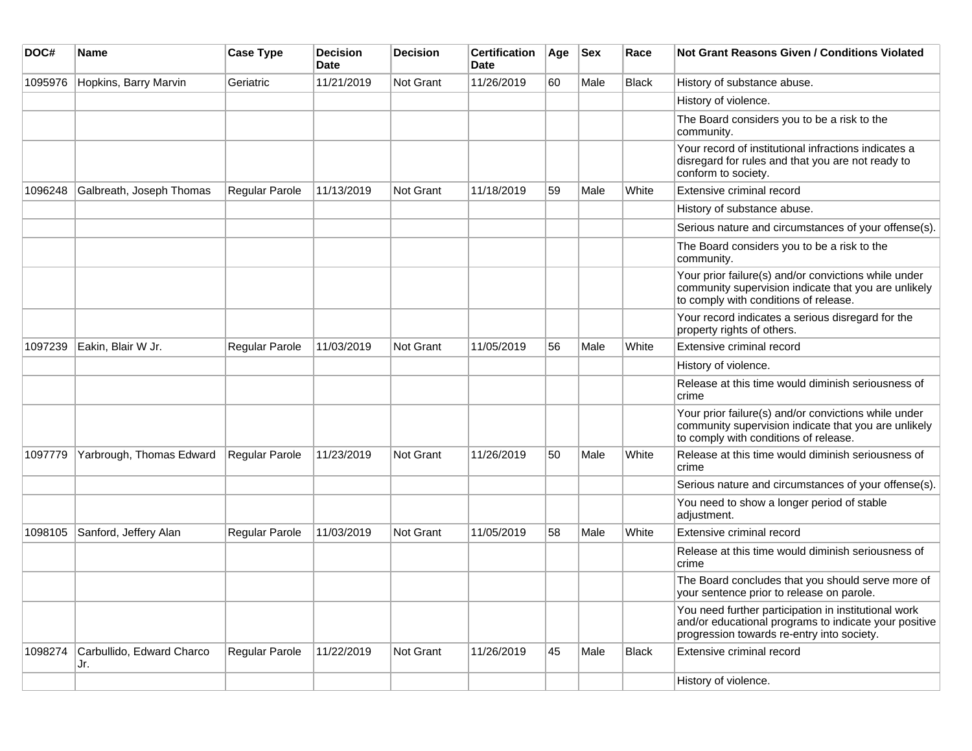| DOC#    | Name                             | <b>Case Type</b>      | <b>Decision</b><br><b>Date</b> | <b>Decision</b> | <b>Certification</b><br>Date | Age | <b>Sex</b> | Race         | <b>Not Grant Reasons Given / Conditions Violated</b>                                                                                                        |
|---------|----------------------------------|-----------------------|--------------------------------|-----------------|------------------------------|-----|------------|--------------|-------------------------------------------------------------------------------------------------------------------------------------------------------------|
| 1095976 | Hopkins, Barry Marvin            | Geriatric             | 11/21/2019                     | Not Grant       | 11/26/2019                   | 60  | Male       | <b>Black</b> | History of substance abuse.                                                                                                                                 |
|         |                                  |                       |                                |                 |                              |     |            |              | History of violence.                                                                                                                                        |
|         |                                  |                       |                                |                 |                              |     |            |              | The Board considers you to be a risk to the<br>community.                                                                                                   |
|         |                                  |                       |                                |                 |                              |     |            |              | Your record of institutional infractions indicates a<br>disregard for rules and that you are not ready to<br>conform to society.                            |
| 1096248 | Galbreath, Joseph Thomas         | Regular Parole        | 11/13/2019                     | Not Grant       | 11/18/2019                   | 59  | Male       | White        | Extensive criminal record                                                                                                                                   |
|         |                                  |                       |                                |                 |                              |     |            |              | History of substance abuse.                                                                                                                                 |
|         |                                  |                       |                                |                 |                              |     |            |              | Serious nature and circumstances of your offense(s).                                                                                                        |
|         |                                  |                       |                                |                 |                              |     |            |              | The Board considers you to be a risk to the<br>community.                                                                                                   |
|         |                                  |                       |                                |                 |                              |     |            |              | Your prior failure(s) and/or convictions while under<br>community supervision indicate that you are unlikely<br>to comply with conditions of release.       |
|         |                                  |                       |                                |                 |                              |     |            |              | Your record indicates a serious disregard for the<br>property rights of others.                                                                             |
| 1097239 | Eakin, Blair W Jr.               | Regular Parole        | 11/03/2019                     | Not Grant       | 11/05/2019                   | 56  | Male       | White        | Extensive criminal record                                                                                                                                   |
|         |                                  |                       |                                |                 |                              |     |            |              | History of violence.                                                                                                                                        |
|         |                                  |                       |                                |                 |                              |     |            |              | Release at this time would diminish seriousness of<br>crime                                                                                                 |
|         |                                  |                       |                                |                 |                              |     |            |              | Your prior failure(s) and/or convictions while under<br>community supervision indicate that you are unlikely<br>to comply with conditions of release.       |
| 1097779 | Yarbrough, Thomas Edward         | <b>Regular Parole</b> | 11/23/2019                     | Not Grant       | 11/26/2019                   | 50  | Male       | White        | Release at this time would diminish seriousness of<br>crime                                                                                                 |
|         |                                  |                       |                                |                 |                              |     |            |              | Serious nature and circumstances of your offense(s).                                                                                                        |
|         |                                  |                       |                                |                 |                              |     |            |              | You need to show a longer period of stable<br>adjustment.                                                                                                   |
| 1098105 | Sanford, Jeffery Alan            | Regular Parole        | 11/03/2019                     | Not Grant       | 11/05/2019                   | 58  | Male       | White        | Extensive criminal record                                                                                                                                   |
|         |                                  |                       |                                |                 |                              |     |            |              | Release at this time would diminish seriousness of<br>crime                                                                                                 |
|         |                                  |                       |                                |                 |                              |     |            |              | The Board concludes that you should serve more of<br>your sentence prior to release on parole.                                                              |
|         |                                  |                       |                                |                 |                              |     |            |              | You need further participation in institutional work<br>and/or educational programs to indicate your positive<br>progression towards re-entry into society. |
| 1098274 | Carbullido, Edward Charco<br>Jr. | Regular Parole        | 11/22/2019                     | Not Grant       | 11/26/2019                   | 45  | Male       | <b>Black</b> | Extensive criminal record                                                                                                                                   |
|         |                                  |                       |                                |                 |                              |     |            |              | History of violence.                                                                                                                                        |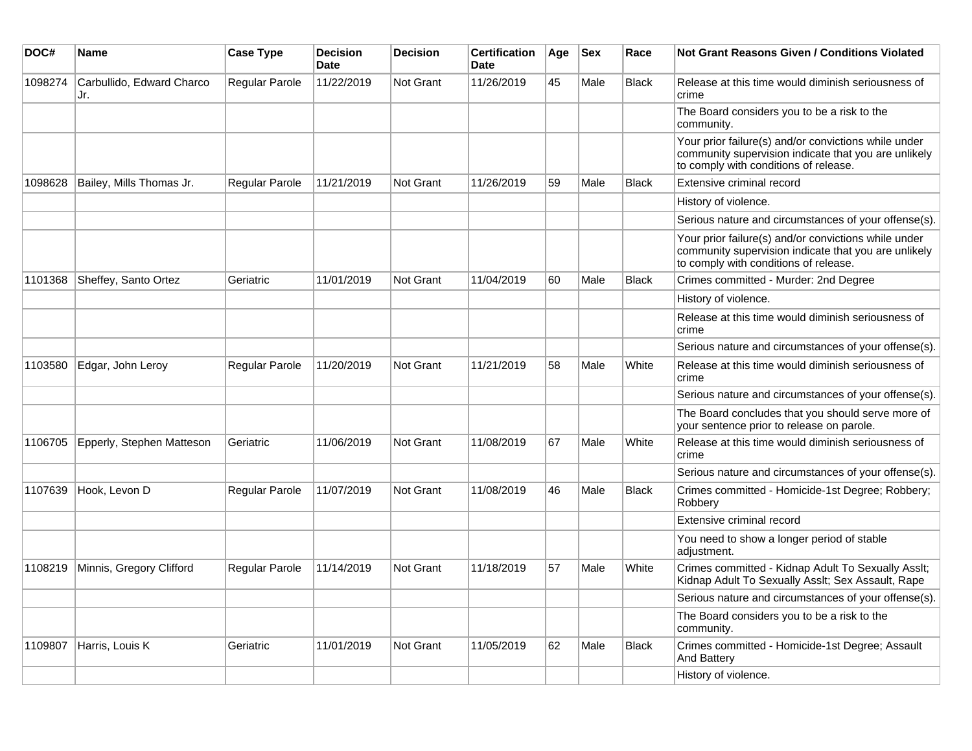| DOC#    | Name                             | <b>Case Type</b> | <b>Decision</b><br><b>Date</b> | <b>Decision</b>  | <b>Certification</b><br><b>Date</b> | Age | <b>Sex</b> | Race         | <b>Not Grant Reasons Given / Conditions Violated</b>                                                                                                  |
|---------|----------------------------------|------------------|--------------------------------|------------------|-------------------------------------|-----|------------|--------------|-------------------------------------------------------------------------------------------------------------------------------------------------------|
| 1098274 | Carbullido, Edward Charco<br>Jr. | Regular Parole   | 11/22/2019                     | Not Grant        | 11/26/2019                          | 45  | Male       | <b>Black</b> | Release at this time would diminish seriousness of<br>crime                                                                                           |
|         |                                  |                  |                                |                  |                                     |     |            |              | The Board considers you to be a risk to the<br>community.                                                                                             |
|         |                                  |                  |                                |                  |                                     |     |            |              | Your prior failure(s) and/or convictions while under<br>community supervision indicate that you are unlikely<br>to comply with conditions of release. |
| 1098628 | Bailey, Mills Thomas Jr.         | Regular Parole   | 11/21/2019                     | <b>Not Grant</b> | 11/26/2019                          | 59  | Male       | <b>Black</b> | Extensive criminal record                                                                                                                             |
|         |                                  |                  |                                |                  |                                     |     |            |              | History of violence.                                                                                                                                  |
|         |                                  |                  |                                |                  |                                     |     |            |              | Serious nature and circumstances of your offense(s).                                                                                                  |
|         |                                  |                  |                                |                  |                                     |     |            |              | Your prior failure(s) and/or convictions while under<br>community supervision indicate that you are unlikely<br>to comply with conditions of release. |
| 1101368 | Sheffey, Santo Ortez             | Geriatric        | 11/01/2019                     | <b>Not Grant</b> | 11/04/2019                          | 60  | Male       | <b>Black</b> | Crimes committed - Murder: 2nd Degree                                                                                                                 |
|         |                                  |                  |                                |                  |                                     |     |            |              | History of violence.                                                                                                                                  |
|         |                                  |                  |                                |                  |                                     |     |            |              | Release at this time would diminish seriousness of<br>crime                                                                                           |
|         |                                  |                  |                                |                  |                                     |     |            |              | Serious nature and circumstances of your offense(s).                                                                                                  |
| 1103580 | Edgar, John Leroy                | Regular Parole   | 11/20/2019                     | Not Grant        | 11/21/2019                          | 58  | Male       | White        | Release at this time would diminish seriousness of<br>crime                                                                                           |
|         |                                  |                  |                                |                  |                                     |     |            |              | Serious nature and circumstances of your offense(s).                                                                                                  |
|         |                                  |                  |                                |                  |                                     |     |            |              | The Board concludes that you should serve more of<br>your sentence prior to release on parole.                                                        |
| 1106705 | Epperly, Stephen Matteson        | Geriatric        | 11/06/2019                     | Not Grant        | 11/08/2019                          | 67  | Male       | White        | Release at this time would diminish seriousness of<br>crime                                                                                           |
|         |                                  |                  |                                |                  |                                     |     |            |              | Serious nature and circumstances of your offense(s).                                                                                                  |
| 1107639 | Hook, Levon D                    | Regular Parole   | 11/07/2019                     | <b>Not Grant</b> | 11/08/2019                          | 46  | Male       | <b>Black</b> | Crimes committed - Homicide-1st Degree; Robbery;<br>Robbery                                                                                           |
|         |                                  |                  |                                |                  |                                     |     |            |              | Extensive criminal record                                                                                                                             |
|         |                                  |                  |                                |                  |                                     |     |            |              | You need to show a longer period of stable<br>adjustment.                                                                                             |
| 1108219 | Minnis, Gregory Clifford         | Regular Parole   | 11/14/2019                     | <b>Not Grant</b> | 11/18/2019                          | 57  | Male       | White        | Crimes committed - Kidnap Adult To Sexually Asslt;<br>Kidnap Adult To Sexually Asslt; Sex Assault, Rape                                               |
|         |                                  |                  |                                |                  |                                     |     |            |              | Serious nature and circumstances of your offense(s).                                                                                                  |
|         |                                  |                  |                                |                  |                                     |     |            |              | The Board considers you to be a risk to the<br>community.                                                                                             |
| 1109807 | Harris, Louis K                  | Geriatric        | 11/01/2019                     | <b>Not Grant</b> | 11/05/2019                          | 62  | Male       | <b>Black</b> | Crimes committed - Homicide-1st Degree; Assault<br><b>And Battery</b>                                                                                 |
|         |                                  |                  |                                |                  |                                     |     |            |              | History of violence.                                                                                                                                  |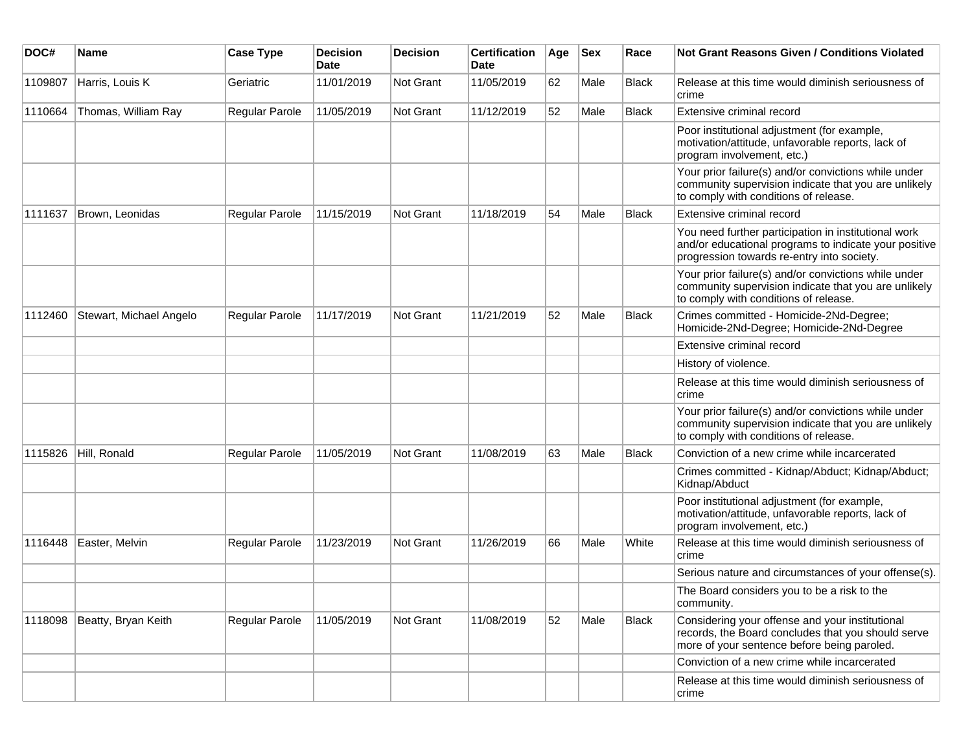| DOC#    | Name                    | <b>Case Type</b>      | <b>Decision</b><br>Date | <b>Decision</b> | <b>Certification</b><br><b>Date</b> | Age | <b>Sex</b> | Race         | <b>Not Grant Reasons Given / Conditions Violated</b>                                                                                                        |
|---------|-------------------------|-----------------------|-------------------------|-----------------|-------------------------------------|-----|------------|--------------|-------------------------------------------------------------------------------------------------------------------------------------------------------------|
| 1109807 | Harris, Louis K         | Geriatric             | 11/01/2019              | Not Grant       | 11/05/2019                          | 62  | Male       | <b>Black</b> | Release at this time would diminish seriousness of<br>crime                                                                                                 |
| 1110664 | Thomas, William Ray     | Regular Parole        | 11/05/2019              | Not Grant       | 11/12/2019                          | 52  | Male       | <b>Black</b> | Extensive criminal record                                                                                                                                   |
|         |                         |                       |                         |                 |                                     |     |            |              | Poor institutional adjustment (for example,<br>motivation/attitude, unfavorable reports, lack of<br>program involvement, etc.)                              |
|         |                         |                       |                         |                 |                                     |     |            |              | Your prior failure(s) and/or convictions while under<br>community supervision indicate that you are unlikely<br>to comply with conditions of release.       |
| 1111637 | Brown, Leonidas         | Regular Parole        | 11/15/2019              | Not Grant       | 11/18/2019                          | 54  | Male       | <b>Black</b> | Extensive criminal record                                                                                                                                   |
|         |                         |                       |                         |                 |                                     |     |            |              | You need further participation in institutional work<br>and/or educational programs to indicate your positive<br>progression towards re-entry into society. |
|         |                         |                       |                         |                 |                                     |     |            |              | Your prior failure(s) and/or convictions while under<br>community supervision indicate that you are unlikely<br>to comply with conditions of release.       |
| 1112460 | Stewart, Michael Angelo | Regular Parole        | 11/17/2019              | Not Grant       | 11/21/2019                          | 52  | Male       | <b>Black</b> | Crimes committed - Homicide-2Nd-Degree;<br>Homicide-2Nd-Degree; Homicide-2Nd-Degree                                                                         |
|         |                         |                       |                         |                 |                                     |     |            |              | Extensive criminal record                                                                                                                                   |
|         |                         |                       |                         |                 |                                     |     |            |              | History of violence.                                                                                                                                        |
|         |                         |                       |                         |                 |                                     |     |            |              | Release at this time would diminish seriousness of<br>crime                                                                                                 |
|         |                         |                       |                         |                 |                                     |     |            |              | Your prior failure(s) and/or convictions while under<br>community supervision indicate that you are unlikely<br>to comply with conditions of release.       |
| 1115826 | Hill, Ronald            | <b>Regular Parole</b> | 11/05/2019              | Not Grant       | 11/08/2019                          | 63  | Male       | Black        | Conviction of a new crime while incarcerated                                                                                                                |
|         |                         |                       |                         |                 |                                     |     |            |              | Crimes committed - Kidnap/Abduct; Kidnap/Abduct;<br>Kidnap/Abduct                                                                                           |
|         |                         |                       |                         |                 |                                     |     |            |              | Poor institutional adjustment (for example,<br>motivation/attitude, unfavorable reports, lack of<br>program involvement, etc.)                              |
| 1116448 | Easter, Melvin          | Regular Parole        | 11/23/2019              | Not Grant       | 11/26/2019                          | 66  | Male       | White        | Release at this time would diminish seriousness of<br>crime                                                                                                 |
|         |                         |                       |                         |                 |                                     |     |            |              | Serious nature and circumstances of your offense(s).                                                                                                        |
|         |                         |                       |                         |                 |                                     |     |            |              | The Board considers you to be a risk to the<br>community.                                                                                                   |
| 1118098 | Beatty, Bryan Keith     | Regular Parole        | 11/05/2019              | Not Grant       | 11/08/2019                          | 52  | Male       | Black        | Considering your offense and your institutional<br>records, the Board concludes that you should serve<br>more of your sentence before being paroled.        |
|         |                         |                       |                         |                 |                                     |     |            |              | Conviction of a new crime while incarcerated                                                                                                                |
|         |                         |                       |                         |                 |                                     |     |            |              | Release at this time would diminish seriousness of<br>crime                                                                                                 |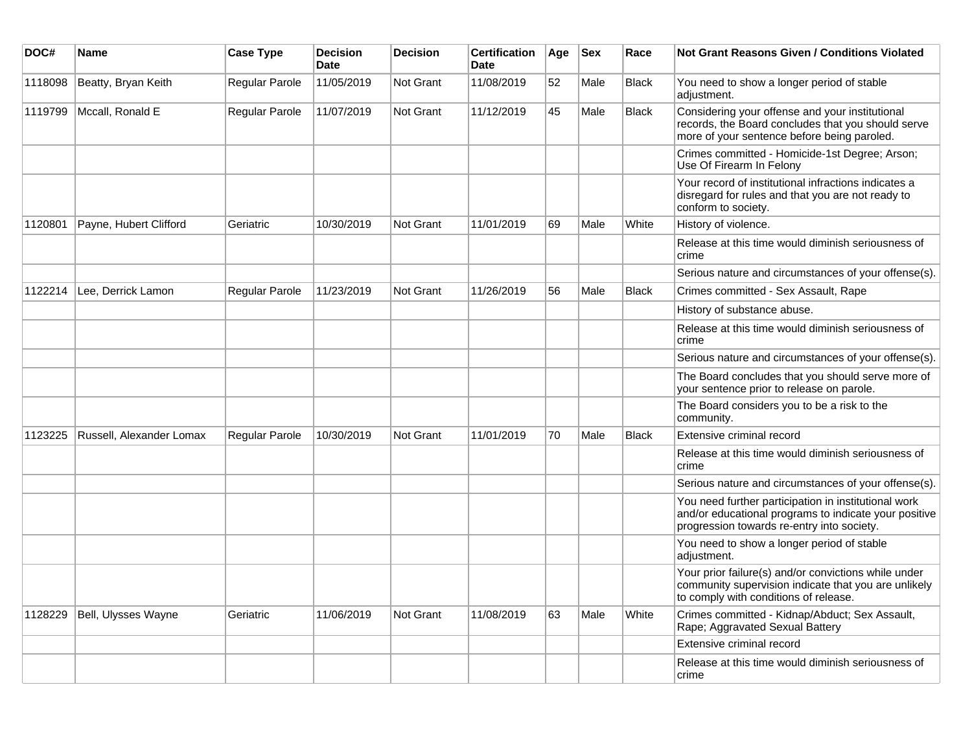| DOC#    | Name                     | <b>Case Type</b>      | <b>Decision</b><br><b>Date</b> | <b>Decision</b> | <b>Certification</b><br><b>Date</b> | Age | <b>Sex</b> | Race         | <b>Not Grant Reasons Given / Conditions Violated</b>                                                                                                        |
|---------|--------------------------|-----------------------|--------------------------------|-----------------|-------------------------------------|-----|------------|--------------|-------------------------------------------------------------------------------------------------------------------------------------------------------------|
| 1118098 | Beatty, Bryan Keith      | Regular Parole        | 11/05/2019                     | Not Grant       | 11/08/2019                          | 52  | Male       | <b>Black</b> | You need to show a longer period of stable<br>adjustment.                                                                                                   |
| 1119799 | Mccall, Ronald E         | Regular Parole        | 11/07/2019                     | Not Grant       | 11/12/2019                          | 45  | Male       | <b>Black</b> | Considering your offense and your institutional<br>records, the Board concludes that you should serve<br>more of your sentence before being paroled.        |
|         |                          |                       |                                |                 |                                     |     |            |              | Crimes committed - Homicide-1st Degree; Arson;<br>Use Of Firearm In Felony                                                                                  |
|         |                          |                       |                                |                 |                                     |     |            |              | Your record of institutional infractions indicates a<br>disregard for rules and that you are not ready to<br>conform to society.                            |
| 1120801 | Payne, Hubert Clifford   | Geriatric             | 10/30/2019                     | Not Grant       | 11/01/2019                          | 69  | Male       | White        | History of violence.                                                                                                                                        |
|         |                          |                       |                                |                 |                                     |     |            |              | Release at this time would diminish seriousness of<br>crime                                                                                                 |
|         |                          |                       |                                |                 |                                     |     |            |              | Serious nature and circumstances of your offense(s).                                                                                                        |
| 1122214 | Lee, Derrick Lamon       | Regular Parole        | 11/23/2019                     | Not Grant       | 11/26/2019                          | 56  | Male       | <b>Black</b> | Crimes committed - Sex Assault, Rape                                                                                                                        |
|         |                          |                       |                                |                 |                                     |     |            |              | History of substance abuse.                                                                                                                                 |
|         |                          |                       |                                |                 |                                     |     |            |              | Release at this time would diminish seriousness of<br>crime                                                                                                 |
|         |                          |                       |                                |                 |                                     |     |            |              | Serious nature and circumstances of your offense(s).                                                                                                        |
|         |                          |                       |                                |                 |                                     |     |            |              | The Board concludes that you should serve more of<br>your sentence prior to release on parole.                                                              |
|         |                          |                       |                                |                 |                                     |     |            |              | The Board considers you to be a risk to the<br>community.                                                                                                   |
| 1123225 | Russell, Alexander Lomax | <b>Regular Parole</b> | 10/30/2019                     | Not Grant       | 11/01/2019                          | 70  | Male       | <b>Black</b> | Extensive criminal record                                                                                                                                   |
|         |                          |                       |                                |                 |                                     |     |            |              | Release at this time would diminish seriousness of<br>crime                                                                                                 |
|         |                          |                       |                                |                 |                                     |     |            |              | Serious nature and circumstances of your offense(s).                                                                                                        |
|         |                          |                       |                                |                 |                                     |     |            |              | You need further participation in institutional work<br>and/or educational programs to indicate your positive<br>progression towards re-entry into society. |
|         |                          |                       |                                |                 |                                     |     |            |              | You need to show a longer period of stable<br>adjustment.                                                                                                   |
|         |                          |                       |                                |                 |                                     |     |            |              | Your prior failure(s) and/or convictions while under<br>community supervision indicate that you are unlikely<br>to comply with conditions of release.       |
| 1128229 | Bell, Ulysses Wayne      | Geriatric             | 11/06/2019                     | Not Grant       | 11/08/2019                          | 63  | Male       | White        | Crimes committed - Kidnap/Abduct; Sex Assault,<br>Rape; Aggravated Sexual Battery                                                                           |
|         |                          |                       |                                |                 |                                     |     |            |              | Extensive criminal record                                                                                                                                   |
|         |                          |                       |                                |                 |                                     |     |            |              | Release at this time would diminish seriousness of<br>crime                                                                                                 |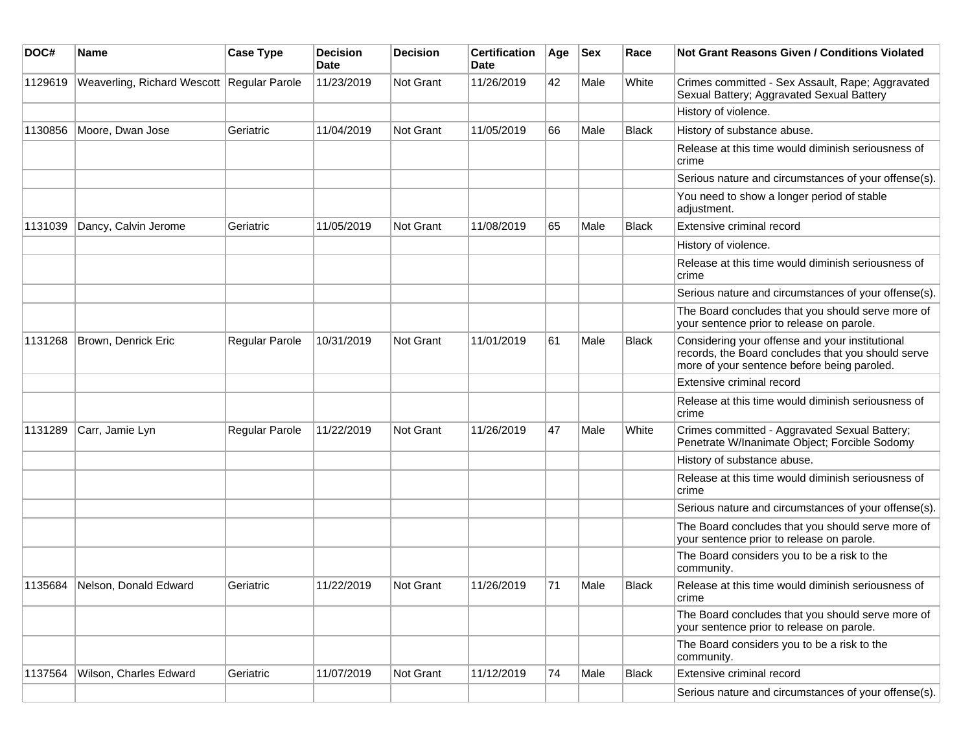| DOC#    | <b>Name</b>                                  | <b>Case Type</b> | <b>Decision</b><br>Date | <b>Decision</b>  | <b>Certification</b><br>Date | Age | <b>Sex</b> | Race         | <b>Not Grant Reasons Given / Conditions Violated</b>                                                                                                 |
|---------|----------------------------------------------|------------------|-------------------------|------------------|------------------------------|-----|------------|--------------|------------------------------------------------------------------------------------------------------------------------------------------------------|
| 1129619 | Weaverling, Richard Wescott   Regular Parole |                  | 11/23/2019              | Not Grant        | 11/26/2019                   | 42  | Male       | White        | Crimes committed - Sex Assault, Rape; Aggravated<br>Sexual Battery; Aggravated Sexual Battery                                                        |
|         |                                              |                  |                         |                  |                              |     |            |              | History of violence.                                                                                                                                 |
| 1130856 | Moore, Dwan Jose                             | Geriatric        | 11/04/2019              | <b>Not Grant</b> | 11/05/2019                   | 66  | Male       | <b>Black</b> | History of substance abuse.                                                                                                                          |
|         |                                              |                  |                         |                  |                              |     |            |              | Release at this time would diminish seriousness of<br>crime                                                                                          |
|         |                                              |                  |                         |                  |                              |     |            |              | Serious nature and circumstances of your offense(s).                                                                                                 |
|         |                                              |                  |                         |                  |                              |     |            |              | You need to show a longer period of stable<br>adjustment.                                                                                            |
| 1131039 | Dancy, Calvin Jerome                         | Geriatric        | 11/05/2019              | Not Grant        | 11/08/2019                   | 65  | Male       | <b>Black</b> | Extensive criminal record                                                                                                                            |
|         |                                              |                  |                         |                  |                              |     |            |              | History of violence.                                                                                                                                 |
|         |                                              |                  |                         |                  |                              |     |            |              | Release at this time would diminish seriousness of<br>crime                                                                                          |
|         |                                              |                  |                         |                  |                              |     |            |              | Serious nature and circumstances of your offense(s).                                                                                                 |
|         |                                              |                  |                         |                  |                              |     |            |              | The Board concludes that you should serve more of<br>your sentence prior to release on parole.                                                       |
| 1131268 | Brown, Denrick Eric                          | Regular Parole   | 10/31/2019              | <b>Not Grant</b> | 11/01/2019                   | 61  | Male       | Black        | Considering your offense and your institutional<br>records, the Board concludes that you should serve<br>more of your sentence before being paroled. |
|         |                                              |                  |                         |                  |                              |     |            |              | Extensive criminal record                                                                                                                            |
|         |                                              |                  |                         |                  |                              |     |            |              | Release at this time would diminish seriousness of<br>crime                                                                                          |
| 1131289 | Carr, Jamie Lyn                              | Regular Parole   | 11/22/2019              | Not Grant        | 11/26/2019                   | 47  | Male       | White        | Crimes committed - Aggravated Sexual Battery;<br>Penetrate W/Inanimate Object; Forcible Sodomy                                                       |
|         |                                              |                  |                         |                  |                              |     |            |              | History of substance abuse.                                                                                                                          |
|         |                                              |                  |                         |                  |                              |     |            |              | Release at this time would diminish seriousness of<br>crime                                                                                          |
|         |                                              |                  |                         |                  |                              |     |            |              | Serious nature and circumstances of your offense(s).                                                                                                 |
|         |                                              |                  |                         |                  |                              |     |            |              | The Board concludes that you should serve more of<br>your sentence prior to release on parole.                                                       |
|         |                                              |                  |                         |                  |                              |     |            |              | The Board considers you to be a risk to the<br>community.                                                                                            |
| 1135684 | Nelson, Donald Edward                        | Geriatric        | 11/22/2019              | Not Grant        | 11/26/2019                   | 71  | Male       | <b>Black</b> | Release at this time would diminish seriousness of<br>crime                                                                                          |
|         |                                              |                  |                         |                  |                              |     |            |              | The Board concludes that you should serve more of<br>your sentence prior to release on parole.                                                       |
|         |                                              |                  |                         |                  |                              |     |            |              | The Board considers you to be a risk to the<br>community.                                                                                            |
| 1137564 | Wilson, Charles Edward                       | Geriatric        | 11/07/2019              | Not Grant        | 11/12/2019                   | 74  | Male       | <b>Black</b> | Extensive criminal record                                                                                                                            |
|         |                                              |                  |                         |                  |                              |     |            |              | Serious nature and circumstances of your offense(s).                                                                                                 |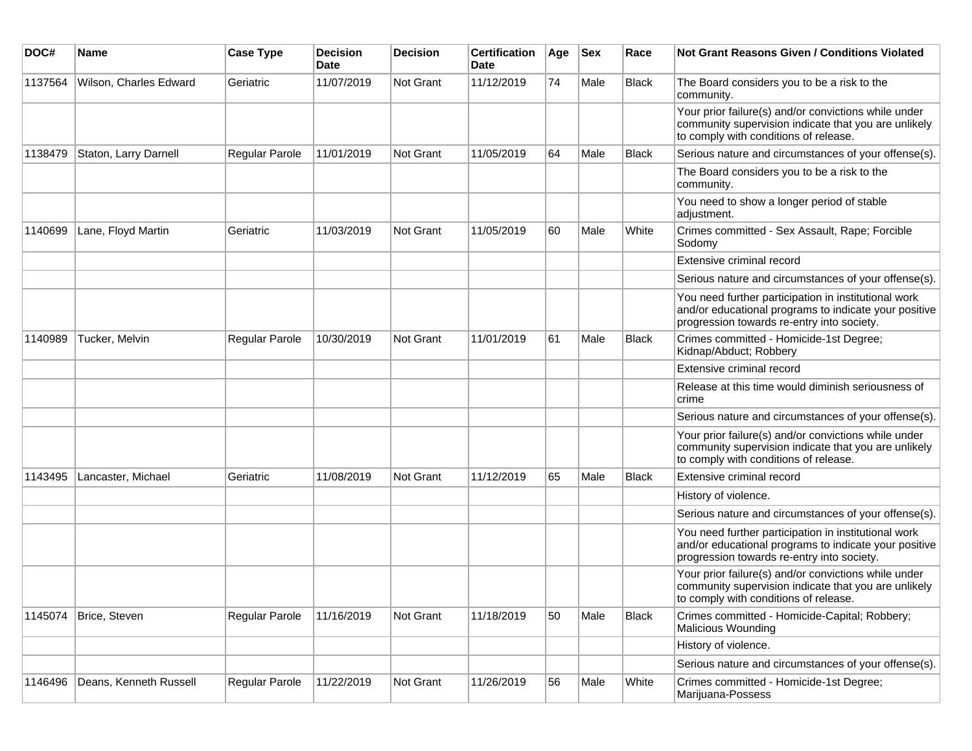| DOC#    | Name                   | <b>Case Type</b> | <b>Decision</b><br>Date | <b>Decision</b>  | <b>Certification</b><br>Date | Age | <b>Sex</b> | Race         | <b>Not Grant Reasons Given / Conditions Violated</b>                                                                                                        |
|---------|------------------------|------------------|-------------------------|------------------|------------------------------|-----|------------|--------------|-------------------------------------------------------------------------------------------------------------------------------------------------------------|
| 1137564 | Wilson, Charles Edward | Geriatric        | 11/07/2019              | Not Grant        | 11/12/2019                   | 74  | Male       | <b>Black</b> | The Board considers you to be a risk to the<br>community.                                                                                                   |
|         |                        |                  |                         |                  |                              |     |            |              | Your prior failure(s) and/or convictions while under<br>community supervision indicate that you are unlikely<br>to comply with conditions of release.       |
| 1138479 | Staton, Larry Darnell  | Regular Parole   | 11/01/2019              | Not Grant        | 11/05/2019                   | 64  | Male       | <b>Black</b> | Serious nature and circumstances of your offense(s).                                                                                                        |
|         |                        |                  |                         |                  |                              |     |            |              | The Board considers you to be a risk to the<br>community.                                                                                                   |
|         |                        |                  |                         |                  |                              |     |            |              | You need to show a longer period of stable<br>adjustment.                                                                                                   |
| 1140699 | Lane, Floyd Martin     | Geriatric        | 11/03/2019              | Not Grant        | 11/05/2019                   | 60  | Male       | White        | Crimes committed - Sex Assault, Rape; Forcible<br>Sodomv                                                                                                    |
|         |                        |                  |                         |                  |                              |     |            |              | Extensive criminal record                                                                                                                                   |
|         |                        |                  |                         |                  |                              |     |            |              | Serious nature and circumstances of your offense(s).                                                                                                        |
|         |                        |                  |                         |                  |                              |     |            |              | You need further participation in institutional work<br>and/or educational programs to indicate your positive<br>progression towards re-entry into society. |
| 1140989 | Tucker, Melvin         | Regular Parole   | 10/30/2019              | <b>Not Grant</b> | 11/01/2019                   | 61  | Male       | Black        | Crimes committed - Homicide-1st Degree;<br>Kidnap/Abduct; Robbery                                                                                           |
|         |                        |                  |                         |                  |                              |     |            |              | Extensive criminal record                                                                                                                                   |
|         |                        |                  |                         |                  |                              |     |            |              | Release at this time would diminish seriousness of<br>crime                                                                                                 |
|         |                        |                  |                         |                  |                              |     |            |              | Serious nature and circumstances of your offense(s).                                                                                                        |
|         |                        |                  |                         |                  |                              |     |            |              | Your prior failure(s) and/or convictions while under<br>community supervision indicate that you are unlikely<br>to comply with conditions of release.       |
| 1143495 | Lancaster, Michael     | Geriatric        | 11/08/2019              | <b>Not Grant</b> | 11/12/2019                   | 65  | Male       | <b>Black</b> | Extensive criminal record                                                                                                                                   |
|         |                        |                  |                         |                  |                              |     |            |              | History of violence.                                                                                                                                        |
|         |                        |                  |                         |                  |                              |     |            |              | Serious nature and circumstances of your offense(s).                                                                                                        |
|         |                        |                  |                         |                  |                              |     |            |              | You need further participation in institutional work<br>and/or educational programs to indicate your positive<br>progression towards re-entry into society. |
|         |                        |                  |                         |                  |                              |     |            |              | Your prior failure(s) and/or convictions while under<br>community supervision indicate that you are unlikely<br>to comply with conditions of release.       |
| 1145074 | Brice, Steven          | Regular Parole   | 11/16/2019              | Not Grant        | 11/18/2019                   | 50  | Male       | <b>Black</b> | Crimes committed - Homicide-Capital; Robbery;<br>Malicious Wounding                                                                                         |
|         |                        |                  |                         |                  |                              |     |            |              | History of violence.                                                                                                                                        |
|         |                        |                  |                         |                  |                              |     |            |              | Serious nature and circumstances of your offense(s).                                                                                                        |
| 1146496 | Deans, Kenneth Russell | Regular Parole   | 11/22/2019              | Not Grant        | 11/26/2019                   | 56  | Male       | White        | Crimes committed - Homicide-1st Degree;<br>Marijuana-Possess                                                                                                |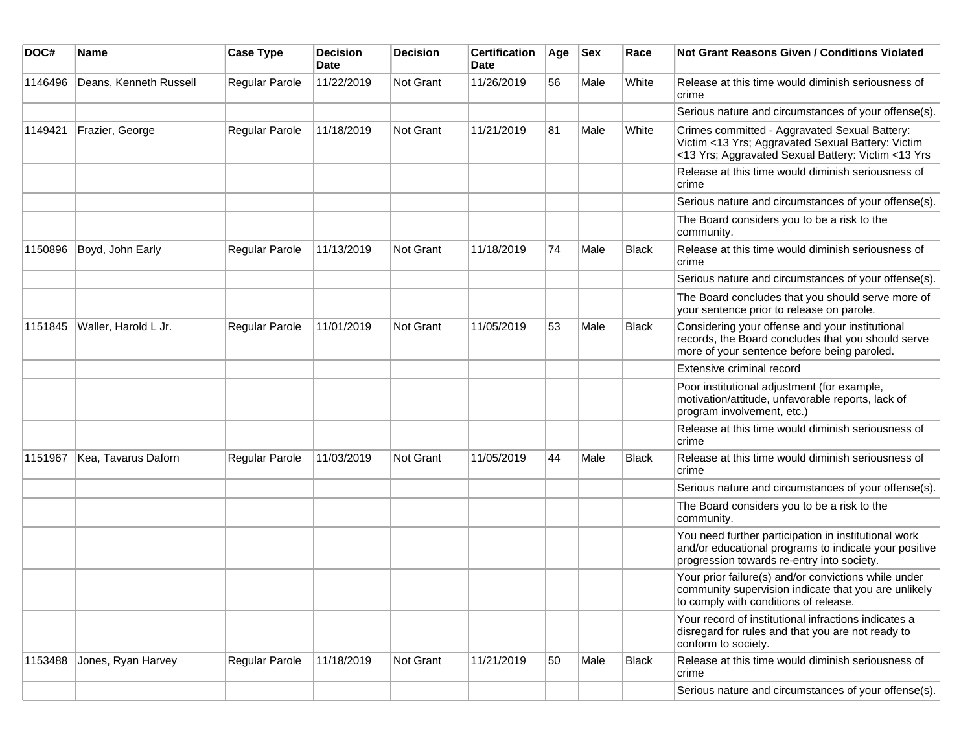| DOC#    | Name                   | <b>Case Type</b>      | <b>Decision</b><br>Date | <b>Decision</b>  | <b>Certification</b><br>Date | Age | <b>Sex</b> | Race         | Not Grant Reasons Given / Conditions Violated                                                                                                               |
|---------|------------------------|-----------------------|-------------------------|------------------|------------------------------|-----|------------|--------------|-------------------------------------------------------------------------------------------------------------------------------------------------------------|
| 1146496 | Deans, Kenneth Russell | Regular Parole        | 11/22/2019              | Not Grant        | 11/26/2019                   | 56  | Male       | White        | Release at this time would diminish seriousness of<br>crime                                                                                                 |
|         |                        |                       |                         |                  |                              |     |            |              | Serious nature and circumstances of your offense(s).                                                                                                        |
| 1149421 | Frazier, George        | <b>Regular Parole</b> | 11/18/2019              | Not Grant        | 11/21/2019                   | 81  | Male       | White        | Crimes committed - Aggravated Sexual Battery:<br>Victim <13 Yrs; Aggravated Sexual Battery: Victim<br><13 Yrs; Aggravated Sexual Battery: Victim <13 Yrs    |
|         |                        |                       |                         |                  |                              |     |            |              | Release at this time would diminish seriousness of<br>crime                                                                                                 |
|         |                        |                       |                         |                  |                              |     |            |              | Serious nature and circumstances of your offense(s).                                                                                                        |
|         |                        |                       |                         |                  |                              |     |            |              | The Board considers you to be a risk to the<br>community.                                                                                                   |
| 1150896 | Boyd, John Early       | Regular Parole        | 11/13/2019              | Not Grant        | 11/18/2019                   | 74  | Male       | Black        | Release at this time would diminish seriousness of<br>crime                                                                                                 |
|         |                        |                       |                         |                  |                              |     |            |              | Serious nature and circumstances of your offense(s).                                                                                                        |
|         |                        |                       |                         |                  |                              |     |            |              | The Board concludes that you should serve more of<br>your sentence prior to release on parole.                                                              |
| 1151845 | Waller, Harold L Jr.   | Regular Parole        | 11/01/2019              | <b>Not Grant</b> | 11/05/2019                   | 53  | Male       | <b>Black</b> | Considering your offense and your institutional<br>records, the Board concludes that you should serve<br>more of your sentence before being paroled.        |
|         |                        |                       |                         |                  |                              |     |            |              | Extensive criminal record                                                                                                                                   |
|         |                        |                       |                         |                  |                              |     |            |              | Poor institutional adjustment (for example,<br>motivation/attitude, unfavorable reports, lack of<br>program involvement, etc.)                              |
|         |                        |                       |                         |                  |                              |     |            |              | Release at this time would diminish seriousness of<br>crime                                                                                                 |
| 1151967 | Kea, Tavarus Daforn    | <b>Regular Parole</b> | 11/03/2019              | <b>Not Grant</b> | 11/05/2019                   | 44  | Male       | Black        | Release at this time would diminish seriousness of<br>crime                                                                                                 |
|         |                        |                       |                         |                  |                              |     |            |              | Serious nature and circumstances of your offense(s).                                                                                                        |
|         |                        |                       |                         |                  |                              |     |            |              | The Board considers you to be a risk to the<br>community.                                                                                                   |
|         |                        |                       |                         |                  |                              |     |            |              | You need further participation in institutional work<br>and/or educational programs to indicate your positive<br>progression towards re-entry into society. |
|         |                        |                       |                         |                  |                              |     |            |              | Your prior failure(s) and/or convictions while under<br>community supervision indicate that you are unlikely<br>to comply with conditions of release.       |
|         |                        |                       |                         |                  |                              |     |            |              | Your record of institutional infractions indicates a<br>disregard for rules and that you are not ready to<br>conform to society.                            |
| 1153488 | Jones, Ryan Harvey     | Regular Parole        | 11/18/2019              | Not Grant        | 11/21/2019                   | 50  | Male       | Black        | Release at this time would diminish seriousness of<br>crime                                                                                                 |
|         |                        |                       |                         |                  |                              |     |            |              | Serious nature and circumstances of your offense(s).                                                                                                        |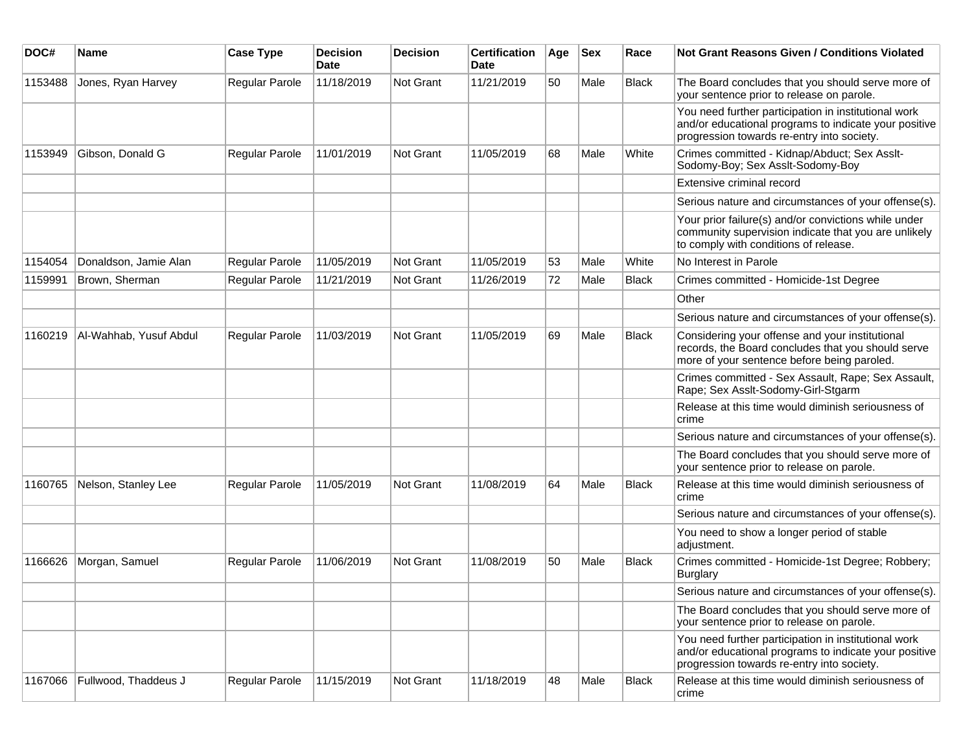| DOC#    | Name                         | <b>Case Type</b> | <b>Decision</b><br><b>Date</b> | <b>Decision</b> | <b>Certification</b><br>Date | Age | <b>Sex</b> | Race         | Not Grant Reasons Given / Conditions Violated                                                                                                               |
|---------|------------------------------|------------------|--------------------------------|-----------------|------------------------------|-----|------------|--------------|-------------------------------------------------------------------------------------------------------------------------------------------------------------|
| 1153488 | Jones, Ryan Harvey           | Regular Parole   | 11/18/2019                     | Not Grant       | 11/21/2019                   | 50  | Male       | Black        | The Board concludes that you should serve more of<br>your sentence prior to release on parole.                                                              |
|         |                              |                  |                                |                 |                              |     |            |              | You need further participation in institutional work<br>and/or educational programs to indicate your positive<br>progression towards re-entry into society. |
| 1153949 | Gibson, Donald G             | Regular Parole   | 11/01/2019                     | Not Grant       | 11/05/2019                   | 68  | Male       | White        | Crimes committed - Kidnap/Abduct; Sex Asslt-<br>Sodomy-Boy; Sex Asslt-Sodomy-Boy                                                                            |
|         |                              |                  |                                |                 |                              |     |            |              | Extensive criminal record                                                                                                                                   |
|         |                              |                  |                                |                 |                              |     |            |              | Serious nature and circumstances of your offense(s).                                                                                                        |
|         |                              |                  |                                |                 |                              |     |            |              | Your prior failure(s) and/or convictions while under<br>community supervision indicate that you are unlikely<br>to comply with conditions of release.       |
| 1154054 | Donaldson, Jamie Alan        | Regular Parole   | 11/05/2019                     | Not Grant       | 11/05/2019                   | 53  | Male       | White        | No Interest in Parole                                                                                                                                       |
| 1159991 | Brown, Sherman               | Regular Parole   | 11/21/2019                     | Not Grant       | 11/26/2019                   | 72  | Male       | <b>Black</b> | Crimes committed - Homicide-1st Degree                                                                                                                      |
|         |                              |                  |                                |                 |                              |     |            |              | Other                                                                                                                                                       |
|         |                              |                  |                                |                 |                              |     |            |              | Serious nature and circumstances of your offense(s).                                                                                                        |
| 1160219 | Al-Wahhab, Yusuf Abdul       | Regular Parole   | 11/03/2019                     | Not Grant       | 11/05/2019                   | 69  | Male       | Black        | Considering your offense and your institutional<br>records, the Board concludes that you should serve<br>more of your sentence before being paroled.        |
|         |                              |                  |                                |                 |                              |     |            |              | Crimes committed - Sex Assault, Rape; Sex Assault,<br>Rape; Sex Asslt-Sodomy-Girl-Stgarm                                                                    |
|         |                              |                  |                                |                 |                              |     |            |              | Release at this time would diminish seriousness of<br>crime                                                                                                 |
|         |                              |                  |                                |                 |                              |     |            |              | Serious nature and circumstances of your offense(s).                                                                                                        |
|         |                              |                  |                                |                 |                              |     |            |              | The Board concludes that you should serve more of<br>your sentence prior to release on parole.                                                              |
| 1160765 | Nelson, Stanley Lee          | Regular Parole   | 11/05/2019                     | Not Grant       | 11/08/2019                   | 64  | Male       | <b>Black</b> | Release at this time would diminish seriousness of<br>crime                                                                                                 |
|         |                              |                  |                                |                 |                              |     |            |              | Serious nature and circumstances of your offense(s).                                                                                                        |
|         |                              |                  |                                |                 |                              |     |            |              | You need to show a longer period of stable<br>adjustment.                                                                                                   |
| 1166626 | Morgan, Samuel               | Regular Parole   | 11/06/2019                     | Not Grant       | 11/08/2019                   | 50  | Male       | <b>Black</b> | Crimes committed - Homicide-1st Degree; Robbery;<br><b>Burglary</b>                                                                                         |
|         |                              |                  |                                |                 |                              |     |            |              | Serious nature and circumstances of your offense(s).                                                                                                        |
|         |                              |                  |                                |                 |                              |     |            |              | The Board concludes that you should serve more of<br>your sentence prior to release on parole.                                                              |
|         |                              |                  |                                |                 |                              |     |            |              | You need further participation in institutional work<br>and/or educational programs to indicate your positive<br>progression towards re-entry into society. |
|         | 1167066 Fullwood, Thaddeus J | Regular Parole   | 11/15/2019                     | Not Grant       | 11/18/2019                   | 48  | Male       | Black        | Release at this time would diminish seriousness of<br>crime                                                                                                 |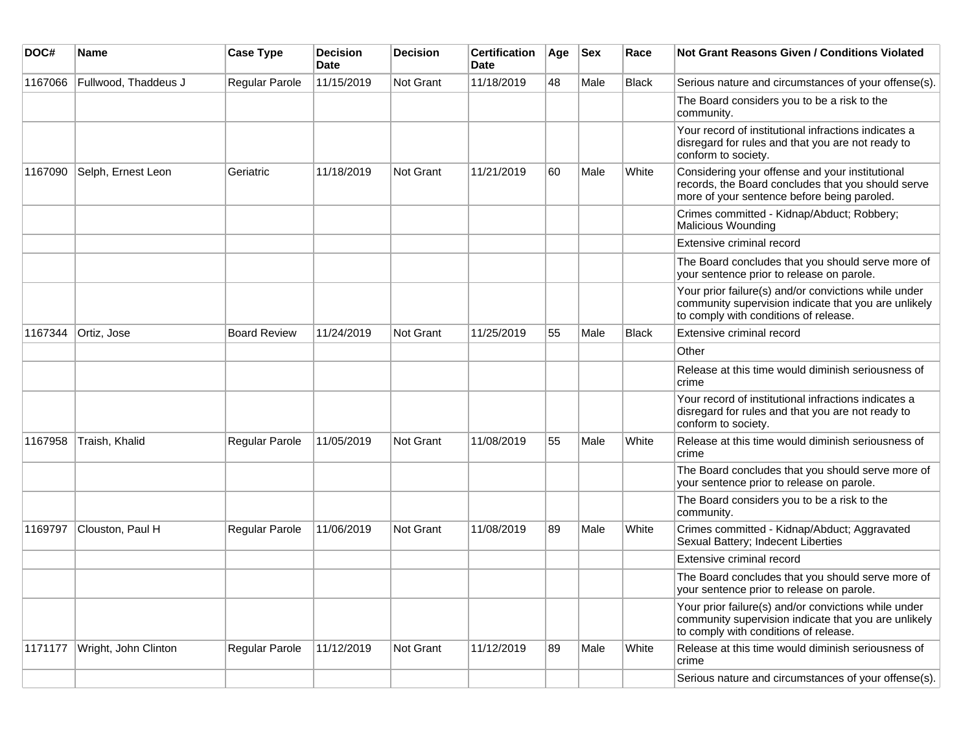| DOC#    | Name                 | <b>Case Type</b>    | <b>Decision</b><br><b>Date</b> | <b>Decision</b> | <b>Certification</b><br><b>Date</b> | Age | <b>Sex</b> | Race         | <b>Not Grant Reasons Given / Conditions Violated</b>                                                                                                  |
|---------|----------------------|---------------------|--------------------------------|-----------------|-------------------------------------|-----|------------|--------------|-------------------------------------------------------------------------------------------------------------------------------------------------------|
| 1167066 | Fullwood, Thaddeus J | Regular Parole      | 11/15/2019                     | Not Grant       | 11/18/2019                          | 48  | Male       | <b>Black</b> | Serious nature and circumstances of your offense(s).                                                                                                  |
|         |                      |                     |                                |                 |                                     |     |            |              | The Board considers you to be a risk to the<br>community.                                                                                             |
|         |                      |                     |                                |                 |                                     |     |            |              | Your record of institutional infractions indicates a<br>disregard for rules and that you are not ready to<br>conform to society.                      |
| 1167090 | Selph, Ernest Leon   | Geriatric           | 11/18/2019                     | Not Grant       | 11/21/2019                          | 60  | Male       | White        | Considering your offense and your institutional<br>records, the Board concludes that you should serve<br>more of your sentence before being paroled.  |
|         |                      |                     |                                |                 |                                     |     |            |              | Crimes committed - Kidnap/Abduct; Robbery;<br>Malicious Wounding                                                                                      |
|         |                      |                     |                                |                 |                                     |     |            |              | Extensive criminal record                                                                                                                             |
|         |                      |                     |                                |                 |                                     |     |            |              | The Board concludes that you should serve more of<br>your sentence prior to release on parole.                                                        |
|         |                      |                     |                                |                 |                                     |     |            |              | Your prior failure(s) and/or convictions while under<br>community supervision indicate that you are unlikely<br>to comply with conditions of release. |
| 1167344 | Ortiz, Jose          | <b>Board Review</b> | 11/24/2019                     | Not Grant       | 11/25/2019                          | 55  | Male       | Black        | Extensive criminal record                                                                                                                             |
|         |                      |                     |                                |                 |                                     |     |            |              | Other                                                                                                                                                 |
|         |                      |                     |                                |                 |                                     |     |            |              | Release at this time would diminish seriousness of<br>crime                                                                                           |
|         |                      |                     |                                |                 |                                     |     |            |              | Your record of institutional infractions indicates a<br>disregard for rules and that you are not ready to<br>conform to society.                      |
| 1167958 | Traish, Khalid       | Regular Parole      | 11/05/2019                     | Not Grant       | 11/08/2019                          | 55  | Male       | White        | Release at this time would diminish seriousness of<br>crime                                                                                           |
|         |                      |                     |                                |                 |                                     |     |            |              | The Board concludes that you should serve more of<br>your sentence prior to release on parole.                                                        |
|         |                      |                     |                                |                 |                                     |     |            |              | The Board considers you to be a risk to the<br>community.                                                                                             |
| 1169797 | Clouston, Paul H     | Regular Parole      | 11/06/2019                     | Not Grant       | 11/08/2019                          | 89  | Male       | White        | Crimes committed - Kidnap/Abduct; Aggravated<br>Sexual Battery; Indecent Liberties                                                                    |
|         |                      |                     |                                |                 |                                     |     |            |              | Extensive criminal record                                                                                                                             |
|         |                      |                     |                                |                 |                                     |     |            |              | The Board concludes that you should serve more of<br>your sentence prior to release on parole.                                                        |
|         |                      |                     |                                |                 |                                     |     |            |              | Your prior failure(s) and/or convictions while under<br>community supervision indicate that you are unlikely<br>to comply with conditions of release. |
| 1171177 | Wright, John Clinton | Regular Parole      | 11/12/2019                     | Not Grant       | 11/12/2019                          | 89  | Male       | White        | Release at this time would diminish seriousness of<br>crime                                                                                           |
|         |                      |                     |                                |                 |                                     |     |            |              | Serious nature and circumstances of your offense(s).                                                                                                  |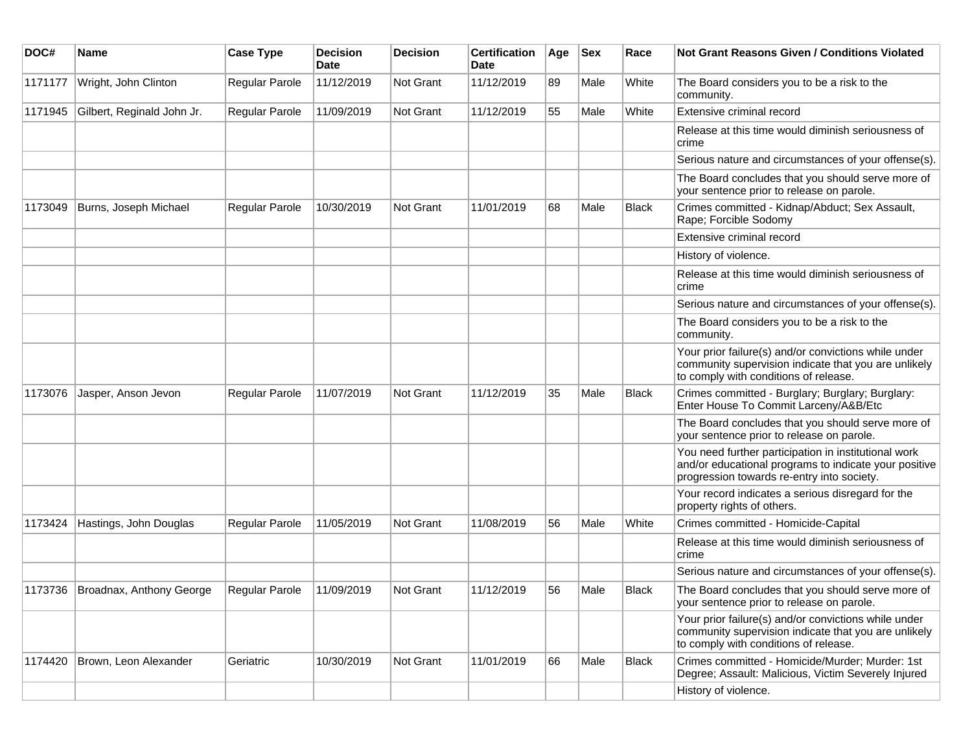| DOC#    | <b>Name</b>                      | <b>Case Type</b>      | <b>Decision</b><br>Date | <b>Decision</b>  | <b>Certification</b><br>Date | Age | <b>Sex</b> | Race         | <b>Not Grant Reasons Given / Conditions Violated</b>                                                                                                        |
|---------|----------------------------------|-----------------------|-------------------------|------------------|------------------------------|-----|------------|--------------|-------------------------------------------------------------------------------------------------------------------------------------------------------------|
| 1171177 | Wright, John Clinton             | Regular Parole        | 11/12/2019              | <b>Not Grant</b> | 11/12/2019                   | 89  | Male       | White        | The Board considers you to be a risk to the<br>community.                                                                                                   |
| 1171945 | Gilbert, Reginald John Jr.       | <b>Regular Parole</b> | 11/09/2019              | Not Grant        | 11/12/2019                   | 55  | Male       | White        | Extensive criminal record                                                                                                                                   |
|         |                                  |                       |                         |                  |                              |     |            |              | Release at this time would diminish seriousness of<br>crime                                                                                                 |
|         |                                  |                       |                         |                  |                              |     |            |              | Serious nature and circumstances of your offense(s).                                                                                                        |
|         |                                  |                       |                         |                  |                              |     |            |              | The Board concludes that you should serve more of<br>your sentence prior to release on parole.                                                              |
| 1173049 | Burns, Joseph Michael            | Regular Parole        | 10/30/2019              | Not Grant        | 11/01/2019                   | 68  | Male       | Black        | Crimes committed - Kidnap/Abduct; Sex Assault,<br>Rape; Forcible Sodomy                                                                                     |
|         |                                  |                       |                         |                  |                              |     |            |              | Extensive criminal record                                                                                                                                   |
|         |                                  |                       |                         |                  |                              |     |            |              | History of violence.                                                                                                                                        |
|         |                                  |                       |                         |                  |                              |     |            |              | Release at this time would diminish seriousness of<br>crime                                                                                                 |
|         |                                  |                       |                         |                  |                              |     |            |              | Serious nature and circumstances of your offense(s).                                                                                                        |
|         |                                  |                       |                         |                  |                              |     |            |              | The Board considers you to be a risk to the<br>community.                                                                                                   |
|         |                                  |                       |                         |                  |                              |     |            |              | Your prior failure(s) and/or convictions while under<br>community supervision indicate that you are unlikely<br>to comply with conditions of release.       |
| 1173076 | Jasper, Anson Jevon              | <b>Regular Parole</b> | 11/07/2019              | <b>Not Grant</b> | 11/12/2019                   | 35  | Male       | <b>Black</b> | Crimes committed - Burglary; Burglary; Burglary:<br>Enter House To Commit Larceny/A&B/Etc                                                                   |
|         |                                  |                       |                         |                  |                              |     |            |              | The Board concludes that you should serve more of<br>your sentence prior to release on parole.                                                              |
|         |                                  |                       |                         |                  |                              |     |            |              | You need further participation in institutional work<br>and/or educational programs to indicate your positive<br>progression towards re-entry into society. |
|         |                                  |                       |                         |                  |                              |     |            |              | Your record indicates a serious disregard for the<br>property rights of others.                                                                             |
| 1173424 | Hastings, John Douglas           | <b>Regular Parole</b> | 11/05/2019              | Not Grant        | 11/08/2019                   | 56  | Male       | White        | Crimes committed - Homicide-Capital                                                                                                                         |
|         |                                  |                       |                         |                  |                              |     |            |              | Release at this time would diminish seriousness of<br>crime                                                                                                 |
|         |                                  |                       |                         |                  |                              |     |            |              | Serious nature and circumstances of your offense(s).                                                                                                        |
|         | 1173736 Broadnax, Anthony George | Regular Parole        | 11/09/2019              | <b>Not Grant</b> | 11/12/2019                   | 56  | Male       | Black        | The Board concludes that you should serve more of<br>your sentence prior to release on parole.                                                              |
|         |                                  |                       |                         |                  |                              |     |            |              | Your prior failure(s) and/or convictions while under<br>community supervision indicate that you are unlikely<br>to comply with conditions of release.       |
| 1174420 | Brown, Leon Alexander            | Geriatric             | 10/30/2019              | Not Grant        | 11/01/2019                   | 66  | Male       | Black        | Crimes committed - Homicide/Murder; Murder: 1st<br>Degree; Assault: Malicious, Victim Severely Injured                                                      |
|         |                                  |                       |                         |                  |                              |     |            |              | History of violence.                                                                                                                                        |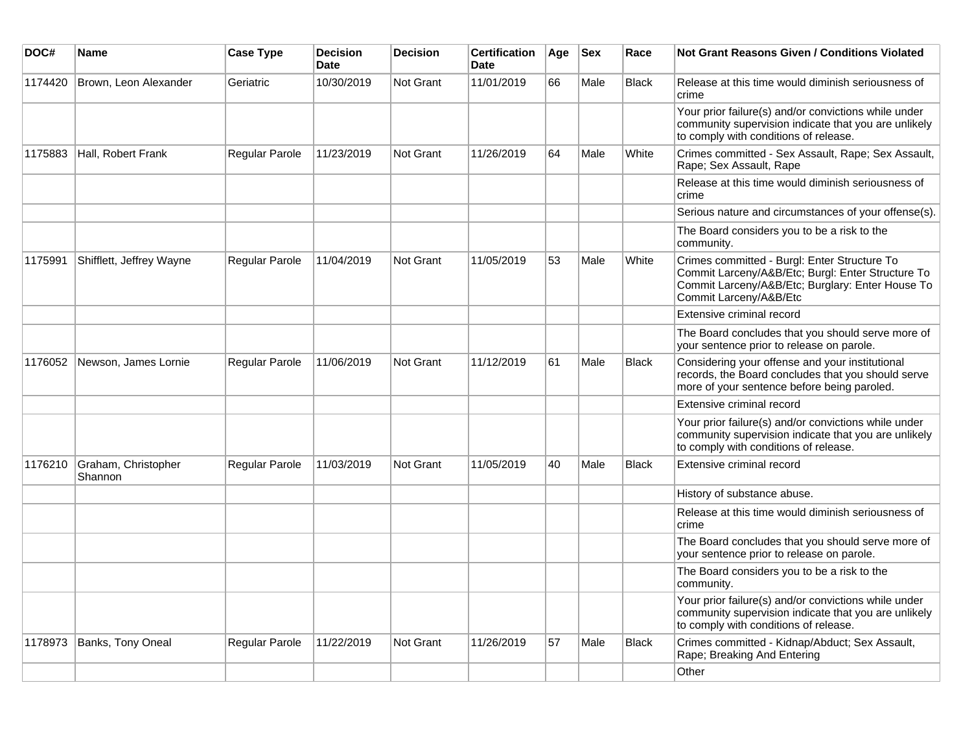| DOC#    | <b>Name</b>                    | <b>Case Type</b> | <b>Decision</b><br><b>Date</b> | <b>Decision</b>  | <b>Certification</b><br><b>Date</b> | Age | <b>Sex</b> | Race         | <b>Not Grant Reasons Given / Conditions Violated</b>                                                                                                                            |
|---------|--------------------------------|------------------|--------------------------------|------------------|-------------------------------------|-----|------------|--------------|---------------------------------------------------------------------------------------------------------------------------------------------------------------------------------|
| 1174420 | Brown, Leon Alexander          | Geriatric        | 10/30/2019                     | Not Grant        | 11/01/2019                          | 66  | Male       | <b>Black</b> | Release at this time would diminish seriousness of<br>crime                                                                                                                     |
|         |                                |                  |                                |                  |                                     |     |            |              | Your prior failure(s) and/or convictions while under<br>community supervision indicate that you are unlikely<br>to comply with conditions of release.                           |
| 1175883 | Hall, Robert Frank             | Regular Parole   | 11/23/2019                     | <b>Not Grant</b> | 11/26/2019                          | 64  | Male       | White        | Crimes committed - Sex Assault, Rape; Sex Assault,<br>Rape; Sex Assault, Rape                                                                                                   |
|         |                                |                  |                                |                  |                                     |     |            |              | Release at this time would diminish seriousness of<br>crime                                                                                                                     |
|         |                                |                  |                                |                  |                                     |     |            |              | Serious nature and circumstances of your offense(s).                                                                                                                            |
|         |                                |                  |                                |                  |                                     |     |            |              | The Board considers you to be a risk to the<br>community.                                                                                                                       |
| 1175991 | Shifflett, Jeffrey Wayne       | Regular Parole   | 11/04/2019                     | Not Grant        | 11/05/2019                          | 53  | Male       | White        | Crimes committed - Burgl: Enter Structure To<br>Commit Larceny/A&B/Etc; Burgl: Enter Structure To<br>Commit Larceny/A&B/Etc; Burglary: Enter House To<br>Commit Larceny/A&B/Etc |
|         |                                |                  |                                |                  |                                     |     |            |              | Extensive criminal record                                                                                                                                                       |
|         |                                |                  |                                |                  |                                     |     |            |              | The Board concludes that you should serve more of<br>your sentence prior to release on parole.                                                                                  |
| 1176052 | Newson, James Lornie           | Regular Parole   | 11/06/2019                     | <b>Not Grant</b> | 11/12/2019                          | 61  | Male       | <b>Black</b> | Considering your offense and your institutional<br>records, the Board concludes that you should serve<br>more of your sentence before being paroled.                            |
|         |                                |                  |                                |                  |                                     |     |            |              | Extensive criminal record                                                                                                                                                       |
|         |                                |                  |                                |                  |                                     |     |            |              | Your prior failure(s) and/or convictions while under<br>community supervision indicate that you are unlikely<br>to comply with conditions of release.                           |
| 1176210 | Graham, Christopher<br>Shannon | Regular Parole   | 11/03/2019                     | <b>Not Grant</b> | 11/05/2019                          | 40  | Male       | <b>Black</b> | Extensive criminal record                                                                                                                                                       |
|         |                                |                  |                                |                  |                                     |     |            |              | History of substance abuse.                                                                                                                                                     |
|         |                                |                  |                                |                  |                                     |     |            |              | Release at this time would diminish seriousness of<br>crime                                                                                                                     |
|         |                                |                  |                                |                  |                                     |     |            |              | The Board concludes that you should serve more of<br>your sentence prior to release on parole.                                                                                  |
|         |                                |                  |                                |                  |                                     |     |            |              | The Board considers you to be a risk to the<br>community.                                                                                                                       |
|         |                                |                  |                                |                  |                                     |     |            |              | Your prior failure(s) and/or convictions while under<br>community supervision indicate that you are unlikely<br>to comply with conditions of release.                           |
| 1178973 | Banks, Tony Oneal              | Regular Parole   | 11/22/2019                     | <b>Not Grant</b> | 11/26/2019                          | 57  | Male       | <b>Black</b> | Crimes committed - Kidnap/Abduct; Sex Assault,<br>Rape; Breaking And Entering                                                                                                   |
|         |                                |                  |                                |                  |                                     |     |            |              | Other                                                                                                                                                                           |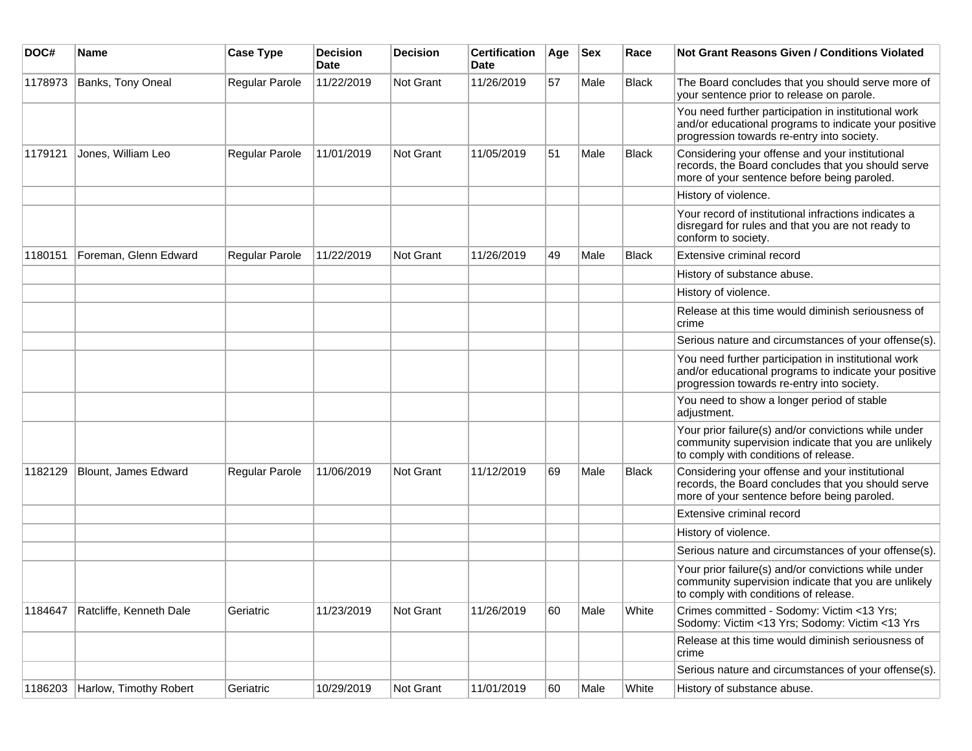| DOC#    | <b>Name</b>             | <b>Case Type</b> | <b>Decision</b><br><b>Date</b> | <b>Decision</b> | <b>Certification</b><br>Date | Age | <b>Sex</b> | Race         | <b>Not Grant Reasons Given / Conditions Violated</b>                                                                                                        |
|---------|-------------------------|------------------|--------------------------------|-----------------|------------------------------|-----|------------|--------------|-------------------------------------------------------------------------------------------------------------------------------------------------------------|
| 1178973 | Banks, Tony Oneal       | Regular Parole   | 11/22/2019                     | Not Grant       | 11/26/2019                   | 57  | Male       | <b>Black</b> | The Board concludes that you should serve more of<br>your sentence prior to release on parole.                                                              |
|         |                         |                  |                                |                 |                              |     |            |              | You need further participation in institutional work<br>and/or educational programs to indicate your positive<br>progression towards re-entry into society. |
| 1179121 | Jones, William Leo      | Regular Parole   | 11/01/2019                     | Not Grant       | 11/05/2019                   | 51  | Male       | <b>Black</b> | Considering your offense and your institutional<br>records, the Board concludes that you should serve<br>more of your sentence before being paroled.        |
|         |                         |                  |                                |                 |                              |     |            |              | History of violence.                                                                                                                                        |
|         |                         |                  |                                |                 |                              |     |            |              | Your record of institutional infractions indicates a<br>disregard for rules and that you are not ready to<br>conform to society.                            |
| 1180151 | Foreman, Glenn Edward   | Regular Parole   | 11/22/2019                     | Not Grant       | 11/26/2019                   | 49  | Male       | <b>Black</b> | Extensive criminal record                                                                                                                                   |
|         |                         |                  |                                |                 |                              |     |            |              | History of substance abuse.                                                                                                                                 |
|         |                         |                  |                                |                 |                              |     |            |              | History of violence.                                                                                                                                        |
|         |                         |                  |                                |                 |                              |     |            |              | Release at this time would diminish seriousness of<br>crime                                                                                                 |
|         |                         |                  |                                |                 |                              |     |            |              | Serious nature and circumstances of your offense(s).                                                                                                        |
|         |                         |                  |                                |                 |                              |     |            |              | You need further participation in institutional work<br>and/or educational programs to indicate your positive<br>progression towards re-entry into society. |
|         |                         |                  |                                |                 |                              |     |            |              | You need to show a longer period of stable<br>adjustment.                                                                                                   |
|         |                         |                  |                                |                 |                              |     |            |              | Your prior failure(s) and/or convictions while under<br>community supervision indicate that you are unlikely<br>to comply with conditions of release.       |
| 1182129 | Blount, James Edward    | Regular Parole   | 11/06/2019                     | Not Grant       | 11/12/2019                   | 69  | Male       | <b>Black</b> | Considering your offense and your institutional<br>records, the Board concludes that you should serve<br>more of your sentence before being paroled.        |
|         |                         |                  |                                |                 |                              |     |            |              | Extensive criminal record                                                                                                                                   |
|         |                         |                  |                                |                 |                              |     |            |              | History of violence.                                                                                                                                        |
|         |                         |                  |                                |                 |                              |     |            |              | Serious nature and circumstances of your offense(s).                                                                                                        |
|         |                         |                  |                                |                 |                              |     |            |              | Your prior failure(s) and/or convictions while under<br>community supervision indicate that you are unlikely<br>to comply with conditions of release.       |
| 1184647 | Ratcliffe, Kenneth Dale | Geriatric        | 11/23/2019                     | Not Grant       | 11/26/2019                   | 60  | Male       | White        | Crimes committed - Sodomy: Victim <13 Yrs;<br>Sodomy: Victim <13 Yrs; Sodomy: Victim <13 Yrs                                                                |
|         |                         |                  |                                |                 |                              |     |            |              | Release at this time would diminish seriousness of<br>crime                                                                                                 |
|         |                         |                  |                                |                 |                              |     |            |              | Serious nature and circumstances of your offense(s).                                                                                                        |
| 1186203 | Harlow, Timothy Robert  | Geriatric        | 10/29/2019                     | Not Grant       | 11/01/2019                   | 60  | Male       | White        | History of substance abuse.                                                                                                                                 |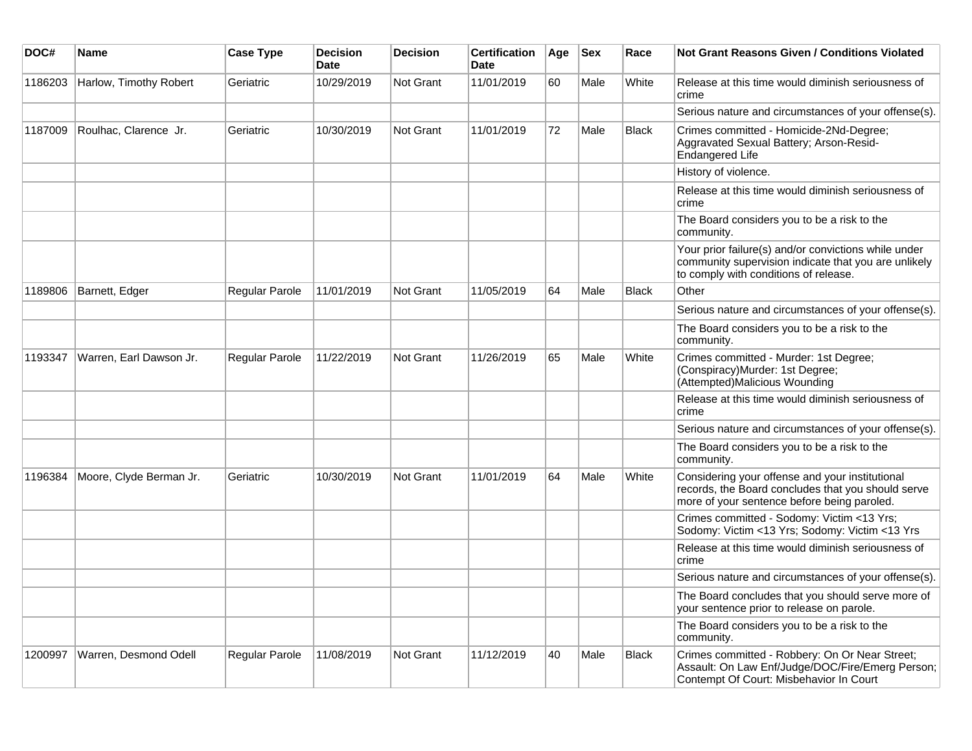| DOC#    | Name                    | <b>Case Type</b> | <b>Decision</b><br><b>Date</b> | <b>Decision</b>  | <b>Certification</b><br>Date | Age | <b>Sex</b> | Race         | Not Grant Reasons Given / Conditions Violated                                                                                                         |
|---------|-------------------------|------------------|--------------------------------|------------------|------------------------------|-----|------------|--------------|-------------------------------------------------------------------------------------------------------------------------------------------------------|
| 1186203 | Harlow, Timothy Robert  | Geriatric        | 10/29/2019                     | Not Grant        | 11/01/2019                   | 60  | Male       | White        | Release at this time would diminish seriousness of<br>crime                                                                                           |
|         |                         |                  |                                |                  |                              |     |            |              | Serious nature and circumstances of your offense(s).                                                                                                  |
| 1187009 | Roulhac, Clarence Jr.   | Geriatric        | 10/30/2019                     | Not Grant        | 11/01/2019                   | 72  | Male       | <b>Black</b> | Crimes committed - Homicide-2Nd-Degree;<br>Aggravated Sexual Battery; Arson-Resid-<br><b>Endangered Life</b>                                          |
|         |                         |                  |                                |                  |                              |     |            |              | History of violence.                                                                                                                                  |
|         |                         |                  |                                |                  |                              |     |            |              | Release at this time would diminish seriousness of<br>crime                                                                                           |
|         |                         |                  |                                |                  |                              |     |            |              | The Board considers you to be a risk to the<br>community.                                                                                             |
|         |                         |                  |                                |                  |                              |     |            |              | Your prior failure(s) and/or convictions while under<br>community supervision indicate that you are unlikely<br>to comply with conditions of release. |
| 1189806 | Barnett, Edger          | Regular Parole   | 11/01/2019                     | <b>Not Grant</b> | 11/05/2019                   | 64  | Male       | Black        | Other                                                                                                                                                 |
|         |                         |                  |                                |                  |                              |     |            |              | Serious nature and circumstances of your offense(s).                                                                                                  |
|         |                         |                  |                                |                  |                              |     |            |              | The Board considers you to be a risk to the<br>community.                                                                                             |
| 1193347 | Warren, Earl Dawson Jr. | Regular Parole   | 11/22/2019                     | Not Grant        | 11/26/2019                   | 65  | Male       | White        | Crimes committed - Murder: 1st Degree;<br>(Conspiracy)Murder: 1st Degree;<br>(Attempted)Malicious Wounding                                            |
|         |                         |                  |                                |                  |                              |     |            |              | Release at this time would diminish seriousness of<br>crime                                                                                           |
|         |                         |                  |                                |                  |                              |     |            |              | Serious nature and circumstances of your offense(s).                                                                                                  |
|         |                         |                  |                                |                  |                              |     |            |              | The Board considers you to be a risk to the<br>community.                                                                                             |
| 1196384 | Moore, Clyde Berman Jr. | Geriatric        | 10/30/2019                     | <b>Not Grant</b> | 11/01/2019                   | 64  | Male       | White        | Considering your offense and your institutional<br>records, the Board concludes that you should serve<br>more of your sentence before being paroled.  |
|         |                         |                  |                                |                  |                              |     |            |              | Crimes committed - Sodomy: Victim <13 Yrs;<br>Sodomy: Victim <13 Yrs; Sodomy: Victim <13 Yrs                                                          |
|         |                         |                  |                                |                  |                              |     |            |              | Release at this time would diminish seriousness of<br>crime                                                                                           |
|         |                         |                  |                                |                  |                              |     |            |              | Serious nature and circumstances of your offense(s).                                                                                                  |
|         |                         |                  |                                |                  |                              |     |            |              | The Board concludes that you should serve more of<br>your sentence prior to release on parole.                                                        |
|         |                         |                  |                                |                  |                              |     |            |              | The Board considers you to be a risk to the<br>community.                                                                                             |
| 1200997 | Warren, Desmond Odell   | Regular Parole   | 11/08/2019                     | Not Grant        | 11/12/2019                   | 40  | Male       | Black        | Crimes committed - Robbery: On Or Near Street;<br>Assault: On Law Enf/Judge/DOC/Fire/Emerg Person;<br>Contempt Of Court: Misbehavior In Court         |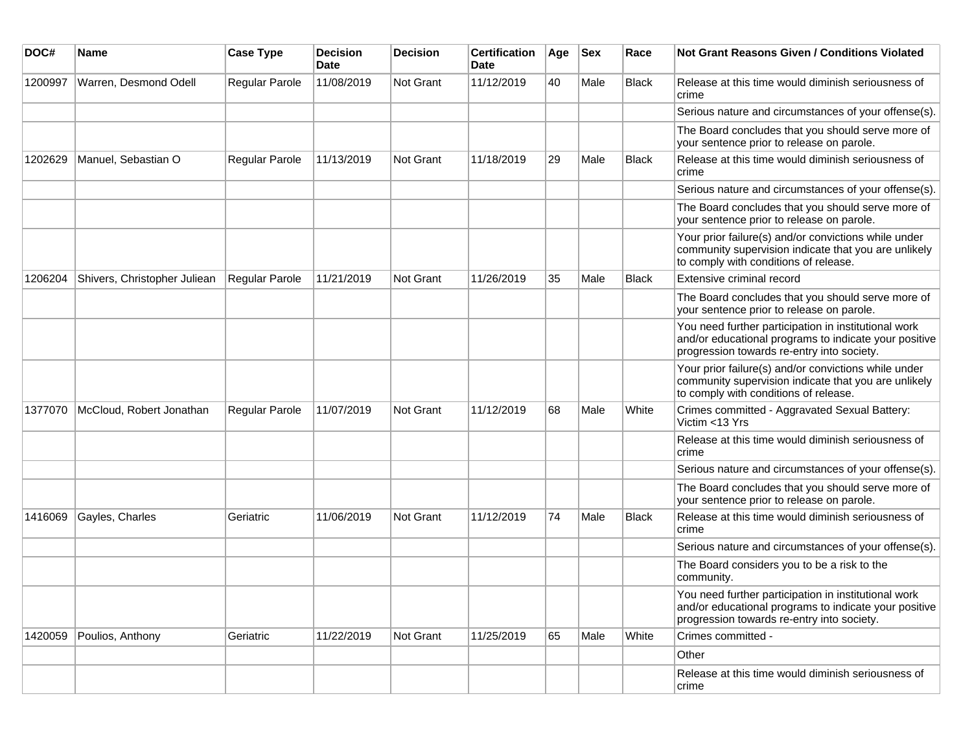| DOC#    | <b>Name</b>                  | <b>Case Type</b>      | <b>Decision</b><br><b>Date</b> | <b>Decision</b> | <b>Certification</b><br><b>Date</b> | Age | <b>Sex</b> | Race         | Not Grant Reasons Given / Conditions Violated                                                                                                               |
|---------|------------------------------|-----------------------|--------------------------------|-----------------|-------------------------------------|-----|------------|--------------|-------------------------------------------------------------------------------------------------------------------------------------------------------------|
| 1200997 | Warren, Desmond Odell        | Regular Parole        | 11/08/2019                     | Not Grant       | 11/12/2019                          | 40  | Male       | Black        | Release at this time would diminish seriousness of<br>crime                                                                                                 |
|         |                              |                       |                                |                 |                                     |     |            |              | Serious nature and circumstances of your offense(s).                                                                                                        |
|         |                              |                       |                                |                 |                                     |     |            |              | The Board concludes that you should serve more of<br>your sentence prior to release on parole.                                                              |
| 1202629 | Manuel, Sebastian O          | Regular Parole        | 11/13/2019                     | Not Grant       | 11/18/2019                          | 29  | Male       | <b>Black</b> | Release at this time would diminish seriousness of<br>crime                                                                                                 |
|         |                              |                       |                                |                 |                                     |     |            |              | Serious nature and circumstances of your offense(s).                                                                                                        |
|         |                              |                       |                                |                 |                                     |     |            |              | The Board concludes that you should serve more of<br>your sentence prior to release on parole.                                                              |
|         |                              |                       |                                |                 |                                     |     |            |              | Your prior failure(s) and/or convictions while under<br>community supervision indicate that you are unlikely<br>to comply with conditions of release.       |
| 1206204 | Shivers, Christopher Juliean | Regular Parole        | 11/21/2019                     | Not Grant       | 11/26/2019                          | 35  | Male       | <b>Black</b> | Extensive criminal record                                                                                                                                   |
|         |                              |                       |                                |                 |                                     |     |            |              | The Board concludes that you should serve more of<br>your sentence prior to release on parole.                                                              |
|         |                              |                       |                                |                 |                                     |     |            |              | You need further participation in institutional work<br>and/or educational programs to indicate your positive<br>progression towards re-entry into society. |
|         |                              |                       |                                |                 |                                     |     |            |              | Your prior failure(s) and/or convictions while under<br>community supervision indicate that you are unlikely<br>to comply with conditions of release.       |
| 1377070 | McCloud, Robert Jonathan     | <b>Regular Parole</b> | 11/07/2019                     | Not Grant       | 11/12/2019                          | 68  | Male       | White        | Crimes committed - Aggravated Sexual Battery:<br>Victim <13 Yrs                                                                                             |
|         |                              |                       |                                |                 |                                     |     |            |              | Release at this time would diminish seriousness of<br>crime                                                                                                 |
|         |                              |                       |                                |                 |                                     |     |            |              | Serious nature and circumstances of your offense(s).                                                                                                        |
|         |                              |                       |                                |                 |                                     |     |            |              | The Board concludes that you should serve more of<br>your sentence prior to release on parole.                                                              |
| 1416069 | Gayles, Charles              | Geriatric             | 11/06/2019                     | Not Grant       | 11/12/2019                          | 74  | Male       | <b>Black</b> | Release at this time would diminish seriousness of<br>crime                                                                                                 |
|         |                              |                       |                                |                 |                                     |     |            |              | Serious nature and circumstances of your offense(s).                                                                                                        |
|         |                              |                       |                                |                 |                                     |     |            |              | The Board considers you to be a risk to the<br>community.                                                                                                   |
|         |                              |                       |                                |                 |                                     |     |            |              | You need further participation in institutional work<br>and/or educational programs to indicate your positive<br>progression towards re-entry into society. |
| 1420059 | Poulios, Anthony             | Geriatric             | 11/22/2019                     | Not Grant       | 11/25/2019                          | 65  | Male       | White        | Crimes committed -                                                                                                                                          |
|         |                              |                       |                                |                 |                                     |     |            |              | Other                                                                                                                                                       |
|         |                              |                       |                                |                 |                                     |     |            |              | Release at this time would diminish seriousness of<br>crime                                                                                                 |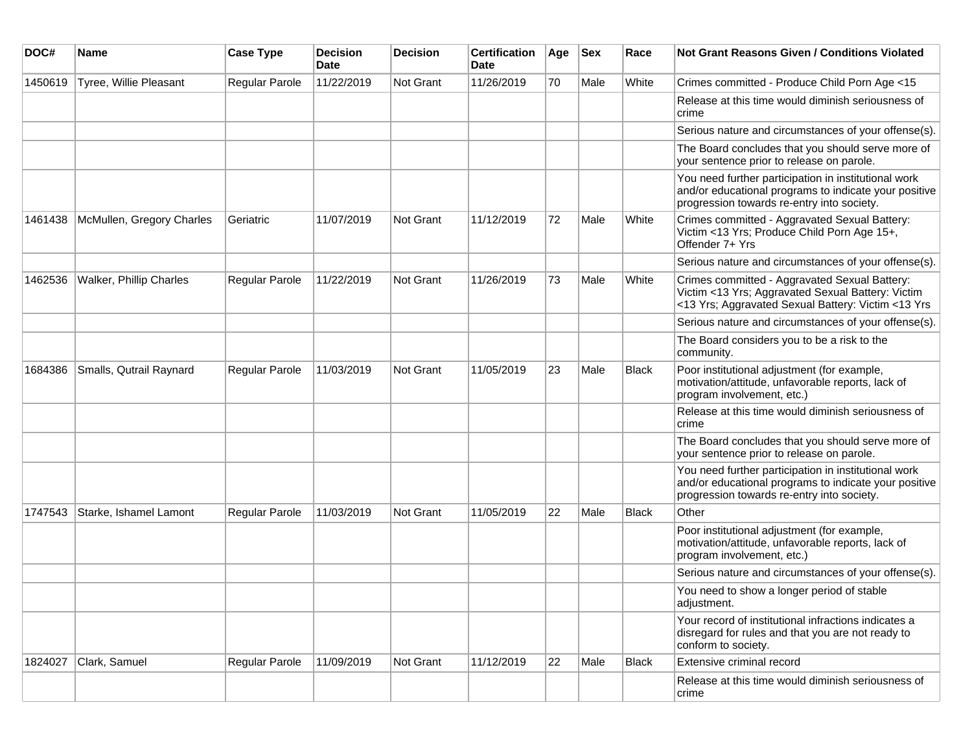| DOC#    | <b>Name</b>               | <b>Case Type</b>      | <b>Decision</b><br><b>Date</b> | <b>Decision</b>  | <b>Certification</b><br>Date | Age | <b>Sex</b> | Race         | <b>Not Grant Reasons Given / Conditions Violated</b>                                                                                                        |
|---------|---------------------------|-----------------------|--------------------------------|------------------|------------------------------|-----|------------|--------------|-------------------------------------------------------------------------------------------------------------------------------------------------------------|
| 1450619 | Tyree, Willie Pleasant    | Regular Parole        | 11/22/2019                     | Not Grant        | 11/26/2019                   | 70  | Male       | White        | Crimes committed - Produce Child Porn Age <15                                                                                                               |
|         |                           |                       |                                |                  |                              |     |            |              | Release at this time would diminish seriousness of<br>crime                                                                                                 |
|         |                           |                       |                                |                  |                              |     |            |              | Serious nature and circumstances of your offense(s).                                                                                                        |
|         |                           |                       |                                |                  |                              |     |            |              | The Board concludes that you should serve more of<br>your sentence prior to release on parole.                                                              |
|         |                           |                       |                                |                  |                              |     |            |              | You need further participation in institutional work<br>and/or educational programs to indicate your positive<br>progression towards re-entry into society. |
| 1461438 | McMullen, Gregory Charles | Geriatric             | 11/07/2019                     | Not Grant        | 11/12/2019                   | 72  | Male       | White        | Crimes committed - Aggravated Sexual Battery:<br>Victim <13 Yrs; Produce Child Porn Age 15+,<br>Offender 7+ Yrs                                             |
|         |                           |                       |                                |                  |                              |     |            |              | Serious nature and circumstances of your offense(s).                                                                                                        |
| 1462536 | Walker, Phillip Charles   | <b>Regular Parole</b> | 11/22/2019                     | Not Grant        | 11/26/2019                   | 73  | Male       | White        | Crimes committed - Aggravated Sexual Battery:<br>Victim <13 Yrs; Aggravated Sexual Battery: Victim<br><13 Yrs; Aggravated Sexual Battery: Victim <13 Yrs    |
|         |                           |                       |                                |                  |                              |     |            |              | Serious nature and circumstances of your offense(s).                                                                                                        |
|         |                           |                       |                                |                  |                              |     |            |              | The Board considers you to be a risk to the<br>community.                                                                                                   |
| 1684386 | Smalls, Qutrail Raynard   | <b>Regular Parole</b> | 11/03/2019                     | <b>Not Grant</b> | 11/05/2019                   | 23  | Male       | <b>Black</b> | Poor institutional adjustment (for example,<br>motivation/attitude, unfavorable reports, lack of<br>program involvement, etc.)                              |
|         |                           |                       |                                |                  |                              |     |            |              | Release at this time would diminish seriousness of<br>crime                                                                                                 |
|         |                           |                       |                                |                  |                              |     |            |              | The Board concludes that you should serve more of<br>your sentence prior to release on parole.                                                              |
|         |                           |                       |                                |                  |                              |     |            |              | You need further participation in institutional work<br>and/or educational programs to indicate your positive<br>progression towards re-entry into society. |
| 1747543 | Starke, Ishamel Lamont    | <b>Regular Parole</b> | 11/03/2019                     | Not Grant        | 11/05/2019                   | 22  | Male       | Black        | Other                                                                                                                                                       |
|         |                           |                       |                                |                  |                              |     |            |              | Poor institutional adjustment (for example,<br>motivation/attitude, unfavorable reports, lack of<br>program involvement, etc.)                              |
|         |                           |                       |                                |                  |                              |     |            |              | Serious nature and circumstances of your offense(s).                                                                                                        |
|         |                           |                       |                                |                  |                              |     |            |              | You need to show a longer period of stable<br>adjustment.                                                                                                   |
|         |                           |                       |                                |                  |                              |     |            |              | Your record of institutional infractions indicates a<br>disregard for rules and that you are not ready to<br>conform to society.                            |
| 1824027 | Clark, Samuel             | <b>Regular Parole</b> | 11/09/2019                     | Not Grant        | 11/12/2019                   | 22  | Male       | Black        | Extensive criminal record                                                                                                                                   |
|         |                           |                       |                                |                  |                              |     |            |              | Release at this time would diminish seriousness of<br>crime                                                                                                 |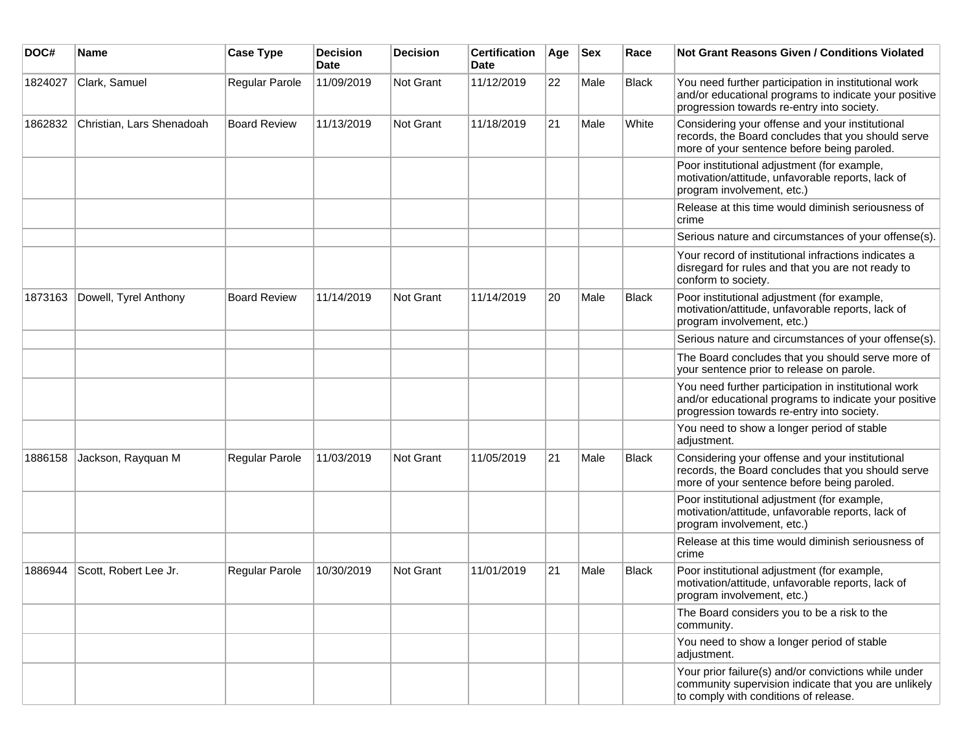| DOC#    | <b>Name</b>               | <b>Case Type</b>    | <b>Decision</b><br><b>Date</b> | <b>Decision</b> | <b>Certification</b><br>Date | Age | <b>Sex</b> | Race         | <b>Not Grant Reasons Given / Conditions Violated</b>                                                                                                        |
|---------|---------------------------|---------------------|--------------------------------|-----------------|------------------------------|-----|------------|--------------|-------------------------------------------------------------------------------------------------------------------------------------------------------------|
| 1824027 | Clark, Samuel             | Regular Parole      | 11/09/2019                     | Not Grant       | 11/12/2019                   | 22  | Male       | Black        | You need further participation in institutional work<br>and/or educational programs to indicate your positive<br>progression towards re-entry into society. |
| 1862832 | Christian, Lars Shenadoah | <b>Board Review</b> | 11/13/2019                     | Not Grant       | 11/18/2019                   | 21  | Male       | White        | Considering your offense and your institutional<br>records, the Board concludes that you should serve<br>more of your sentence before being paroled.        |
|         |                           |                     |                                |                 |                              |     |            |              | Poor institutional adjustment (for example,<br>motivation/attitude, unfavorable reports, lack of<br>program involvement, etc.)                              |
|         |                           |                     |                                |                 |                              |     |            |              | Release at this time would diminish seriousness of<br>crime                                                                                                 |
|         |                           |                     |                                |                 |                              |     |            |              | Serious nature and circumstances of your offense(s).                                                                                                        |
|         |                           |                     |                                |                 |                              |     |            |              | Your record of institutional infractions indicates a<br>disregard for rules and that you are not ready to<br>conform to society.                            |
| 1873163 | Dowell, Tyrel Anthony     | <b>Board Review</b> | 11/14/2019                     | Not Grant       | 11/14/2019                   | 20  | Male       | <b>Black</b> | Poor institutional adjustment (for example,<br>motivation/attitude, unfavorable reports, lack of<br>program involvement, etc.)                              |
|         |                           |                     |                                |                 |                              |     |            |              | Serious nature and circumstances of your offense(s).                                                                                                        |
|         |                           |                     |                                |                 |                              |     |            |              | The Board concludes that you should serve more of<br>your sentence prior to release on parole.                                                              |
|         |                           |                     |                                |                 |                              |     |            |              | You need further participation in institutional work<br>and/or educational programs to indicate your positive<br>progression towards re-entry into society. |
|         |                           |                     |                                |                 |                              |     |            |              | You need to show a longer period of stable<br>adjustment.                                                                                                   |
| 1886158 | Jackson, Rayquan M        | Regular Parole      | 11/03/2019                     | Not Grant       | 11/05/2019                   | 21  | Male       | <b>Black</b> | Considering your offense and your institutional<br>records, the Board concludes that you should serve<br>more of your sentence before being paroled.        |
|         |                           |                     |                                |                 |                              |     |            |              | Poor institutional adjustment (for example,<br>motivation/attitude, unfavorable reports, lack of<br>program involvement, etc.)                              |
|         |                           |                     |                                |                 |                              |     |            |              | Release at this time would diminish seriousness of<br>crime                                                                                                 |
| 1886944 | Scott, Robert Lee Jr.     | Regular Parole      | 10/30/2019                     | Not Grant       | 11/01/2019                   | 21  | Male       | Black        | Poor institutional adjustment (for example,<br>motivation/attitude, unfavorable reports, lack of<br>program involvement, etc.)                              |
|         |                           |                     |                                |                 |                              |     |            |              | The Board considers you to be a risk to the<br>community.                                                                                                   |
|         |                           |                     |                                |                 |                              |     |            |              | You need to show a longer period of stable<br>adjustment.                                                                                                   |
|         |                           |                     |                                |                 |                              |     |            |              | Your prior failure(s) and/or convictions while under<br>community supervision indicate that you are unlikely<br>to comply with conditions of release.       |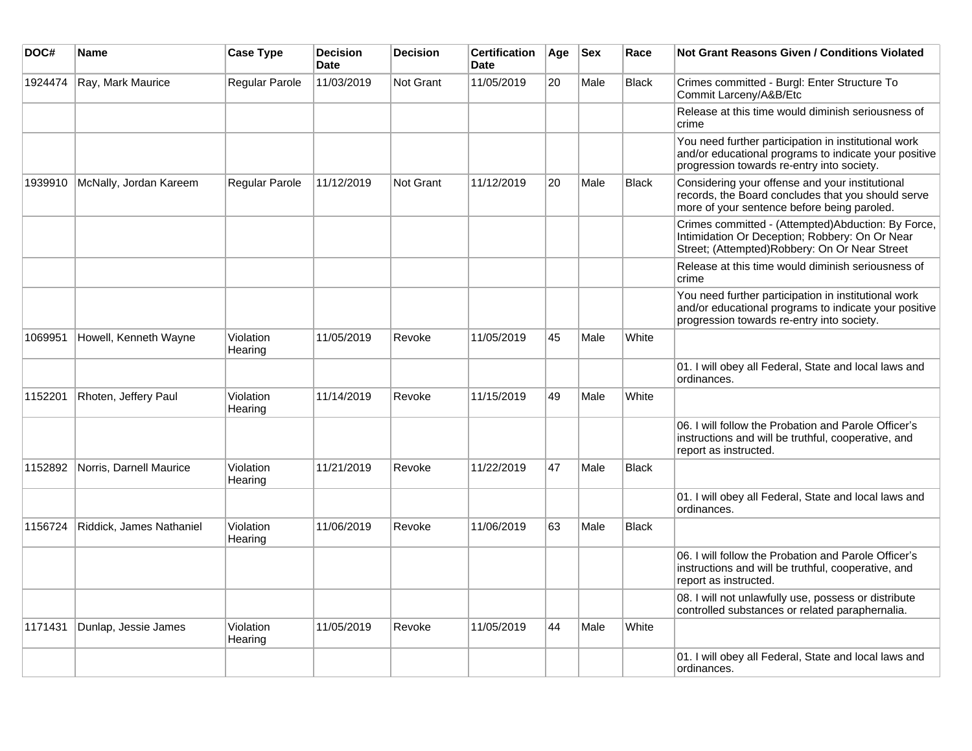| DOC#    | Name                     | <b>Case Type</b>     | <b>Decision</b><br><b>Date</b> | <b>Decision</b> | <b>Certification</b><br>Date | Age | <b>Sex</b> | Race         | <b>Not Grant Reasons Given / Conditions Violated</b>                                                                                                        |
|---------|--------------------------|----------------------|--------------------------------|-----------------|------------------------------|-----|------------|--------------|-------------------------------------------------------------------------------------------------------------------------------------------------------------|
| 1924474 | Ray, Mark Maurice        | Regular Parole       | 11/03/2019                     | Not Grant       | 11/05/2019                   | 20  | Male       | <b>Black</b> | Crimes committed - Burgl: Enter Structure To<br>Commit Larceny/A&B/Etc                                                                                      |
|         |                          |                      |                                |                 |                              |     |            |              | Release at this time would diminish seriousness of<br>crime                                                                                                 |
|         |                          |                      |                                |                 |                              |     |            |              | You need further participation in institutional work<br>and/or educational programs to indicate your positive<br>progression towards re-entry into society. |
| 1939910 | McNally, Jordan Kareem   | Regular Parole       | 11/12/2019                     | Not Grant       | 11/12/2019                   | 20  | Male       | <b>Black</b> | Considering your offense and your institutional<br>records, the Board concludes that you should serve<br>more of your sentence before being paroled.        |
|         |                          |                      |                                |                 |                              |     |            |              | Crimes committed - (Attempted)Abduction: By Force,<br>Intimidation Or Deception; Robbery: On Or Near<br>Street; (Attempted)Robbery: On Or Near Street       |
|         |                          |                      |                                |                 |                              |     |            |              | Release at this time would diminish seriousness of<br>crime                                                                                                 |
|         |                          |                      |                                |                 |                              |     |            |              | You need further participation in institutional work<br>and/or educational programs to indicate your positive<br>progression towards re-entry into society. |
| 1069951 | Howell, Kenneth Wayne    | Violation<br>Hearing | 11/05/2019                     | Revoke          | 11/05/2019                   | 45  | Male       | White        |                                                                                                                                                             |
|         |                          |                      |                                |                 |                              |     |            |              | 01. I will obey all Federal, State and local laws and<br>ordinances.                                                                                        |
| 1152201 | Rhoten, Jeffery Paul     | Violation<br>Hearing | 11/14/2019                     | Revoke          | 11/15/2019                   | 49  | Male       | White        |                                                                                                                                                             |
|         |                          |                      |                                |                 |                              |     |            |              | 06. I will follow the Probation and Parole Officer's<br>instructions and will be truthful, cooperative, and<br>report as instructed.                        |
| 1152892 | Norris, Darnell Maurice  | Violation<br>Hearing | 11/21/2019                     | Revoke          | 11/22/2019                   | 47  | Male       | <b>Black</b> |                                                                                                                                                             |
|         |                          |                      |                                |                 |                              |     |            |              | 01. I will obey all Federal, State and local laws and<br>ordinances.                                                                                        |
| 1156724 | Riddick, James Nathaniel | Violation<br>Hearing | 11/06/2019                     | Revoke          | 11/06/2019                   | 63  | Male       | <b>Black</b> |                                                                                                                                                             |
|         |                          |                      |                                |                 |                              |     |            |              | 06. I will follow the Probation and Parole Officer's<br>instructions and will be truthful, cooperative, and<br>report as instructed.                        |
|         |                          |                      |                                |                 |                              |     |            |              | 08. I will not unlawfully use, possess or distribute<br>controlled substances or related paraphernalia.                                                     |
| 1171431 | Dunlap, Jessie James     | Violation<br>Hearing | 11/05/2019                     | Revoke          | 11/05/2019                   | 44  | Male       | White        |                                                                                                                                                             |
|         |                          |                      |                                |                 |                              |     |            |              | 01. I will obey all Federal, State and local laws and<br>ordinances.                                                                                        |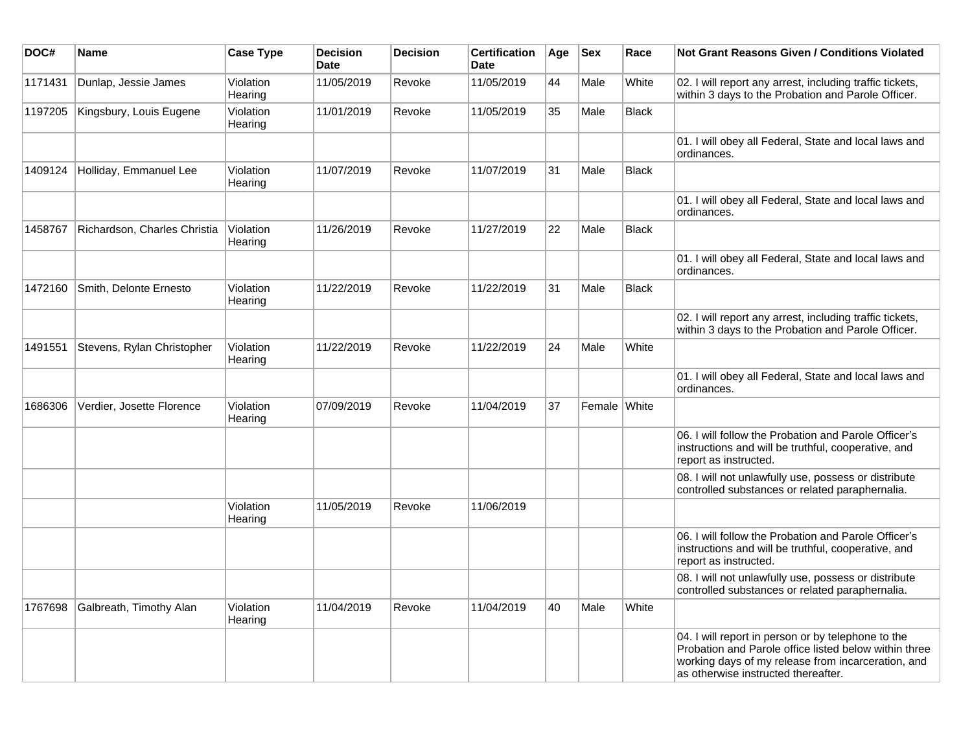| DOC#    | Name                         | <b>Case Type</b>     | <b>Decision</b><br><b>Date</b> | <b>Decision</b> | <b>Certification</b><br><b>Date</b> | Age | <b>Sex</b>   | Race         | Not Grant Reasons Given / Conditions Violated                                                                                                                                                            |
|---------|------------------------------|----------------------|--------------------------------|-----------------|-------------------------------------|-----|--------------|--------------|----------------------------------------------------------------------------------------------------------------------------------------------------------------------------------------------------------|
| 1171431 | Dunlap, Jessie James         | Violation<br>Hearing | 11/05/2019                     | Revoke          | 11/05/2019                          | 44  | Male         | White        | 02. I will report any arrest, including traffic tickets,<br>within 3 days to the Probation and Parole Officer.                                                                                           |
| 1197205 | Kingsbury, Louis Eugene      | Violation<br>Hearing | 11/01/2019                     | Revoke          | 11/05/2019                          | 35  | Male         | Black        |                                                                                                                                                                                                          |
|         |                              |                      |                                |                 |                                     |     |              |              | 01. I will obey all Federal, State and local laws and<br>ordinances.                                                                                                                                     |
| 1409124 | Holliday, Emmanuel Lee       | Violation<br>Hearing | 11/07/2019                     | Revoke          | 11/07/2019                          | 31  | Male         | Black        |                                                                                                                                                                                                          |
|         |                              |                      |                                |                 |                                     |     |              |              | 01. I will obey all Federal, State and local laws and<br>ordinances.                                                                                                                                     |
| 1458767 | Richardson, Charles Christia | Violation<br>Hearing | 11/26/2019                     | Revoke          | 11/27/2019                          | 22  | Male         | <b>Black</b> |                                                                                                                                                                                                          |
|         |                              |                      |                                |                 |                                     |     |              |              | 01. I will obey all Federal, State and local laws and<br>ordinances.                                                                                                                                     |
| 1472160 | Smith, Delonte Ernesto       | Violation<br>Hearing | 11/22/2019                     | Revoke          | 11/22/2019                          | 31  | Male         | <b>Black</b> |                                                                                                                                                                                                          |
|         |                              |                      |                                |                 |                                     |     |              |              | 02. I will report any arrest, including traffic tickets,<br>within 3 days to the Probation and Parole Officer.                                                                                           |
| 1491551 | Stevens, Rylan Christopher   | Violation<br>Hearing | 11/22/2019                     | Revoke          | 11/22/2019                          | 24  | Male         | White        |                                                                                                                                                                                                          |
|         |                              |                      |                                |                 |                                     |     |              |              | 01. I will obey all Federal, State and local laws and<br>ordinances.                                                                                                                                     |
| 1686306 | Verdier, Josette Florence    | Violation<br>Hearing | 07/09/2019                     | Revoke          | 11/04/2019                          | 37  | Female White |              |                                                                                                                                                                                                          |
|         |                              |                      |                                |                 |                                     |     |              |              | 06. I will follow the Probation and Parole Officer's<br>instructions and will be truthful, cooperative, and<br>report as instructed.                                                                     |
|         |                              |                      |                                |                 |                                     |     |              |              | 08. I will not unlawfully use, possess or distribute<br>controlled substances or related paraphernalia.                                                                                                  |
|         |                              | Violation<br>Hearing | 11/05/2019                     | Revoke          | 11/06/2019                          |     |              |              |                                                                                                                                                                                                          |
|         |                              |                      |                                |                 |                                     |     |              |              | 06. I will follow the Probation and Parole Officer's<br>instructions and will be truthful, cooperative, and<br>report as instructed.                                                                     |
|         |                              |                      |                                |                 |                                     |     |              |              | 08. I will not unlawfully use, possess or distribute<br>controlled substances or related paraphernalia.                                                                                                  |
| 1767698 | Galbreath, Timothy Alan      | Violation<br>Hearing | 11/04/2019                     | Revoke          | 11/04/2019                          | 40  | Male         | White        |                                                                                                                                                                                                          |
|         |                              |                      |                                |                 |                                     |     |              |              | 04. I will report in person or by telephone to the<br>Probation and Parole office listed below within three<br>working days of my release from incarceration, and<br>as otherwise instructed thereafter. |